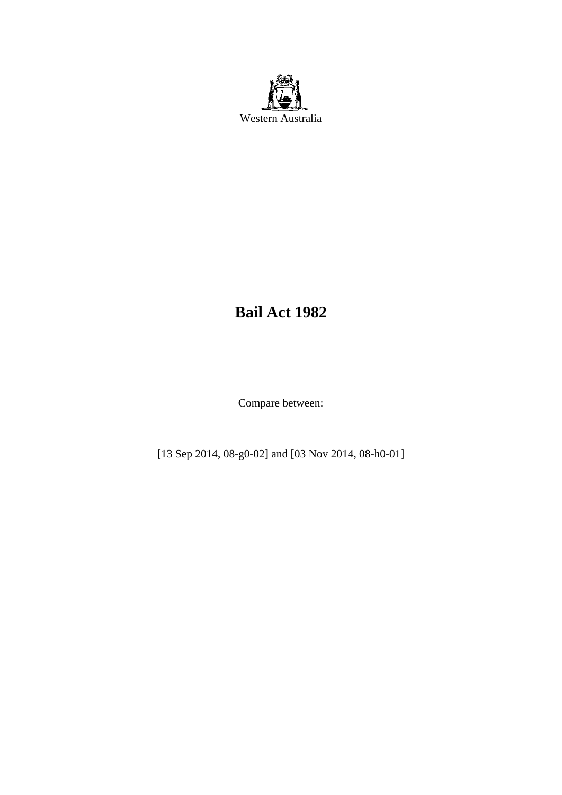

# **Bail Act 1982**

Compare between:

[13 Sep 2014, 08-g0-02] and [03 Nov 2014, 08-h0-01]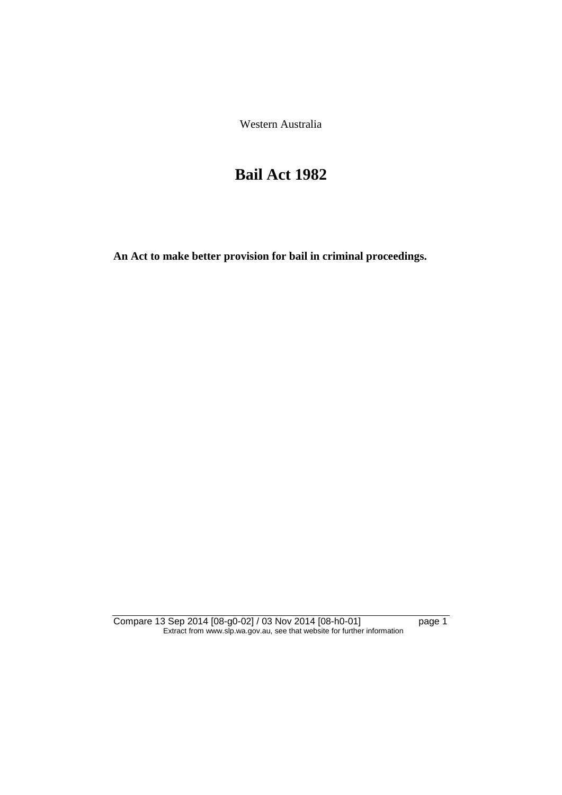Western Australia

# **Bail Act 1982**

**An Act to make better provision for bail in criminal proceedings.** 

Compare 13 Sep 2014 [08-g0-02] / 03 Nov 2014 [08-h0-01] page 1 Extract from www.slp.wa.gov.au, see that website for further information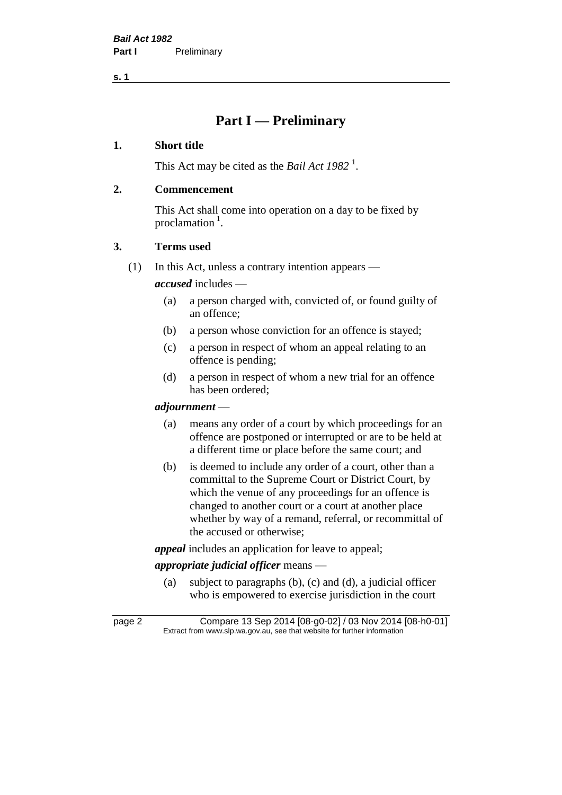**s. 1**

# **Part I — Preliminary**

### **1. Short title**

This Act may be cited as the *Bail Act* 1982<sup>1</sup>.

# **2. Commencement**

This Act shall come into operation on a day to be fixed by proclamation<sup>1</sup>.

# **3. Terms used**

(1) In this Act, unless a contrary intention appears —

*accused* includes —

- (a) a person charged with, convicted of, or found guilty of an offence;
- (b) a person whose conviction for an offence is stayed;
- (c) a person in respect of whom an appeal relating to an offence is pending;
- (d) a person in respect of whom a new trial for an offence has been ordered;

#### *adjournment* —

- (a) means any order of a court by which proceedings for an offence are postponed or interrupted or are to be held at a different time or place before the same court; and
- (b) is deemed to include any order of a court, other than a committal to the Supreme Court or District Court, by which the venue of any proceedings for an offence is changed to another court or a court at another place whether by way of a remand, referral, or recommittal of the accused or otherwise;

*appeal* includes an application for leave to appeal;

# *appropriate judicial officer* means —

(a) subject to paragraphs (b), (c) and (d), a judicial officer who is empowered to exercise jurisdiction in the court

page 2 Compare 13 Sep 2014 [08-g0-02] / 03 Nov 2014 [08-h0-01] Extract from www.slp.wa.gov.au, see that website for further information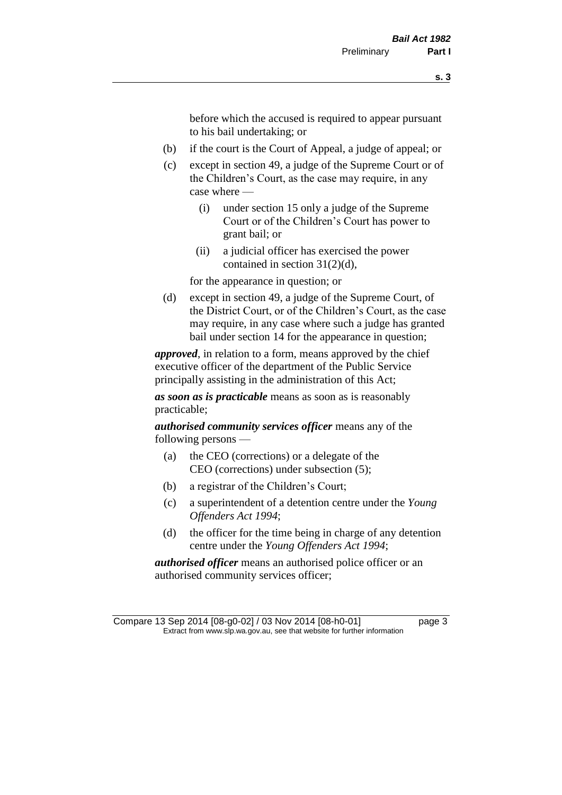before which the accused is required to appear pursuant to his bail undertaking; or

- (b) if the court is the Court of Appeal, a judge of appeal; or
- (c) except in section 49, a judge of the Supreme Court or of the Children's Court, as the case may require, in any case where —
	- (i) under section 15 only a judge of the Supreme Court or of the Children's Court has power to grant bail; or
	- (ii) a judicial officer has exercised the power contained in section 31(2)(d),

for the appearance in question; or

(d) except in section 49, a judge of the Supreme Court, of the District Court, or of the Children's Court, as the case may require, in any case where such a judge has granted bail under section 14 for the appearance in question;

*approved*, in relation to a form, means approved by the chief executive officer of the department of the Public Service principally assisting in the administration of this Act;

*as soon as is practicable* means as soon as is reasonably practicable;

*authorised community services officer* means any of the following persons —

- (a) the CEO (corrections) or a delegate of the CEO (corrections) under subsection (5);
- (b) a registrar of the Children's Court;
- (c) a superintendent of a detention centre under the *Young Offenders Act 1994*;
- (d) the officer for the time being in charge of any detention centre under the *Young Offenders Act 1994*;

*authorised officer* means an authorised police officer or an authorised community services officer;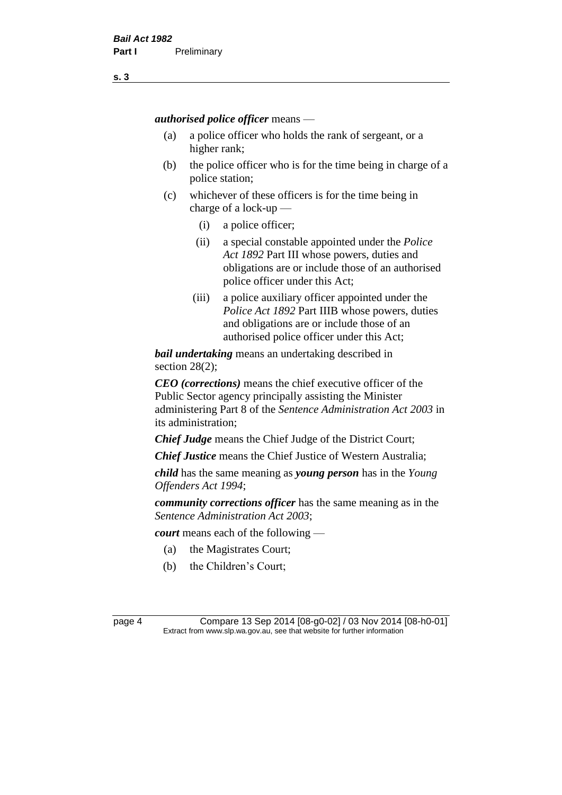*authorised police officer* means —

- (a) a police officer who holds the rank of sergeant, or a higher rank;
- (b) the police officer who is for the time being in charge of a police station;
- (c) whichever of these officers is for the time being in charge of a lock-up —
	- (i) a police officer;
	- (ii) a special constable appointed under the *Police Act 1892* Part III whose powers, duties and obligations are or include those of an authorised police officer under this Act;
	- (iii) a police auxiliary officer appointed under the *Police Act 1892* Part IIIB whose powers, duties and obligations are or include those of an authorised police officer under this Act;

*bail undertaking* means an undertaking described in section 28(2);

*CEO (corrections)* means the chief executive officer of the Public Sector agency principally assisting the Minister administering Part 8 of the *Sentence Administration Act 2003* in its administration;

*Chief Judge* means the Chief Judge of the District Court;

*Chief Justice* means the Chief Justice of Western Australia;

*child* has the same meaning as *young person* has in the *Young Offenders Act 1994*;

*community corrections officer* has the same meaning as in the *Sentence Administration Act 2003*;

*court* means each of the following —

- (a) the Magistrates Court;
- (b) the Children's Court;

page 4 Compare 13 Sep 2014 [08-g0-02] / 03 Nov 2014 [08-h0-01] Extract from www.slp.wa.gov.au, see that website for further information

**s. 3**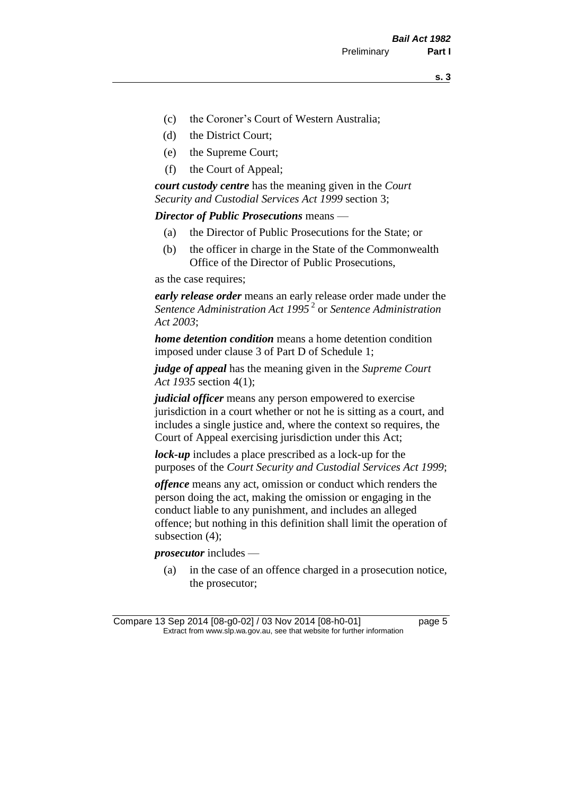- (c) the Coroner's Court of Western Australia;
- (d) the District Court;
- (e) the Supreme Court;
- (f) the Court of Appeal;

*court custody centre* has the meaning given in the *Court Security and Custodial Services Act 1999* section 3;

*Director of Public Prosecutions* means —

- (a) the Director of Public Prosecutions for the State; or
- (b) the officer in charge in the State of the Commonwealth Office of the Director of Public Prosecutions,

as the case requires;

*early release order* means an early release order made under the *Sentence Administration Act 1995* <sup>2</sup> or *Sentence Administration Act 2003*;

*home detention condition* means a home detention condition imposed under clause 3 of Part D of Schedule 1;

*judge of appeal* has the meaning given in the *Supreme Court Act 1935* section 4(1);

*judicial officer* means any person empowered to exercise jurisdiction in a court whether or not he is sitting as a court, and includes a single justice and, where the context so requires, the Court of Appeal exercising jurisdiction under this Act;

*lock-up* includes a place prescribed as a lock-up for the purposes of the *Court Security and Custodial Services Act 1999*;

*offence* means any act, omission or conduct which renders the person doing the act, making the omission or engaging in the conduct liable to any punishment, and includes an alleged offence; but nothing in this definition shall limit the operation of subsection (4);

*prosecutor* includes —

(a) in the case of an offence charged in a prosecution notice, the prosecutor;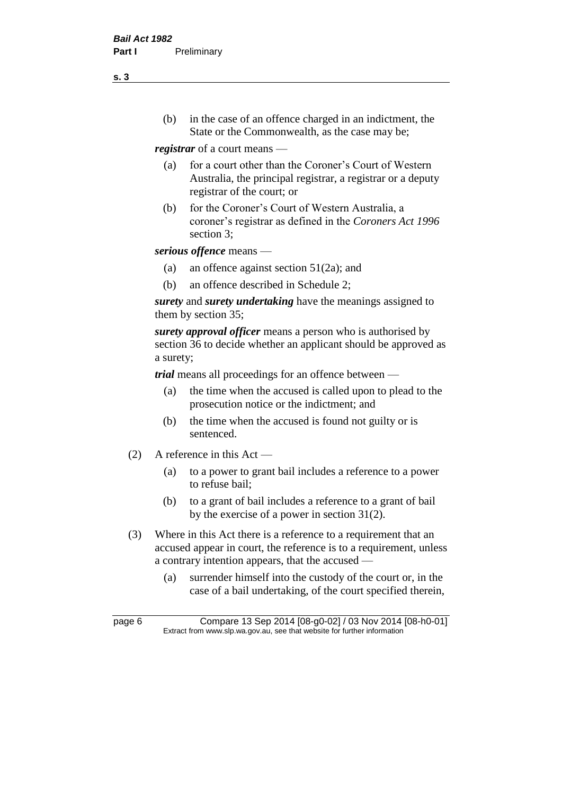(b) in the case of an offence charged in an indictment, the State or the Commonwealth, as the case may be;

*registrar* of a court means —

- (a) for a court other than the Coroner's Court of Western Australia, the principal registrar, a registrar or a deputy registrar of the court; or
- (b) for the Coroner's Court of Western Australia, a coroner's registrar as defined in the *Coroners Act 1996* section 3;

*serious offence* means —

- (a) an offence against section 51(2a); and
- (b) an offence described in Schedule 2;

*surety* and *surety undertaking* have the meanings assigned to them by section 35;

*surety approval officer* means a person who is authorised by section 36 to decide whether an applicant should be approved as a surety;

*trial* means all proceedings for an offence between —

- (a) the time when the accused is called upon to plead to the prosecution notice or the indictment; and
- (b) the time when the accused is found not guilty or is sentenced.
- (2) A reference in this Act
	- (a) to a power to grant bail includes a reference to a power to refuse bail;
	- (b) to a grant of bail includes a reference to a grant of bail by the exercise of a power in section 31(2).
- (3) Where in this Act there is a reference to a requirement that an accused appear in court, the reference is to a requirement, unless a contrary intention appears, that the accused —
	- (a) surrender himself into the custody of the court or, in the case of a bail undertaking, of the court specified therein,

**s. 3**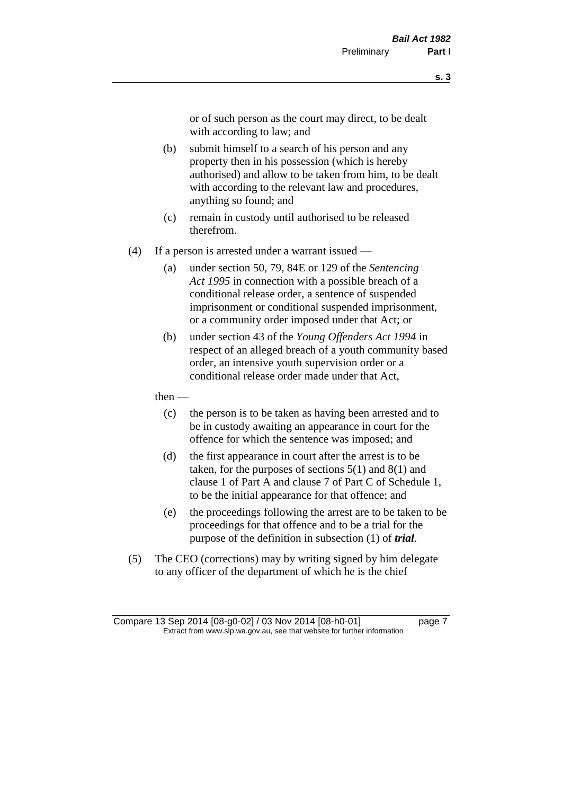or of such person as the court may direct, to be dealt with according to law; and

- (b) submit himself to a search of his person and any property then in his possession (which is hereby authorised) and allow to be taken from him, to be dealt with according to the relevant law and procedures, anything so found; and
- (c) remain in custody until authorised to be released therefrom.
- (4) If a person is arrested under a warrant issued
	- (a) under section 50, 79, 84E or 129 of the *Sentencing Act 1995* in connection with a possible breach of a conditional release order, a sentence of suspended imprisonment or conditional suspended imprisonment, or a community order imposed under that Act; or
	- (b) under section 43 of the *Young Offenders Act 1994* in respect of an alleged breach of a youth community based order, an intensive youth supervision order or a conditional release order made under that Act,
	- then
		- (c) the person is to be taken as having been arrested and to be in custody awaiting an appearance in court for the offence for which the sentence was imposed; and
		- (d) the first appearance in court after the arrest is to be taken, for the purposes of sections  $5(1)$  and  $8(1)$  and clause 1 of Part A and clause 7 of Part C of Schedule 1, to be the initial appearance for that offence; and
		- (e) the proceedings following the arrest are to be taken to be proceedings for that offence and to be a trial for the purpose of the definition in subsection (1) of *trial*.
- (5) The CEO (corrections) may by writing signed by him delegate to any officer of the department of which he is the chief

Compare 13 Sep 2014 [08-g0-02] / 03 Nov 2014 [08-h0-01] page 7 Extract from www.slp.wa.gov.au, see that website for further information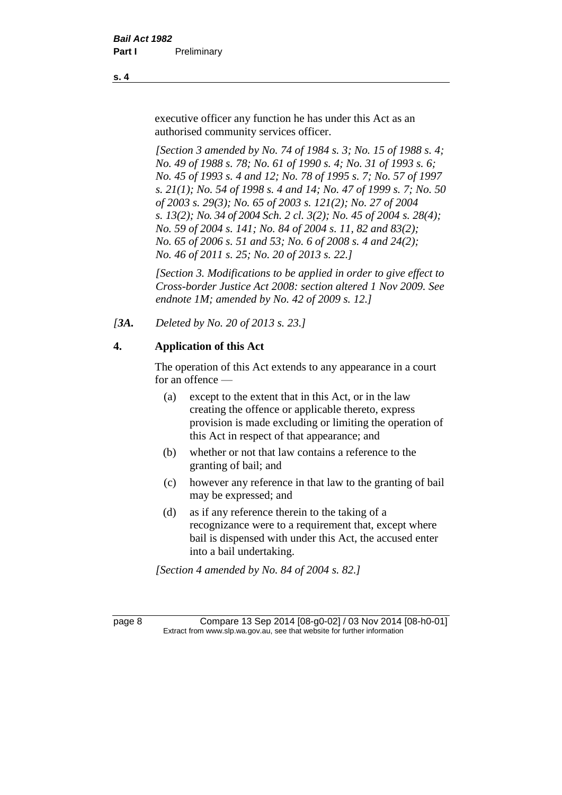executive officer any function he has under this Act as an authorised community services officer.

*[Section 3 amended by No. 74 of 1984 s. 3; No. 15 of 1988 s. 4; No. 49 of 1988 s. 78; No. 61 of 1990 s. 4; No. 31 of 1993 s. 6; No. 45 of 1993 s. 4 and 12; No. 78 of 1995 s. 7; No. 57 of 1997 s. 21(1); No. 54 of 1998 s. 4 and 14; No. 47 of 1999 s. 7; No. 50 of 2003 s. 29(3); No. 65 of 2003 s. 121(2); No. 27 of 2004 s. 13(2); No. 34 of 2004 Sch. 2 cl. 3(2); No. 45 of 2004 s. 28(4); No. 59 of 2004 s. 141; No. 84 of 2004 s. 11, 82 and 83(2); No. 65 of 2006 s. 51 and 53; No. 6 of 2008 s. 4 and 24(2); No. 46 of 2011 s. 25; No. 20 of 2013 s. 22.]* 

*[Section 3. Modifications to be applied in order to give effect to Cross-border Justice Act 2008: section altered 1 Nov 2009. See endnote 1M; amended by No. 42 of 2009 s. 12.]*

*[3A. Deleted by No. 20 of 2013 s. 23.]*

# **4. Application of this Act**

The operation of this Act extends to any appearance in a court for an offence —

- (a) except to the extent that in this Act, or in the law creating the offence or applicable thereto, express provision is made excluding or limiting the operation of this Act in respect of that appearance; and
- (b) whether or not that law contains a reference to the granting of bail; and
- (c) however any reference in that law to the granting of bail may be expressed; and
- (d) as if any reference therein to the taking of a recognizance were to a requirement that, except where bail is dispensed with under this Act, the accused enter into a bail undertaking.

*[Section 4 amended by No. 84 of 2004 s. 82.]*

page 8 Compare 13 Sep 2014 [08-g0-02] / 03 Nov 2014 [08-h0-01] Extract from www.slp.wa.gov.au, see that website for further information

**s. 4**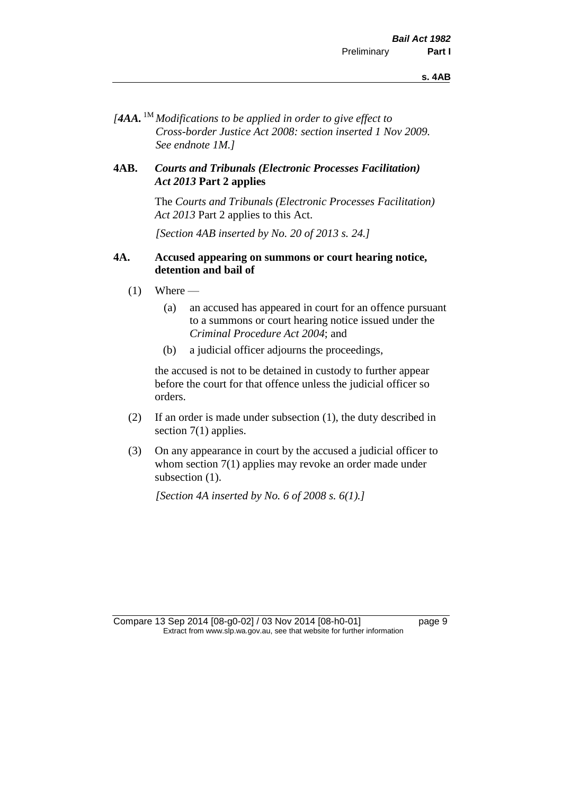*[4AA.* 1M *Modifications to be applied in order to give effect to Cross-border Justice Act 2008: section inserted 1 Nov 2009. See endnote 1M.]*

#### **4AB.** *Courts and Tribunals (Electronic Processes Facilitation) Act 2013* **Part 2 applies**

The *Courts and Tribunals (Electronic Processes Facilitation) Act 2013* Part 2 applies to this Act.

*[Section 4AB inserted by No. 20 of 2013 s. 24.]*

#### **4A. Accused appearing on summons or court hearing notice, detention and bail of**

- $(1)$  Where
	- (a) an accused has appeared in court for an offence pursuant to a summons or court hearing notice issued under the *Criminal Procedure Act 2004*; and
	- (b) a judicial officer adjourns the proceedings,

the accused is not to be detained in custody to further appear before the court for that offence unless the judicial officer so orders.

- (2) If an order is made under subsection (1), the duty described in section 7(1) applies.
- (3) On any appearance in court by the accused a judicial officer to whom section 7(1) applies may revoke an order made under subsection  $(1)$ .

*[Section 4A inserted by No. 6 of 2008 s. 6(1).]*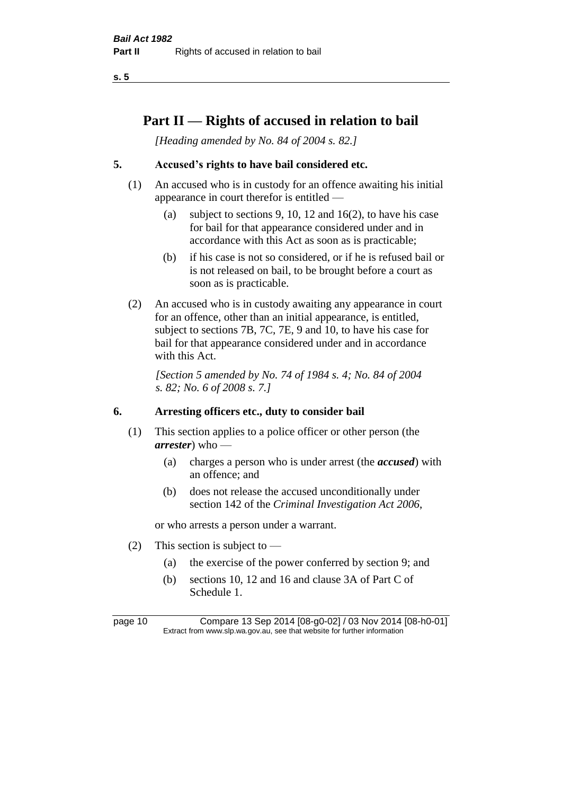**s. 5**

# **Part II — Rights of accused in relation to bail**

*[Heading amended by No. 84 of 2004 s. 82.]* 

# **5. Accused's rights to have bail considered etc.**

- (1) An accused who is in custody for an offence awaiting his initial appearance in court therefor is entitled —
	- (a) subject to sections 9, 10, 12 and 16(2), to have his case for bail for that appearance considered under and in accordance with this Act as soon as is practicable;
	- (b) if his case is not so considered, or if he is refused bail or is not released on bail, to be brought before a court as soon as is practicable.
- (2) An accused who is in custody awaiting any appearance in court for an offence, other than an initial appearance, is entitled, subject to sections 7B, 7C, 7E, 9 and 10, to have his case for bail for that appearance considered under and in accordance with this Act.

*[Section 5 amended by No. 74 of 1984 s. 4; No. 84 of 2004 s. 82; No. 6 of 2008 s. 7.]* 

#### **6. Arresting officers etc., duty to consider bail**

- (1) This section applies to a police officer or other person (the *arrester*) who —
	- (a) charges a person who is under arrest (the *accused*) with an offence; and
	- (b) does not release the accused unconditionally under section 142 of the *Criminal Investigation Act 2006*,

or who arrests a person under a warrant.

- (2) This section is subject to
	- (a) the exercise of the power conferred by section 9; and
	- (b) sections 10, 12 and 16 and clause 3A of Part C of Schedule 1.

page 10 Compare 13 Sep 2014 [08-g0-02] / 03 Nov 2014 [08-h0-01] Extract from www.slp.wa.gov.au, see that website for further information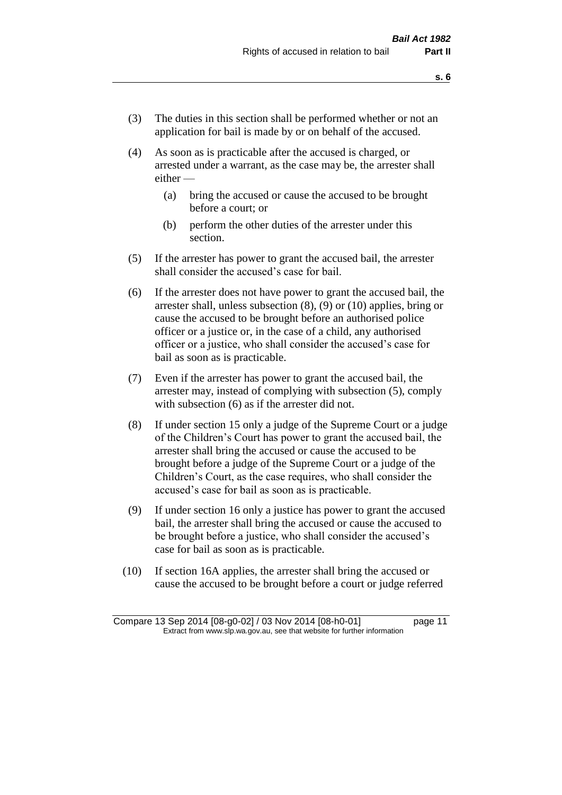- (3) The duties in this section shall be performed whether or not an application for bail is made by or on behalf of the accused.
- (4) As soon as is practicable after the accused is charged, or arrested under a warrant, as the case may be, the arrester shall either —
	- (a) bring the accused or cause the accused to be brought before a court; or
	- (b) perform the other duties of the arrester under this section.
- (5) If the arrester has power to grant the accused bail, the arrester shall consider the accused's case for bail.
- (6) If the arrester does not have power to grant the accused bail, the arrester shall, unless subsection (8), (9) or (10) applies, bring or cause the accused to be brought before an authorised police officer or a justice or, in the case of a child, any authorised officer or a justice, who shall consider the accused's case for bail as soon as is practicable.
- (7) Even if the arrester has power to grant the accused bail, the arrester may, instead of complying with subsection (5), comply with subsection  $(6)$  as if the arrester did not.
- (8) If under section 15 only a judge of the Supreme Court or a judge of the Children's Court has power to grant the accused bail, the arrester shall bring the accused or cause the accused to be brought before a judge of the Supreme Court or a judge of the Children's Court, as the case requires, who shall consider the accused's case for bail as soon as is practicable.
- (9) If under section 16 only a justice has power to grant the accused bail, the arrester shall bring the accused or cause the accused to be brought before a justice, who shall consider the accused's case for bail as soon as is practicable.
- (10) If section 16A applies, the arrester shall bring the accused or cause the accused to be brought before a court or judge referred

Compare 13 Sep 2014 [08-g0-02] / 03 Nov 2014 [08-h0-01] page 11 Extract from www.slp.wa.gov.au, see that website for further information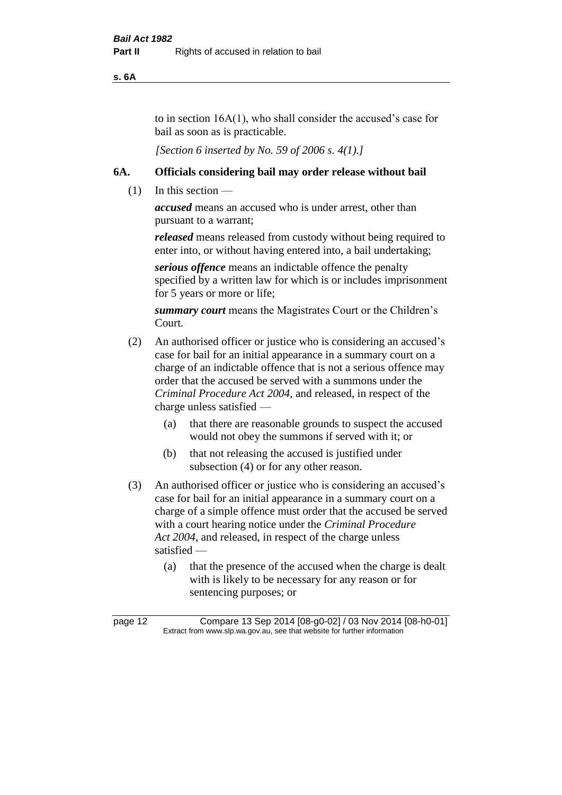**s. 6A**

to in section 16A(1), who shall consider the accused's case for bail as soon as is practicable.

*[Section 6 inserted by No. 59 of 2006 s. 4(1).]* 

#### **6A. Officials considering bail may order release without bail**

(1) In this section —

*accused* means an accused who is under arrest, other than pursuant to a warrant;

*released* means released from custody without being required to enter into, or without having entered into, a bail undertaking;

*serious offence* means an indictable offence the penalty specified by a written law for which is or includes imprisonment for 5 years or more or life;

*summary court* means the Magistrates Court or the Children's Court.

- (2) An authorised officer or justice who is considering an accused's case for bail for an initial appearance in a summary court on a charge of an indictable offence that is not a serious offence may order that the accused be served with a summons under the *Criminal Procedure Act 2004*, and released, in respect of the charge unless satisfied —
	- (a) that there are reasonable grounds to suspect the accused would not obey the summons if served with it; or
	- (b) that not releasing the accused is justified under subsection (4) or for any other reason.
- (3) An authorised officer or justice who is considering an accused's case for bail for an initial appearance in a summary court on a charge of a simple offence must order that the accused be served with a court hearing notice under the *Criminal Procedure Act 2004*, and released, in respect of the charge unless satisfied —
	- (a) that the presence of the accused when the charge is dealt with is likely to be necessary for any reason or for sentencing purposes; or

page 12 Compare 13 Sep 2014 [08-g0-02] / 03 Nov 2014 [08-h0-01] Extract from www.slp.wa.gov.au, see that website for further information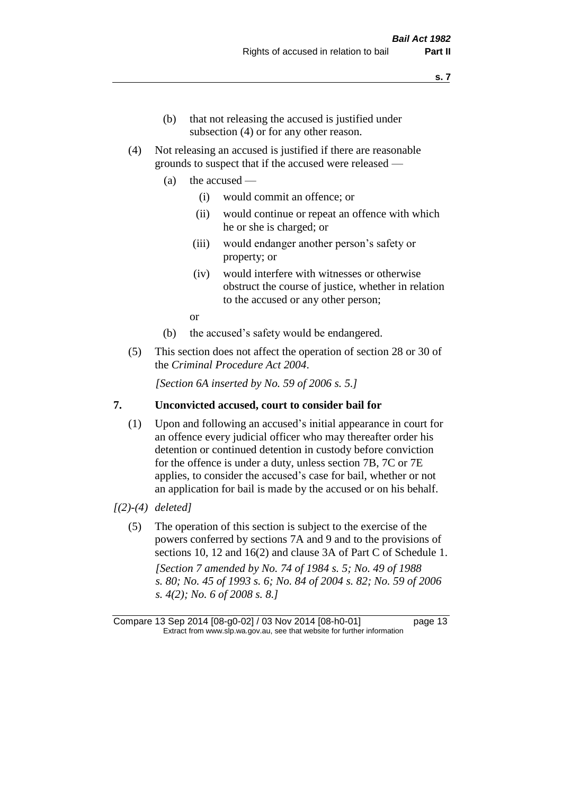- (b) that not releasing the accused is justified under subsection (4) or for any other reason.
- (4) Not releasing an accused is justified if there are reasonable grounds to suspect that if the accused were released —
	- (a) the accused
		- (i) would commit an offence; or
		- (ii) would continue or repeat an offence with which he or she is charged; or
		- (iii) would endanger another person's safety or property; or
		- (iv) would interfere with witnesses or otherwise obstruct the course of justice, whether in relation to the accused or any other person;

or

- (b) the accused's safety would be endangered.
- (5) This section does not affect the operation of section 28 or 30 of the *Criminal Procedure Act 2004*.

*[Section 6A inserted by No. 59 of 2006 s. 5.]* 

#### **7. Unconvicted accused, court to consider bail for**

(1) Upon and following an accused's initial appearance in court for an offence every judicial officer who may thereafter order his detention or continued detention in custody before conviction for the offence is under a duty, unless section 7B, 7C or 7E applies, to consider the accused's case for bail, whether or not an application for bail is made by the accused or on his behalf.

#### *[(2)-(4) deleted]*

(5) The operation of this section is subject to the exercise of the powers conferred by sections 7A and 9 and to the provisions of sections 10, 12 and 16(2) and clause 3A of Part C of Schedule 1. *[Section 7 amended by No. 74 of 1984 s. 5; No. 49 of 1988 s. 80; No. 45 of 1993 s. 6; No. 84 of 2004 s. 82; No. 59 of 2006 s. 4(2); No. 6 of 2008 s. 8.]* 

Compare 13 Sep 2014 [08-g0-02] / 03 Nov 2014 [08-h0-01] page 13 Extract from www.slp.wa.gov.au, see that website for further information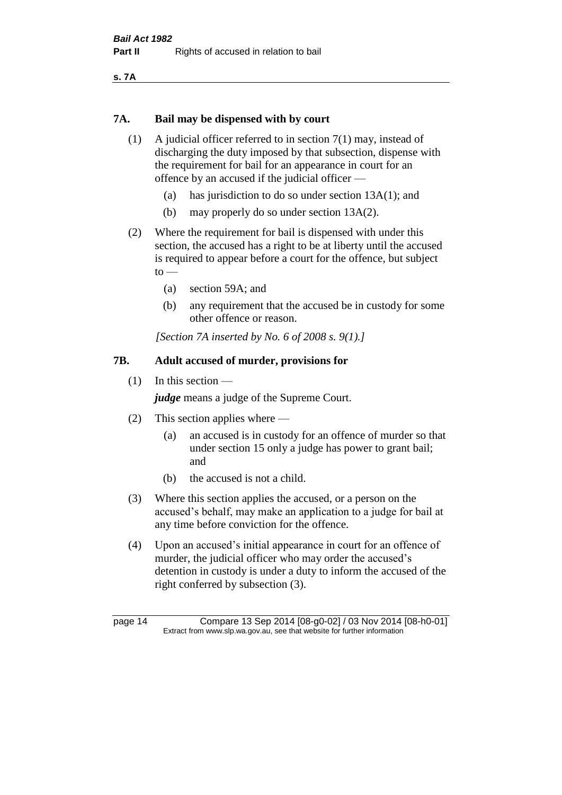**s. 7A**

#### **7A. Bail may be dispensed with by court**

- (1) A judicial officer referred to in section 7(1) may, instead of discharging the duty imposed by that subsection, dispense with the requirement for bail for an appearance in court for an offence by an accused if the judicial officer —
	- (a) has jurisdiction to do so under section 13A(1); and
	- (b) may properly do so under section 13A(2).
- (2) Where the requirement for bail is dispensed with under this section, the accused has a right to be at liberty until the accused is required to appear before a court for the offence, but subject  $to$ 
	- (a) section 59A; and
	- (b) any requirement that the accused be in custody for some other offence or reason.

*[Section 7A inserted by No. 6 of 2008 s. 9(1).]*

# **7B. Adult accused of murder, provisions for**

(1) In this section —

*judge* means a judge of the Supreme Court.

- (2) This section applies where
	- (a) an accused is in custody for an offence of murder so that under section 15 only a judge has power to grant bail; and
	- (b) the accused is not a child.
- (3) Where this section applies the accused, or a person on the accused's behalf, may make an application to a judge for bail at any time before conviction for the offence.
- (4) Upon an accused's initial appearance in court for an offence of murder, the judicial officer who may order the accused's detention in custody is under a duty to inform the accused of the right conferred by subsection (3).

page 14 Compare 13 Sep 2014 [08-g0-02] / 03 Nov 2014 [08-h0-01] Extract from www.slp.wa.gov.au, see that website for further information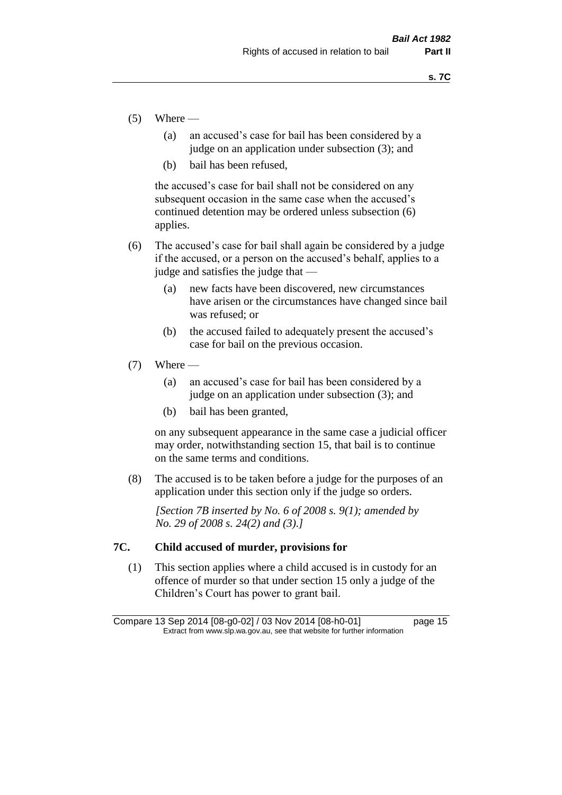- $(5)$  Where
	- (a) an accused's case for bail has been considered by a judge on an application under subsection (3); and
	- (b) bail has been refused,

the accused's case for bail shall not be considered on any subsequent occasion in the same case when the accused's continued detention may be ordered unless subsection (6) applies.

- (6) The accused's case for bail shall again be considered by a judge if the accused, or a person on the accused's behalf, applies to a judge and satisfies the judge that —
	- (a) new facts have been discovered, new circumstances have arisen or the circumstances have changed since bail was refused; or
	- (b) the accused failed to adequately present the accused's case for bail on the previous occasion.
- $(7)$  Where
	- (a) an accused's case for bail has been considered by a judge on an application under subsection (3); and
	- (b) bail has been granted,

on any subsequent appearance in the same case a judicial officer may order, notwithstanding section 15, that bail is to continue on the same terms and conditions.

(8) The accused is to be taken before a judge for the purposes of an application under this section only if the judge so orders.

*[Section 7B inserted by No. 6 of 2008 s. 9(1); amended by No. 29 of 2008 s. 24(2) and (3).]*

#### **7C. Child accused of murder, provisions for**

(1) This section applies where a child accused is in custody for an offence of murder so that under section 15 only a judge of the Children's Court has power to grant bail.

Compare 13 Sep 2014 [08-g0-02] / 03 Nov 2014 [08-h0-01] page 15 Extract from www.slp.wa.gov.au, see that website for further information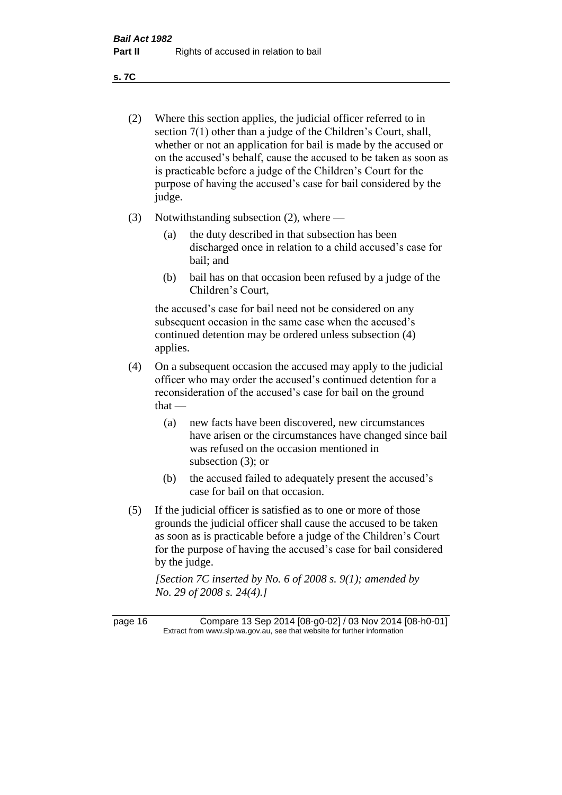**s. 7C**

- (2) Where this section applies, the judicial officer referred to in section 7(1) other than a judge of the Children's Court, shall, whether or not an application for bail is made by the accused or on the accused's behalf, cause the accused to be taken as soon as is practicable before a judge of the Children's Court for the purpose of having the accused's case for bail considered by the judge.
- (3) Notwithstanding subsection (2), where
	- (a) the duty described in that subsection has been discharged once in relation to a child accused's case for bail; and
	- (b) bail has on that occasion been refused by a judge of the Children's Court,

the accused's case for bail need not be considered on any subsequent occasion in the same case when the accused's continued detention may be ordered unless subsection (4) applies.

- (4) On a subsequent occasion the accused may apply to the judicial officer who may order the accused's continued detention for a reconsideration of the accused's case for bail on the ground  $that -$ 
	- (a) new facts have been discovered, new circumstances have arisen or the circumstances have changed since bail was refused on the occasion mentioned in subsection (3); or
	- (b) the accused failed to adequately present the accused's case for bail on that occasion.
- (5) If the judicial officer is satisfied as to one or more of those grounds the judicial officer shall cause the accused to be taken as soon as is practicable before a judge of the Children's Court for the purpose of having the accused's case for bail considered by the judge.

*[Section 7C inserted by No. 6 of 2008 s. 9(1); amended by No. 29 of 2008 s. 24(4).]*

page 16 Compare 13 Sep 2014 [08-g0-02] / 03 Nov 2014 [08-h0-01] Extract from www.slp.wa.gov.au, see that website for further information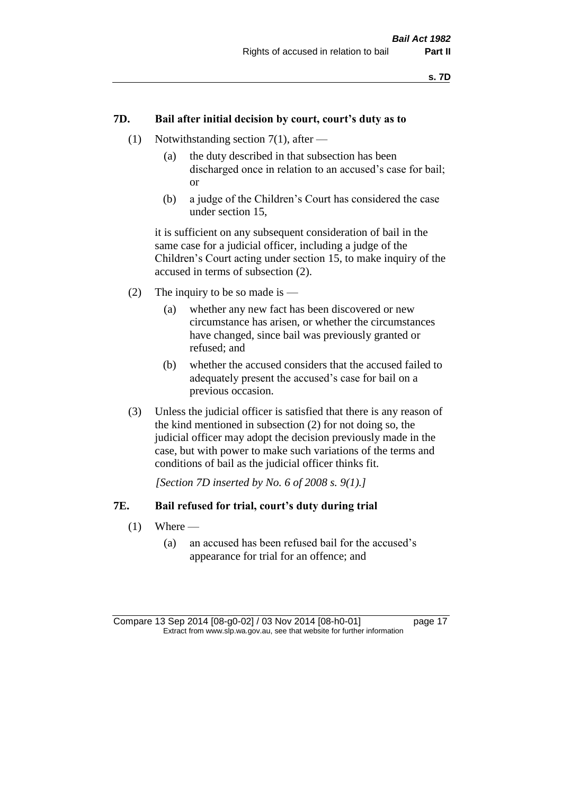## **7D. Bail after initial decision by court, court's duty as to**

- (1) Notwithstanding section 7(1), after
	- (a) the duty described in that subsection has been discharged once in relation to an accused's case for bail; or
	- (b) a judge of the Children's Court has considered the case under section 15,

it is sufficient on any subsequent consideration of bail in the same case for a judicial officer, including a judge of the Children's Court acting under section 15, to make inquiry of the accused in terms of subsection (2).

- (2) The inquiry to be so made is  $-$ 
	- (a) whether any new fact has been discovered or new circumstance has arisen, or whether the circumstances have changed, since bail was previously granted or refused; and
	- (b) whether the accused considers that the accused failed to adequately present the accused's case for bail on a previous occasion.
- (3) Unless the judicial officer is satisfied that there is any reason of the kind mentioned in subsection (2) for not doing so, the judicial officer may adopt the decision previously made in the case, but with power to make such variations of the terms and conditions of bail as the judicial officer thinks fit.

*[Section 7D inserted by No. 6 of 2008 s. 9(1).]*

#### **7E. Bail refused for trial, court's duty during trial**

- $(1)$  Where
	- (a) an accused has been refused bail for the accused's appearance for trial for an offence; and

Compare 13 Sep 2014 [08-g0-02] / 03 Nov 2014 [08-h0-01] page 17 Extract from www.slp.wa.gov.au, see that website for further information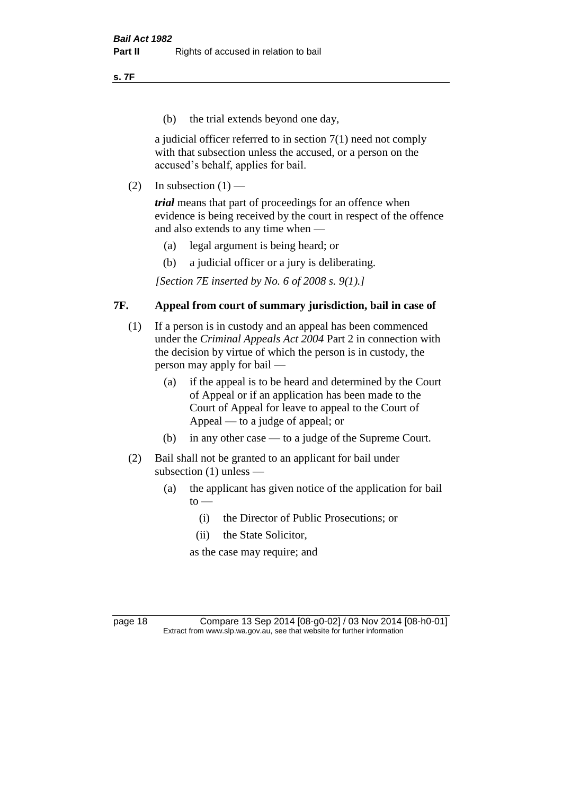**s. 7F**

(b) the trial extends beyond one day,

a judicial officer referred to in section 7(1) need not comply with that subsection unless the accused, or a person on the accused's behalf, applies for bail.

(2) In subsection  $(1)$  —

*trial* means that part of proceedings for an offence when evidence is being received by the court in respect of the offence and also extends to any time when —

- (a) legal argument is being heard; or
- (b) a judicial officer or a jury is deliberating.

*[Section 7E inserted by No. 6 of 2008 s. 9(1).]*

## **7F. Appeal from court of summary jurisdiction, bail in case of**

- (1) If a person is in custody and an appeal has been commenced under the *Criminal Appeals Act 2004* Part 2 in connection with the decision by virtue of which the person is in custody, the person may apply for bail —
	- (a) if the appeal is to be heard and determined by the Court of Appeal or if an application has been made to the Court of Appeal for leave to appeal to the Court of Appeal — to a judge of appeal; or
	- (b) in any other case to a judge of the Supreme Court.
- (2) Bail shall not be granted to an applicant for bail under subsection (1) unless —
	- (a) the applicant has given notice of the application for bail  $to -$ 
		- (i) the Director of Public Prosecutions; or
		- (ii) the State Solicitor,

as the case may require; and

page 18 Compare 13 Sep 2014 [08-g0-02] / 03 Nov 2014 [08-h0-01] Extract from www.slp.wa.gov.au, see that website for further information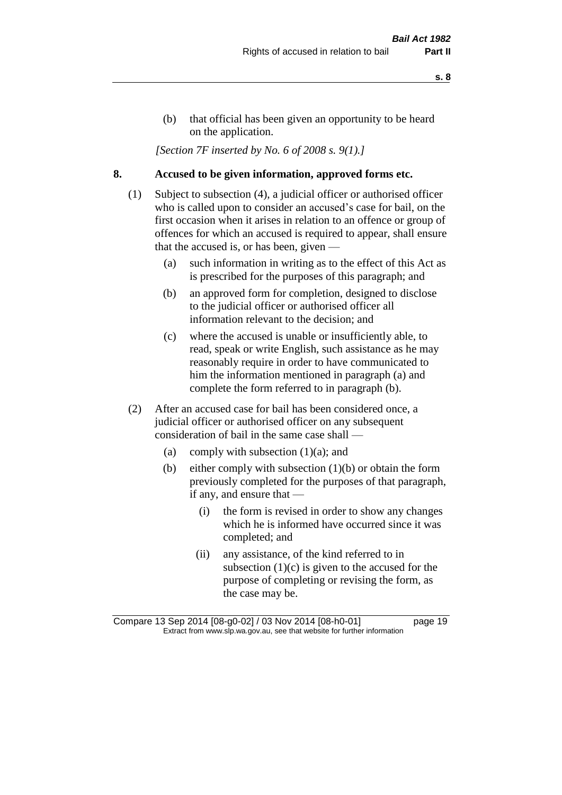- **s. 8**
- (b) that official has been given an opportunity to be heard on the application.

*[Section 7F inserted by No. 6 of 2008 s. 9(1).]*

# **8. Accused to be given information, approved forms etc.**

- (1) Subject to subsection (4), a judicial officer or authorised officer who is called upon to consider an accused's case for bail, on the first occasion when it arises in relation to an offence or group of offences for which an accused is required to appear, shall ensure that the accused is, or has been, given —
	- (a) such information in writing as to the effect of this Act as is prescribed for the purposes of this paragraph; and
	- (b) an approved form for completion, designed to disclose to the judicial officer or authorised officer all information relevant to the decision; and
	- (c) where the accused is unable or insufficiently able, to read, speak or write English, such assistance as he may reasonably require in order to have communicated to him the information mentioned in paragraph (a) and complete the form referred to in paragraph (b).
- (2) After an accused case for bail has been considered once, a judicial officer or authorised officer on any subsequent consideration of bail in the same case shall —
	- (a) comply with subsection  $(1)(a)$ ; and
	- (b) either comply with subsection (1)(b) or obtain the form previously completed for the purposes of that paragraph, if any, and ensure that —
		- (i) the form is revised in order to show any changes which he is informed have occurred since it was completed; and
		- (ii) any assistance, of the kind referred to in subsection  $(1)(c)$  is given to the accused for the purpose of completing or revising the form, as the case may be.

Compare 13 Sep 2014 [08-g0-02] / 03 Nov 2014 [08-h0-01] page 19 Extract from www.slp.wa.gov.au, see that website for further information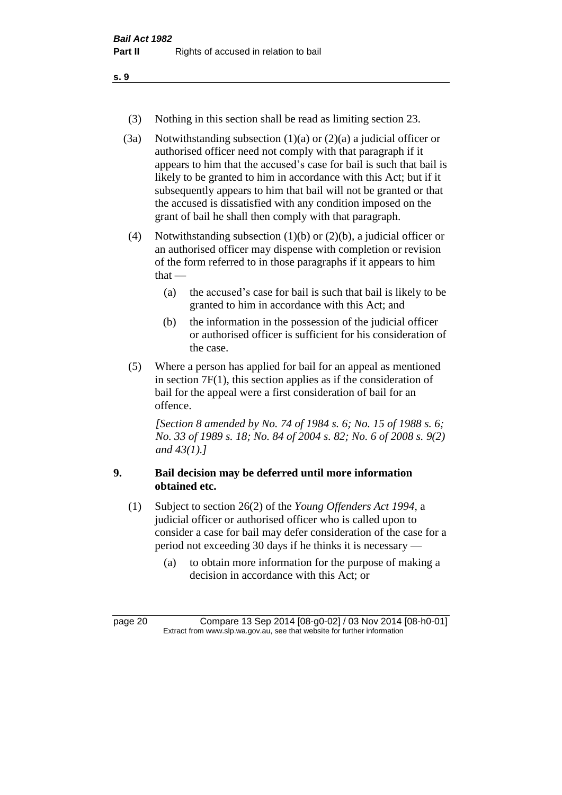(3) Nothing in this section shall be read as limiting section 23.

(3a) Notwithstanding subsection  $(1)(a)$  or  $(2)(a)$  a judicial officer or authorised officer need not comply with that paragraph if it appears to him that the accused's case for bail is such that bail is likely to be granted to him in accordance with this Act; but if it subsequently appears to him that bail will not be granted or that the accused is dissatisfied with any condition imposed on the grant of bail he shall then comply with that paragraph.

(4) Notwithstanding subsection (1)(b) or (2)(b), a judicial officer or an authorised officer may dispense with completion or revision of the form referred to in those paragraphs if it appears to him  $that -$ 

- (a) the accused's case for bail is such that bail is likely to be granted to him in accordance with this Act; and
- (b) the information in the possession of the judicial officer or authorised officer is sufficient for his consideration of the case.
- (5) Where a person has applied for bail for an appeal as mentioned in section 7F(1), this section applies as if the consideration of bail for the appeal were a first consideration of bail for an offence.

*[Section 8 amended by No. 74 of 1984 s. 6; No. 15 of 1988 s. 6; No. 33 of 1989 s. 18; No. 84 of 2004 s. 82; No. 6 of 2008 s. 9(2) and 43(1).]* 

# **9. Bail decision may be deferred until more information obtained etc.**

- (1) Subject to section 26(2) of the *Young Offenders Act 1994*, a judicial officer or authorised officer who is called upon to consider a case for bail may defer consideration of the case for a period not exceeding 30 days if he thinks it is necessary —
	- (a) to obtain more information for the purpose of making a decision in accordance with this Act; or

page 20 Compare 13 Sep 2014 [08-g0-02] / 03 Nov 2014 [08-h0-01] Extract from www.slp.wa.gov.au, see that website for further information

**s. 9**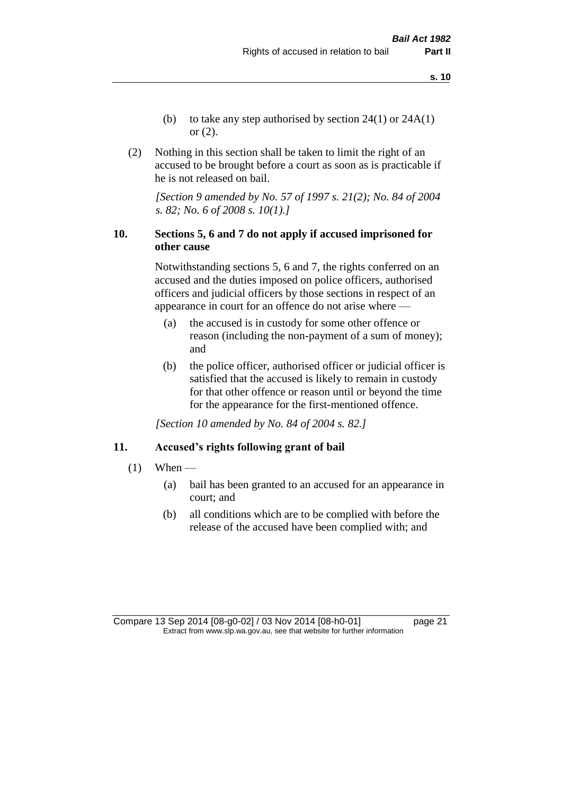- (b) to take any step authorised by section  $24(1)$  or  $24A(1)$ or (2).
- (2) Nothing in this section shall be taken to limit the right of an accused to be brought before a court as soon as is practicable if he is not released on bail.

*[Section 9 amended by No. 57 of 1997 s. 21(2); No. 84 of 2004 s. 82; No. 6 of 2008 s. 10(1).]*

# **10. Sections 5, 6 and 7 do not apply if accused imprisoned for other cause**

Notwithstanding sections 5, 6 and 7, the rights conferred on an accused and the duties imposed on police officers, authorised officers and judicial officers by those sections in respect of an appearance in court for an offence do not arise where —

- (a) the accused is in custody for some other offence or reason (including the non-payment of a sum of money); and
- (b) the police officer, authorised officer or judicial officer is satisfied that the accused is likely to remain in custody for that other offence or reason until or beyond the time for the appearance for the first-mentioned offence.

*[Section 10 amended by No. 84 of 2004 s. 82.]*

#### **11. Accused's rights following grant of bail**

- $(1)$  When
	- (a) bail has been granted to an accused for an appearance in court; and
	- (b) all conditions which are to be complied with before the release of the accused have been complied with; and

Compare 13 Sep 2014 [08-g0-02] / 03 Nov 2014 [08-h0-01] page 21 Extract from www.slp.wa.gov.au, see that website for further information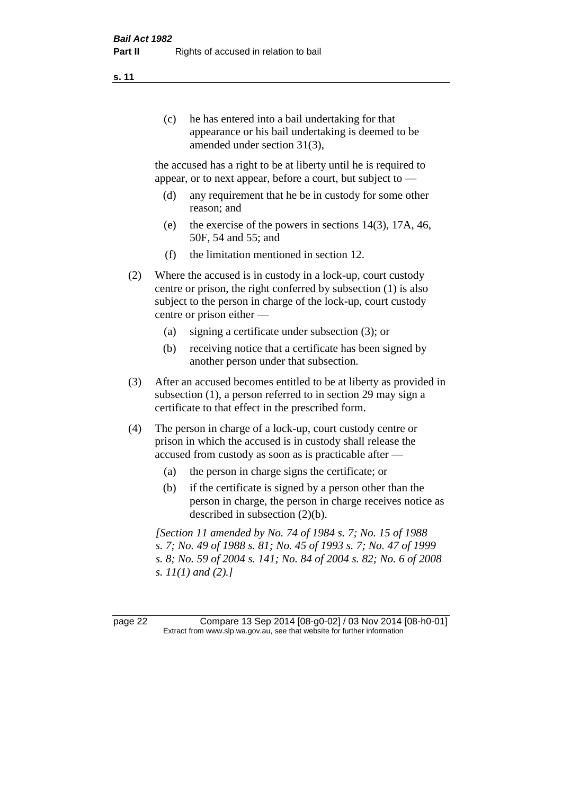(c) he has entered into a bail undertaking for that appearance or his bail undertaking is deemed to be amended under section 31(3),

the accused has a right to be at liberty until he is required to appear, or to next appear, before a court, but subject to —

- (d) any requirement that he be in custody for some other reason; and
- (e) the exercise of the powers in sections 14(3), 17A, 46, 50F, 54 and 55; and
- (f) the limitation mentioned in section 12.
- (2) Where the accused is in custody in a lock-up, court custody centre or prison, the right conferred by subsection (1) is also subject to the person in charge of the lock-up, court custody centre or prison either —
	- (a) signing a certificate under subsection (3); or
	- (b) receiving notice that a certificate has been signed by another person under that subsection.
- (3) After an accused becomes entitled to be at liberty as provided in subsection (1), a person referred to in section 29 may sign a certificate to that effect in the prescribed form.
- (4) The person in charge of a lock-up, court custody centre or prison in which the accused is in custody shall release the accused from custody as soon as is practicable after —
	- (a) the person in charge signs the certificate; or
	- (b) if the certificate is signed by a person other than the person in charge, the person in charge receives notice as described in subsection (2)(b).

*[Section 11 amended by No. 74 of 1984 s. 7; No. 15 of 1988 s. 7; No. 49 of 1988 s. 81; No. 45 of 1993 s. 7; No. 47 of 1999 s. 8; No. 59 of 2004 s. 141; No. 84 of 2004 s. 82; No. 6 of 2008 s. 11(1) and (2).]* 

page 22 Compare 13 Sep 2014 [08-g0-02] / 03 Nov 2014 [08-h0-01] Extract from www.slp.wa.gov.au, see that website for further information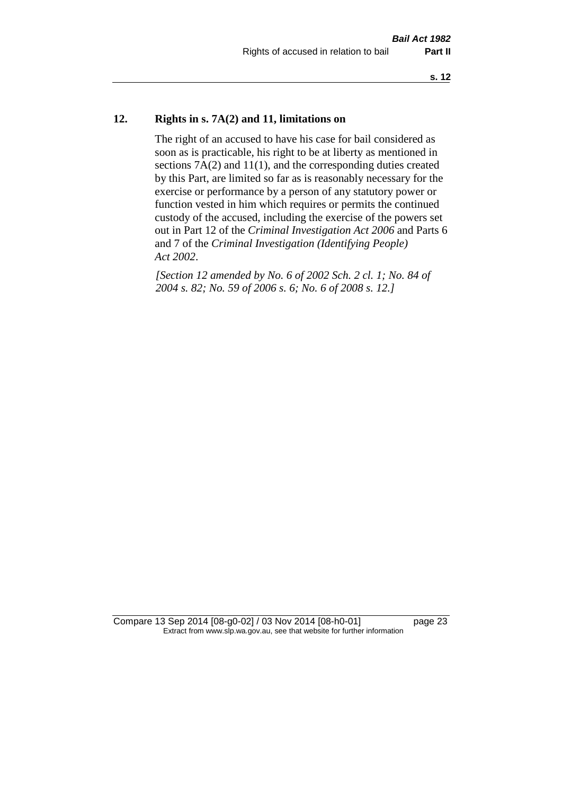# **12. Rights in s. 7A(2) and 11, limitations on**

The right of an accused to have his case for bail considered as soon as is practicable, his right to be at liberty as mentioned in sections 7A(2) and 11(1), and the corresponding duties created by this Part, are limited so far as is reasonably necessary for the exercise or performance by a person of any statutory power or function vested in him which requires or permits the continued custody of the accused, including the exercise of the powers set out in Part 12 of the *Criminal Investigation Act 2006* and Parts 6 and 7 of the *Criminal Investigation (Identifying People) Act 2002*.

*[Section 12 amended by No. 6 of 2002 Sch. 2 cl. 1; No. 84 of 2004 s. 82; No. 59 of 2006 s. 6; No. 6 of 2008 s. 12.]*

Compare 13 Sep 2014 [08-g0-02] / 03 Nov 2014 [08-h0-01] page 23 Extract from www.slp.wa.gov.au, see that website for further information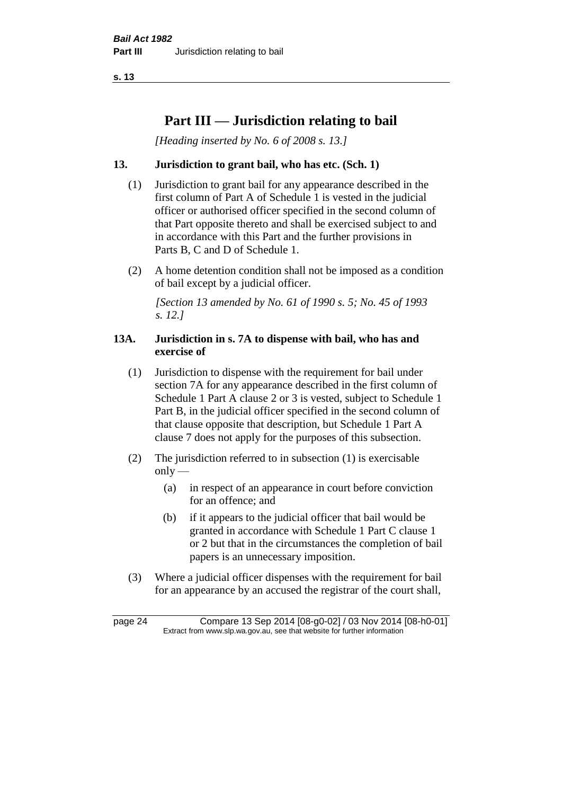**s. 13**

# **Part III — Jurisdiction relating to bail**

*[Heading inserted by No. 6 of 2008 s. 13.]*

# **13. Jurisdiction to grant bail, who has etc. (Sch. 1)**

- (1) Jurisdiction to grant bail for any appearance described in the first column of Part A of Schedule 1 is vested in the judicial officer or authorised officer specified in the second column of that Part opposite thereto and shall be exercised subject to and in accordance with this Part and the further provisions in Parts B, C and D of Schedule 1.
- (2) A home detention condition shall not be imposed as a condition of bail except by a judicial officer.

*[Section 13 amended by No. 61 of 1990 s. 5; No. 45 of 1993 s. 12.]* 

### **13A. Jurisdiction in s. 7A to dispense with bail, who has and exercise of**

- (1) Jurisdiction to dispense with the requirement for bail under section 7A for any appearance described in the first column of Schedule 1 Part A clause 2 or 3 is vested, subject to Schedule 1 Part B, in the judicial officer specified in the second column of that clause opposite that description, but Schedule 1 Part A clause 7 does not apply for the purposes of this subsection.
- (2) The jurisdiction referred to in subsection (1) is exercisable  $only$ —
	- (a) in respect of an appearance in court before conviction for an offence; and
	- (b) if it appears to the judicial officer that bail would be granted in accordance with Schedule 1 Part C clause 1 or 2 but that in the circumstances the completion of bail papers is an unnecessary imposition.
- (3) Where a judicial officer dispenses with the requirement for bail for an appearance by an accused the registrar of the court shall,

page 24 Compare 13 Sep 2014 [08-g0-02] / 03 Nov 2014 [08-h0-01] Extract from www.slp.wa.gov.au, see that website for further information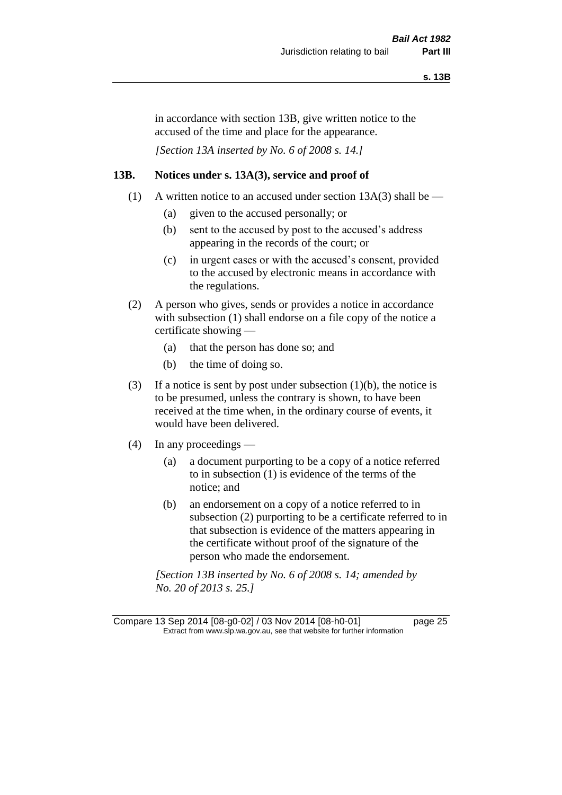in accordance with section 13B, give written notice to the accused of the time and place for the appearance.

*[Section 13A inserted by No. 6 of 2008 s. 14.]*

#### **13B. Notices under s. 13A(3), service and proof of**

- (1) A written notice to an accused under section 13A(3) shall be
	- (a) given to the accused personally; or
	- (b) sent to the accused by post to the accused's address appearing in the records of the court; or
	- (c) in urgent cases or with the accused's consent, provided to the accused by electronic means in accordance with the regulations.
- (2) A person who gives, sends or provides a notice in accordance with subsection (1) shall endorse on a file copy of the notice a certificate showing —
	- (a) that the person has done so; and
	- (b) the time of doing so.
- (3) If a notice is sent by post under subsection  $(1)(b)$ , the notice is to be presumed, unless the contrary is shown, to have been received at the time when, in the ordinary course of events, it would have been delivered.
- (4) In any proceedings
	- (a) a document purporting to be a copy of a notice referred to in subsection (1) is evidence of the terms of the notice; and
	- (b) an endorsement on a copy of a notice referred to in subsection (2) purporting to be a certificate referred to in that subsection is evidence of the matters appearing in the certificate without proof of the signature of the person who made the endorsement.

*[Section 13B inserted by No. 6 of 2008 s. 14; amended by No. 20 of 2013 s. 25.]*

Compare 13 Sep 2014 [08-g0-02] / 03 Nov 2014 [08-h0-01] page 25 Extract from www.slp.wa.gov.au, see that website for further information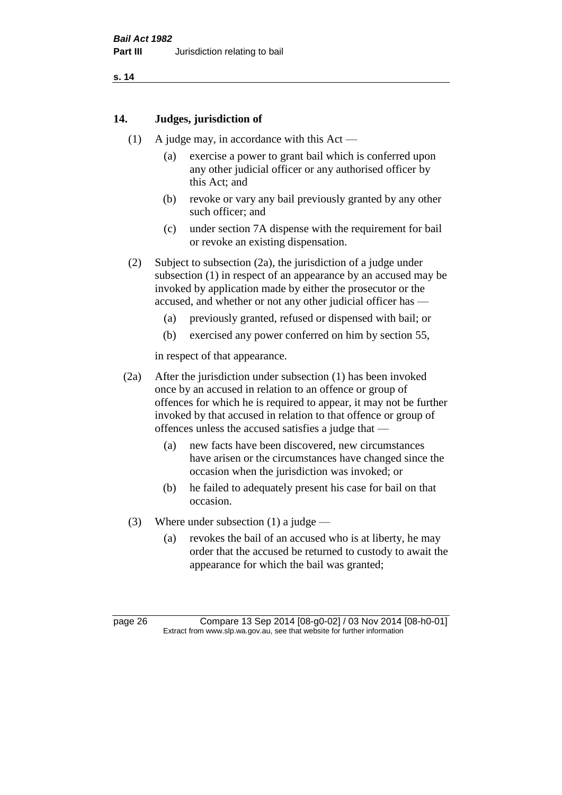**s. 14**

#### **14. Judges, jurisdiction of**

- (1) A judge may, in accordance with this Act
	- (a) exercise a power to grant bail which is conferred upon any other judicial officer or any authorised officer by this Act; and
	- (b) revoke or vary any bail previously granted by any other such officer; and
	- (c) under section 7A dispense with the requirement for bail or revoke an existing dispensation.
- (2) Subject to subsection (2a), the jurisdiction of a judge under subsection (1) in respect of an appearance by an accused may be invoked by application made by either the prosecutor or the accused, and whether or not any other judicial officer has —
	- (a) previously granted, refused or dispensed with bail; or
	- (b) exercised any power conferred on him by section 55,

in respect of that appearance.

- (2a) After the jurisdiction under subsection (1) has been invoked once by an accused in relation to an offence or group of offences for which he is required to appear, it may not be further invoked by that accused in relation to that offence or group of offences unless the accused satisfies a judge that —
	- (a) new facts have been discovered, new circumstances have arisen or the circumstances have changed since the occasion when the jurisdiction was invoked; or
	- (b) he failed to adequately present his case for bail on that occasion.
- (3) Where under subsection (1) a judge
	- (a) revokes the bail of an accused who is at liberty, he may order that the accused be returned to custody to await the appearance for which the bail was granted;

page 26 Compare 13 Sep 2014 [08-g0-02] / 03 Nov 2014 [08-h0-01] Extract from www.slp.wa.gov.au, see that website for further information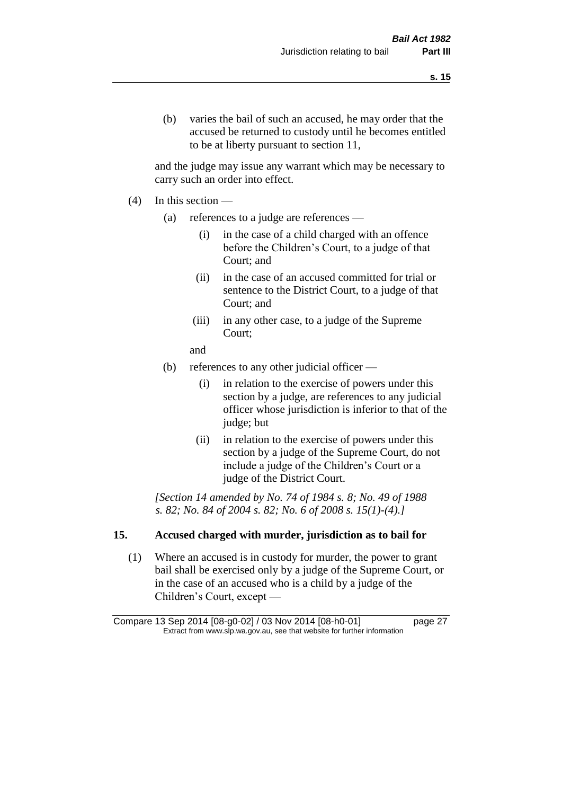(b) varies the bail of such an accused, he may order that the accused be returned to custody until he becomes entitled to be at liberty pursuant to section 11,

and the judge may issue any warrant which may be necessary to carry such an order into effect.

- (4) In this section
	- (a) references to a judge are references
		- (i) in the case of a child charged with an offence before the Children's Court, to a judge of that Court; and
		- (ii) in the case of an accused committed for trial or sentence to the District Court, to a judge of that Court; and
		- (iii) in any other case, to a judge of the Supreme Court;
		- and
	- (b) references to any other judicial officer
		- (i) in relation to the exercise of powers under this section by a judge, are references to any judicial officer whose jurisdiction is inferior to that of the judge; but
		- (ii) in relation to the exercise of powers under this section by a judge of the Supreme Court, do not include a judge of the Children's Court or a judge of the District Court.

*[Section 14 amended by No. 74 of 1984 s. 8; No. 49 of 1988 s. 82; No. 84 of 2004 s. 82; No. 6 of 2008 s. 15(1)-(4).]* 

# **15. Accused charged with murder, jurisdiction as to bail for**

(1) Where an accused is in custody for murder, the power to grant bail shall be exercised only by a judge of the Supreme Court, or in the case of an accused who is a child by a judge of the Children's Court, except —

Compare 13 Sep 2014 [08-g0-02] / 03 Nov 2014 [08-h0-01] page 27 Extract from www.slp.wa.gov.au, see that website for further information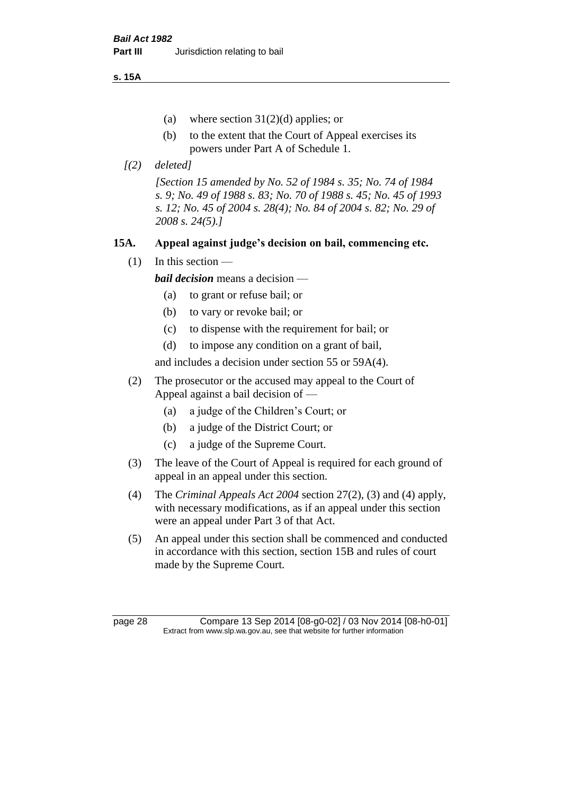**s. 15A**

- (a) where section  $31(2)(d)$  applies; or
- (b) to the extent that the Court of Appeal exercises its powers under Part A of Schedule 1.
- *[(2) deleted]*

*[Section 15 amended by No. 52 of 1984 s. 35; No. 74 of 1984 s. 9; No. 49 of 1988 s. 83; No. 70 of 1988 s. 45; No. 45 of 1993 s. 12; No. 45 of 2004 s. 28(4); No. 84 of 2004 s. 82; No. 29 of 2008 s. 24(5).]* 

# **15A. Appeal against judge's decision on bail, commencing etc.**

 $(1)$  In this section —

*bail decision* means a decision —

- (a) to grant or refuse bail; or
- (b) to vary or revoke bail; or
- (c) to dispense with the requirement for bail; or
- (d) to impose any condition on a grant of bail,

and includes a decision under section 55 or 59A(4).

- (2) The prosecutor or the accused may appeal to the Court of Appeal against a bail decision of —
	- (a) a judge of the Children's Court; or
	- (b) a judge of the District Court; or
	- (c) a judge of the Supreme Court.
- (3) The leave of the Court of Appeal is required for each ground of appeal in an appeal under this section.
- (4) The *Criminal Appeals Act 2004* section 27(2), (3) and (4) apply, with necessary modifications, as if an appeal under this section were an appeal under Part 3 of that Act.
- (5) An appeal under this section shall be commenced and conducted in accordance with this section, section 15B and rules of court made by the Supreme Court.

page 28 Compare 13 Sep 2014 [08-g0-02] / 03 Nov 2014 [08-h0-01] Extract from www.slp.wa.gov.au, see that website for further information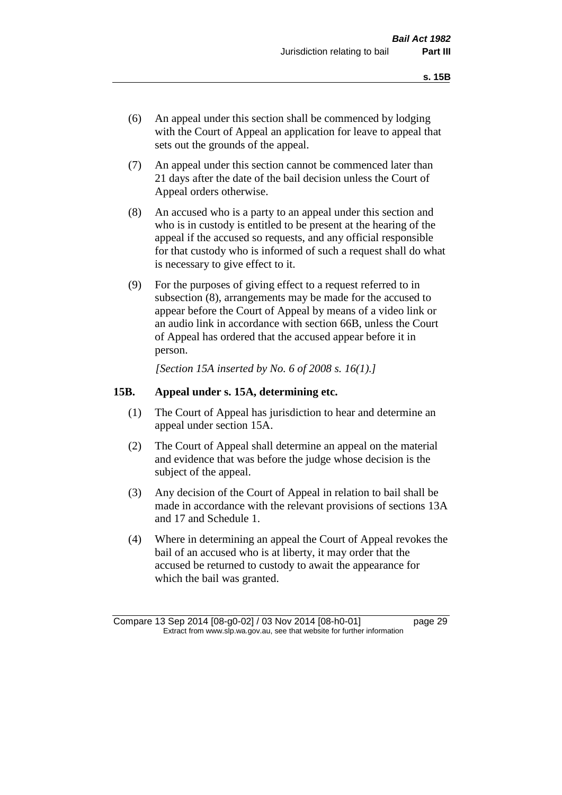- (6) An appeal under this section shall be commenced by lodging with the Court of Appeal an application for leave to appeal that sets out the grounds of the appeal.
- (7) An appeal under this section cannot be commenced later than 21 days after the date of the bail decision unless the Court of Appeal orders otherwise.
- (8) An accused who is a party to an appeal under this section and who is in custody is entitled to be present at the hearing of the appeal if the accused so requests, and any official responsible for that custody who is informed of such a request shall do what is necessary to give effect to it.
- (9) For the purposes of giving effect to a request referred to in subsection (8), arrangements may be made for the accused to appear before the Court of Appeal by means of a video link or an audio link in accordance with section 66B, unless the Court of Appeal has ordered that the accused appear before it in person.

*[Section 15A inserted by No. 6 of 2008 s. 16(1).]*

#### **15B. Appeal under s. 15A, determining etc.**

- (1) The Court of Appeal has jurisdiction to hear and determine an appeal under section 15A.
- (2) The Court of Appeal shall determine an appeal on the material and evidence that was before the judge whose decision is the subject of the appeal.
- (3) Any decision of the Court of Appeal in relation to bail shall be made in accordance with the relevant provisions of sections 13A and 17 and Schedule 1.
- (4) Where in determining an appeal the Court of Appeal revokes the bail of an accused who is at liberty, it may order that the accused be returned to custody to await the appearance for which the bail was granted.

Compare 13 Sep 2014 [08-g0-02] / 03 Nov 2014 [08-h0-01] page 29 Extract from www.slp.wa.gov.au, see that website for further information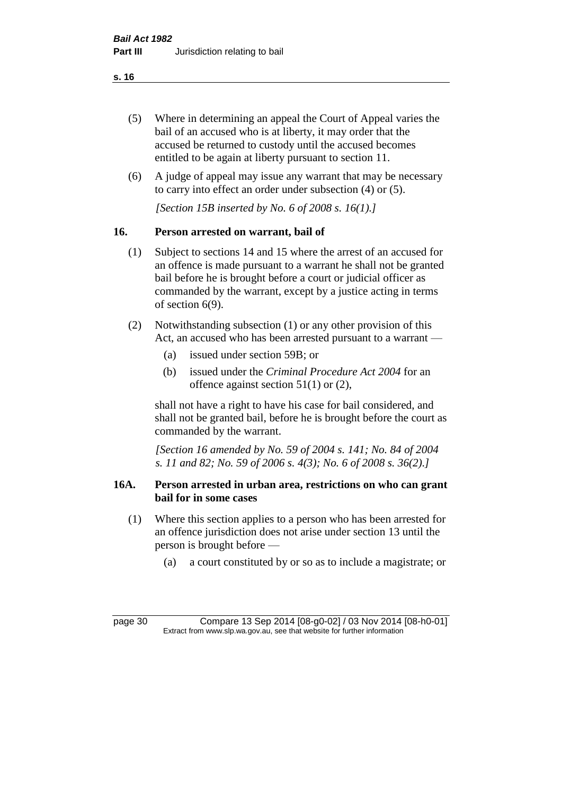**s. 16**

- (5) Where in determining an appeal the Court of Appeal varies the bail of an accused who is at liberty, it may order that the accused be returned to custody until the accused becomes entitled to be again at liberty pursuant to section 11.
- (6) A judge of appeal may issue any warrant that may be necessary to carry into effect an order under subsection (4) or (5).

*[Section 15B inserted by No. 6 of 2008 s. 16(1).]*

# **16. Person arrested on warrant, bail of**

- (1) Subject to sections 14 and 15 where the arrest of an accused for an offence is made pursuant to a warrant he shall not be granted bail before he is brought before a court or judicial officer as commanded by the warrant, except by a justice acting in terms of section 6(9).
- (2) Notwithstanding subsection (1) or any other provision of this Act, an accused who has been arrested pursuant to a warrant —
	- (a) issued under section 59B; or
	- (b) issued under the *Criminal Procedure Act 2004* for an offence against section 51(1) or (2),

shall not have a right to have his case for bail considered, and shall not be granted bail, before he is brought before the court as commanded by the warrant.

*[Section 16 amended by No. 59 of 2004 s. 141; No. 84 of 2004 s. 11 and 82; No. 59 of 2006 s. 4(3); No. 6 of 2008 s. 36(2).]*

#### **16A. Person arrested in urban area, restrictions on who can grant bail for in some cases**

- (1) Where this section applies to a person who has been arrested for an offence jurisdiction does not arise under section 13 until the person is brought before —
	- (a) a court constituted by or so as to include a magistrate; or

page 30 Compare 13 Sep 2014 [08-g0-02] / 03 Nov 2014 [08-h0-01] Extract from www.slp.wa.gov.au, see that website for further information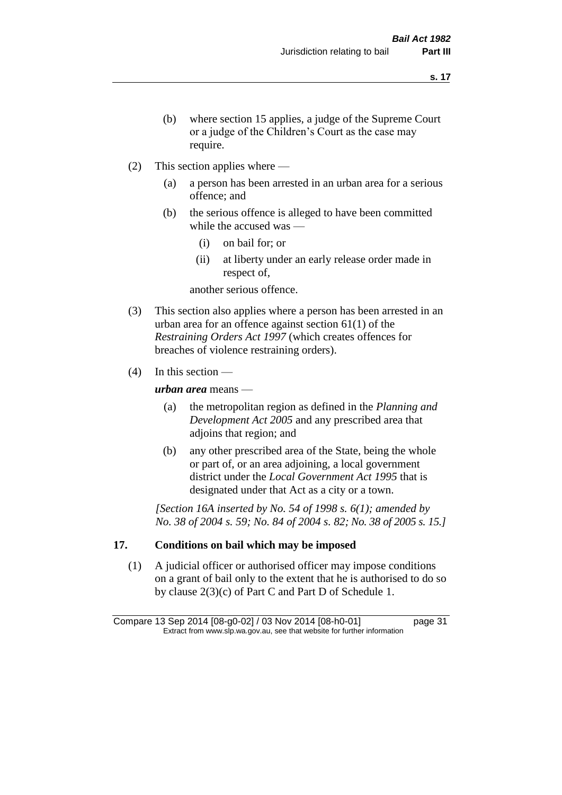- (b) where section 15 applies, a judge of the Supreme Court or a judge of the Children's Court as the case may require.
- (2) This section applies where
	- (a) a person has been arrested in an urban area for a serious offence; and
	- (b) the serious offence is alleged to have been committed while the accused was —
		- (i) on bail for; or
		- (ii) at liberty under an early release order made in respect of,

another serious offence.

- (3) This section also applies where a person has been arrested in an urban area for an offence against section 61(1) of the *Restraining Orders Act 1997* (which creates offences for breaches of violence restraining orders).
- $(4)$  In this section —

*urban area* means —

- (a) the metropolitan region as defined in the *Planning and Development Act 2005* and any prescribed area that adjoins that region; and
- (b) any other prescribed area of the State, being the whole or part of, or an area adjoining, a local government district under the *Local Government Act 1995* that is designated under that Act as a city or a town.

*[Section 16A inserted by No. 54 of 1998 s. 6(1); amended by No. 38 of 2004 s. 59; No. 84 of 2004 s. 82; No. 38 of 2005 s. 15.]*

# **17. Conditions on bail which may be imposed**

(1) A judicial officer or authorised officer may impose conditions on a grant of bail only to the extent that he is authorised to do so by clause 2(3)(c) of Part C and Part D of Schedule 1.

Compare 13 Sep 2014 [08-g0-02] / 03 Nov 2014 [08-h0-01] page 31 Extract from www.slp.wa.gov.au, see that website for further information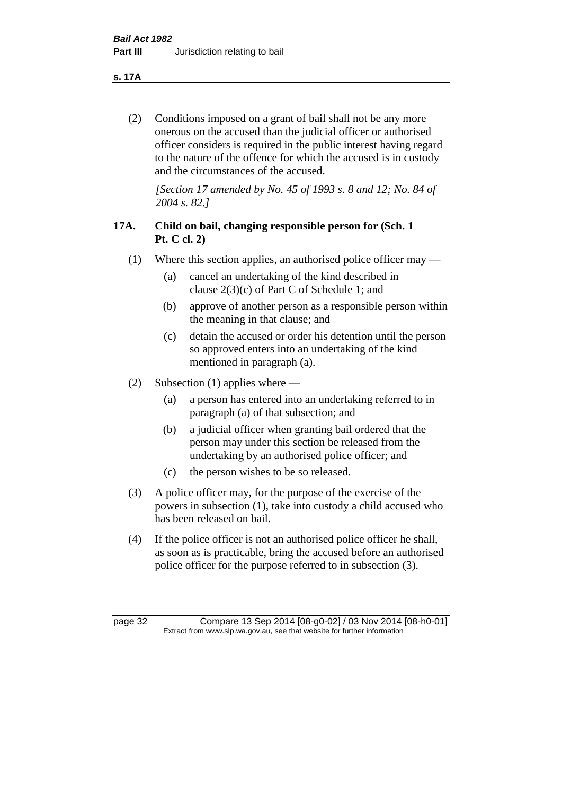**s. 17A**

(2) Conditions imposed on a grant of bail shall not be any more onerous on the accused than the judicial officer or authorised officer considers is required in the public interest having regard to the nature of the offence for which the accused is in custody and the circumstances of the accused.

*[Section 17 amended by No. 45 of 1993 s. 8 and 12; No. 84 of 2004 s. 82.]* 

# **17A. Child on bail, changing responsible person for (Sch. 1 Pt. C cl. 2)**

- (1) Where this section applies, an authorised police officer may
	- (a) cancel an undertaking of the kind described in clause 2(3)(c) of Part C of Schedule 1; and
	- (b) approve of another person as a responsible person within the meaning in that clause; and
	- (c) detain the accused or order his detention until the person so approved enters into an undertaking of the kind mentioned in paragraph (a).
- (2) Subsection (1) applies where
	- (a) a person has entered into an undertaking referred to in paragraph (a) of that subsection; and
	- (b) a judicial officer when granting bail ordered that the person may under this section be released from the undertaking by an authorised police officer; and
	- (c) the person wishes to be so released.
- (3) A police officer may, for the purpose of the exercise of the powers in subsection (1), take into custody a child accused who has been released on bail.
- (4) If the police officer is not an authorised police officer he shall, as soon as is practicable, bring the accused before an authorised police officer for the purpose referred to in subsection (3).

page 32 Compare 13 Sep 2014 [08-g0-02] / 03 Nov 2014 [08-h0-01] Extract from www.slp.wa.gov.au, see that website for further information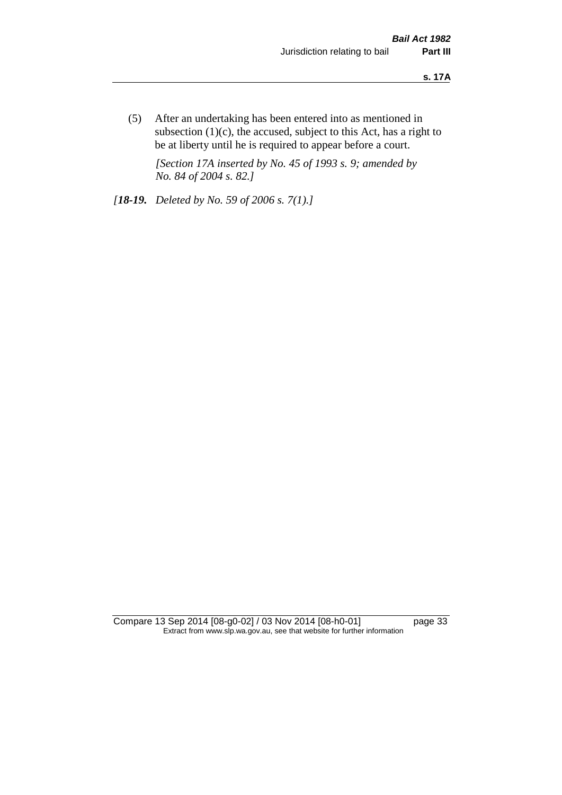(5) After an undertaking has been entered into as mentioned in subsection  $(1)(c)$ , the accused, subject to this Act, has a right to be at liberty until he is required to appear before a court.

*[Section 17A inserted by No. 45 of 1993 s. 9; amended by No. 84 of 2004 s. 82.]* 

*[18-19. Deleted by No. 59 of 2006 s. 7(1).]*

Compare 13 Sep 2014 [08-g0-02] / 03 Nov 2014 [08-h0-01] page 33 Extract from www.slp.wa.gov.au, see that website for further information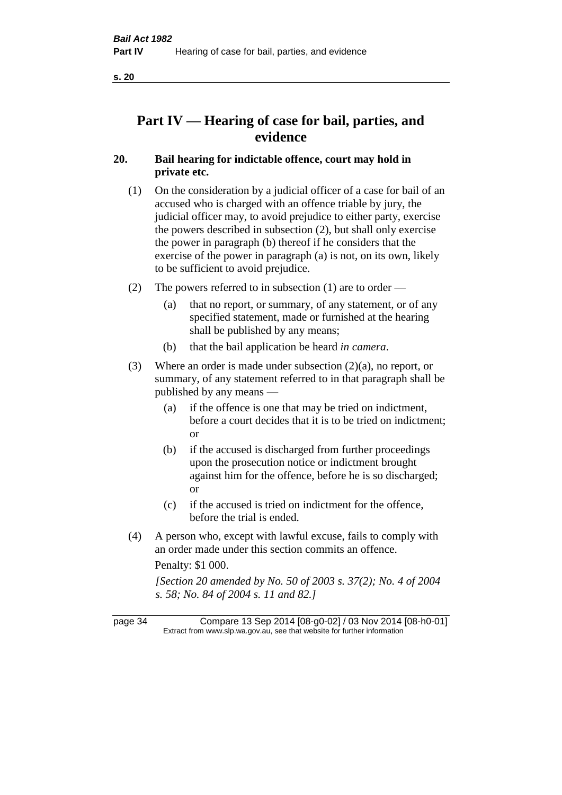**s. 20**

# **Part IV — Hearing of case for bail, parties, and evidence**

# **20. Bail hearing for indictable offence, court may hold in private etc.**

- (1) On the consideration by a judicial officer of a case for bail of an accused who is charged with an offence triable by jury, the judicial officer may, to avoid prejudice to either party, exercise the powers described in subsection (2), but shall only exercise the power in paragraph (b) thereof if he considers that the exercise of the power in paragraph (a) is not, on its own, likely to be sufficient to avoid prejudice.
- (2) The powers referred to in subsection (1) are to order
	- (a) that no report, or summary, of any statement, or of any specified statement, made or furnished at the hearing shall be published by any means;
	- (b) that the bail application be heard *in camera*.
- (3) Where an order is made under subsection (2)(a), no report, or summary, of any statement referred to in that paragraph shall be published by any means —
	- (a) if the offence is one that may be tried on indictment, before a court decides that it is to be tried on indictment; or
	- (b) if the accused is discharged from further proceedings upon the prosecution notice or indictment brought against him for the offence, before he is so discharged; or
	- (c) if the accused is tried on indictment for the offence, before the trial is ended.
- (4) A person who, except with lawful excuse, fails to comply with an order made under this section commits an offence.

Penalty: \$1 000.

*[Section 20 amended by No. 50 of 2003 s. 37(2); No. 4 of 2004 s. 58; No. 84 of 2004 s. 11 and 82.]*

page 34 Compare 13 Sep 2014 [08-g0-02] / 03 Nov 2014 [08-h0-01] Extract from www.slp.wa.gov.au, see that website for further information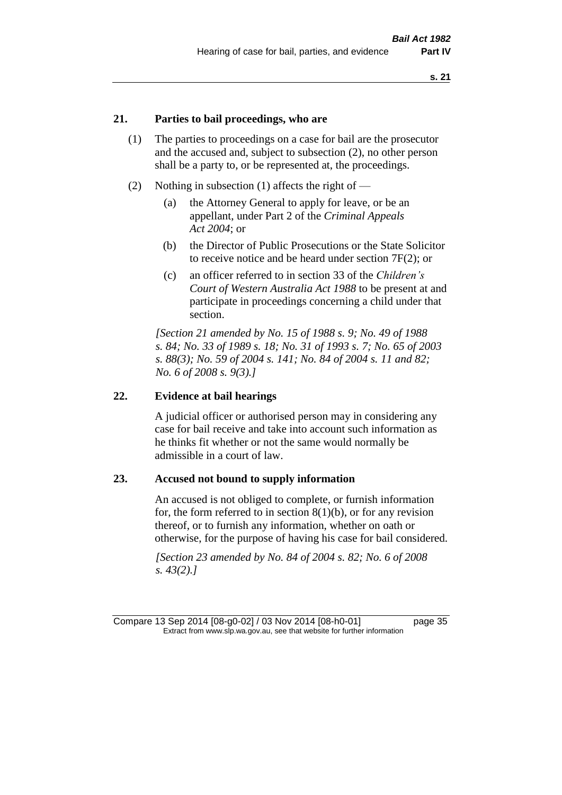### **21. Parties to bail proceedings, who are**

- (1) The parties to proceedings on a case for bail are the prosecutor and the accused and, subject to subsection (2), no other person shall be a party to, or be represented at, the proceedings.
- (2) Nothing in subsection (1) affects the right of
	- (a) the Attorney General to apply for leave, or be an appellant, under Part 2 of the *Criminal Appeals Act 2004*; or
	- (b) the Director of Public Prosecutions or the State Solicitor to receive notice and be heard under section 7F(2); or
	- (c) an officer referred to in section 33 of the *Children's Court of Western Australia Act 1988* to be present at and participate in proceedings concerning a child under that section.

*[Section 21 amended by No. 15 of 1988 s. 9; No. 49 of 1988 s. 84; No. 33 of 1989 s. 18; No. 31 of 1993 s. 7; No. 65 of 2003 s. 88(3); No. 59 of 2004 s. 141; No. 84 of 2004 s. 11 and 82; No. 6 of 2008 s. 9(3).]* 

### **22. Evidence at bail hearings**

A judicial officer or authorised person may in considering any case for bail receive and take into account such information as he thinks fit whether or not the same would normally be admissible in a court of law.

#### **23. Accused not bound to supply information**

An accused is not obliged to complete, or furnish information for, the form referred to in section  $8(1)(b)$ , or for any revision thereof, or to furnish any information, whether on oath or otherwise, for the purpose of having his case for bail considered.

*[Section 23 amended by No. 84 of 2004 s. 82; No. 6 of 2008 s. 43(2).]* 

Compare 13 Sep 2014 [08-g0-02] / 03 Nov 2014 [08-h0-01] page 35 Extract from www.slp.wa.gov.au, see that website for further information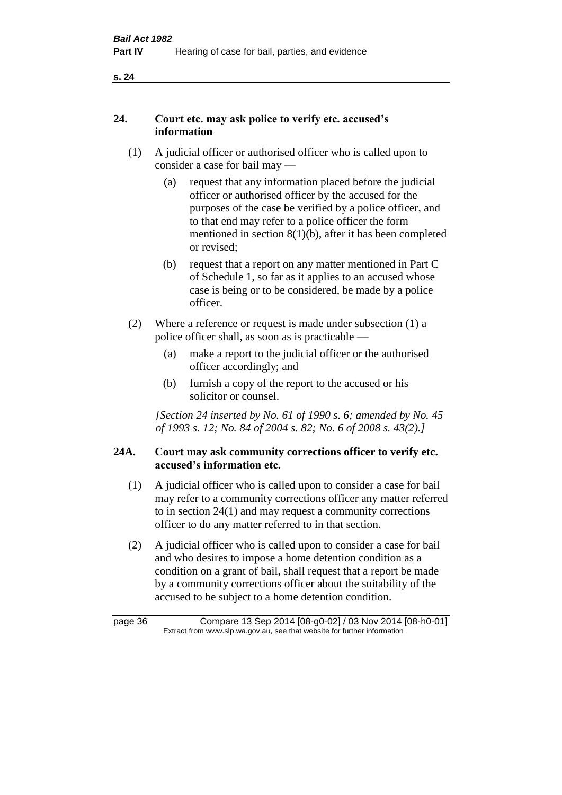# **24. Court etc. may ask police to verify etc. accused's information**

- (1) A judicial officer or authorised officer who is called upon to consider a case for bail may —
	- (a) request that any information placed before the judicial officer or authorised officer by the accused for the purposes of the case be verified by a police officer, and to that end may refer to a police officer the form mentioned in section 8(1)(b), after it has been completed or revised;
	- (b) request that a report on any matter mentioned in Part C of Schedule 1, so far as it applies to an accused whose case is being or to be considered, be made by a police officer.
- (2) Where a reference or request is made under subsection (1) a police officer shall, as soon as is practicable —
	- (a) make a report to the judicial officer or the authorised officer accordingly; and
	- (b) furnish a copy of the report to the accused or his solicitor or counsel.

*[Section 24 inserted by No. 61 of 1990 s. 6; amended by No. 45 of 1993 s. 12; No. 84 of 2004 s. 82; No. 6 of 2008 s. 43(2).]* 

# **24A. Court may ask community corrections officer to verify etc. accused's information etc.**

- (1) A judicial officer who is called upon to consider a case for bail may refer to a community corrections officer any matter referred to in section 24(1) and may request a community corrections officer to do any matter referred to in that section.
- (2) A judicial officer who is called upon to consider a case for bail and who desires to impose a home detention condition as a condition on a grant of bail, shall request that a report be made by a community corrections officer about the suitability of the accused to be subject to a home detention condition.

| page 36 | Compare 13 Sep 2014 [08-g0-02] / 03 Nov 2014 [08-h0-01]                  |
|---------|--------------------------------------------------------------------------|
|         | Extract from www.slp.wa.gov.au, see that website for further information |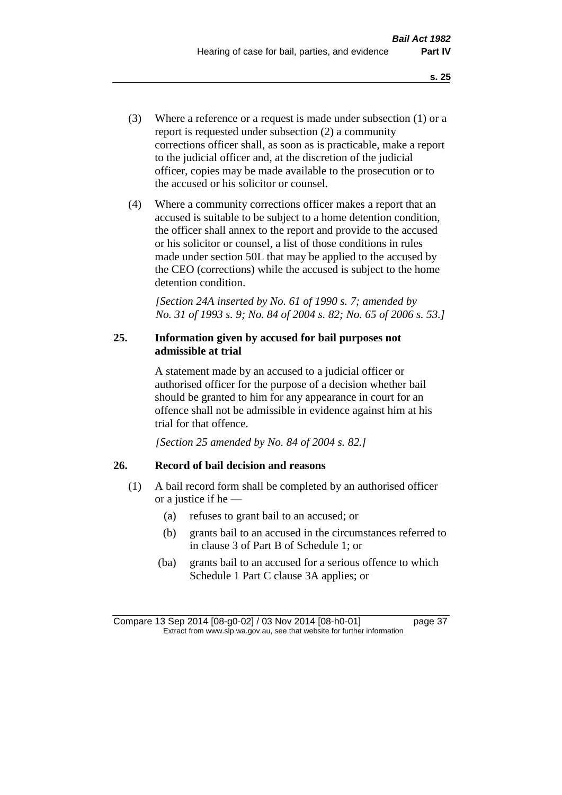- (3) Where a reference or a request is made under subsection (1) or a report is requested under subsection (2) a community corrections officer shall, as soon as is practicable, make a report to the judicial officer and, at the discretion of the judicial officer, copies may be made available to the prosecution or to the accused or his solicitor or counsel.
- (4) Where a community corrections officer makes a report that an accused is suitable to be subject to a home detention condition, the officer shall annex to the report and provide to the accused or his solicitor or counsel, a list of those conditions in rules made under section 50L that may be applied to the accused by the CEO (corrections) while the accused is subject to the home detention condition.

*[Section 24A inserted by No. 61 of 1990 s. 7; amended by No. 31 of 1993 s. 9; No. 84 of 2004 s. 82; No. 65 of 2006 s. 53.]* 

## **25. Information given by accused for bail purposes not admissible at trial**

A statement made by an accused to a judicial officer or authorised officer for the purpose of a decision whether bail should be granted to him for any appearance in court for an offence shall not be admissible in evidence against him at his trial for that offence.

*[Section 25 amended by No. 84 of 2004 s. 82.]* 

### **26. Record of bail decision and reasons**

- (1) A bail record form shall be completed by an authorised officer or a justice if he —
	- (a) refuses to grant bail to an accused; or
	- (b) grants bail to an accused in the circumstances referred to in clause 3 of Part B of Schedule 1; or
	- (ba) grants bail to an accused for a serious offence to which Schedule 1 Part C clause 3A applies; or

Compare 13 Sep 2014 [08-g0-02] / 03 Nov 2014 [08-h0-01] page 37 Extract from www.slp.wa.gov.au, see that website for further information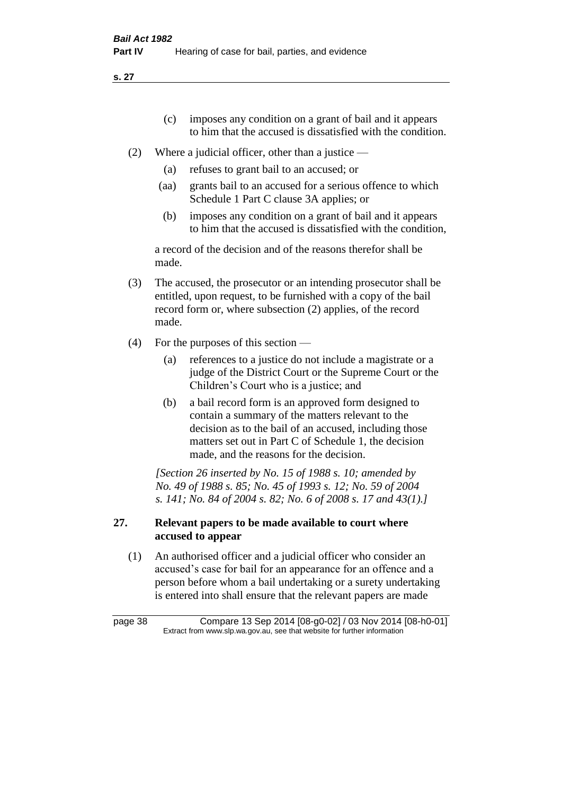- (c) imposes any condition on a grant of bail and it appears to him that the accused is dissatisfied with the condition.
- (2) Where a judicial officer, other than a justice
	- (a) refuses to grant bail to an accused; or
	- (aa) grants bail to an accused for a serious offence to which Schedule 1 Part C clause 3A applies; or
	- (b) imposes any condition on a grant of bail and it appears to him that the accused is dissatisfied with the condition,

a record of the decision and of the reasons therefor shall be made.

- (3) The accused, the prosecutor or an intending prosecutor shall be entitled, upon request, to be furnished with a copy of the bail record form or, where subsection (2) applies, of the record made.
- (4) For the purposes of this section
	- (a) references to a justice do not include a magistrate or a judge of the District Court or the Supreme Court or the Children's Court who is a justice; and
	- (b) a bail record form is an approved form designed to contain a summary of the matters relevant to the decision as to the bail of an accused, including those matters set out in Part C of Schedule 1, the decision made, and the reasons for the decision.

*[Section 26 inserted by No. 15 of 1988 s. 10; amended by No. 49 of 1988 s. 85; No. 45 of 1993 s. 12; No. 59 of 2004 s. 141; No. 84 of 2004 s. 82; No. 6 of 2008 s. 17 and 43(1).]* 

# **27. Relevant papers to be made available to court where accused to appear**

(1) An authorised officer and a judicial officer who consider an accused's case for bail for an appearance for an offence and a person before whom a bail undertaking or a surety undertaking is entered into shall ensure that the relevant papers are made

page 38 Compare 13 Sep 2014 [08-g0-02] / 03 Nov 2014 [08-h0-01] Extract from www.slp.wa.gov.au, see that website for further information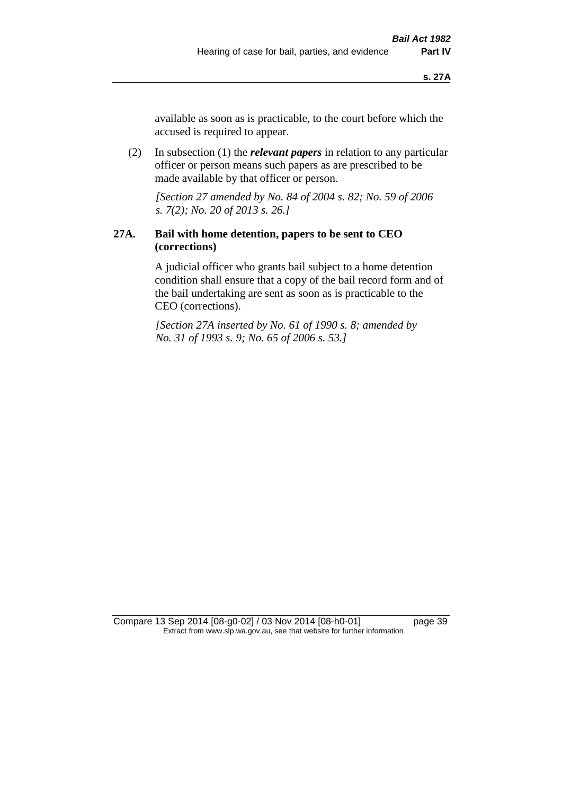available as soon as is practicable, to the court before which the accused is required to appear.

(2) In subsection (1) the *relevant papers* in relation to any particular officer or person means such papers as are prescribed to be made available by that officer or person.

*[Section 27 amended by No. 84 of 2004 s. 82; No. 59 of 2006 s. 7(2); No. 20 of 2013 s. 26.]* 

# **27A. Bail with home detention, papers to be sent to CEO (corrections)**

A judicial officer who grants bail subject to a home detention condition shall ensure that a copy of the bail record form and of the bail undertaking are sent as soon as is practicable to the CEO (corrections).

*[Section 27A inserted by No. 61 of 1990 s. 8; amended by No. 31 of 1993 s. 9; No. 65 of 2006 s. 53.]* 

Compare 13 Sep 2014 [08-g0-02] / 03 Nov 2014 [08-h0-01] page 39 Extract from www.slp.wa.gov.au, see that website for further information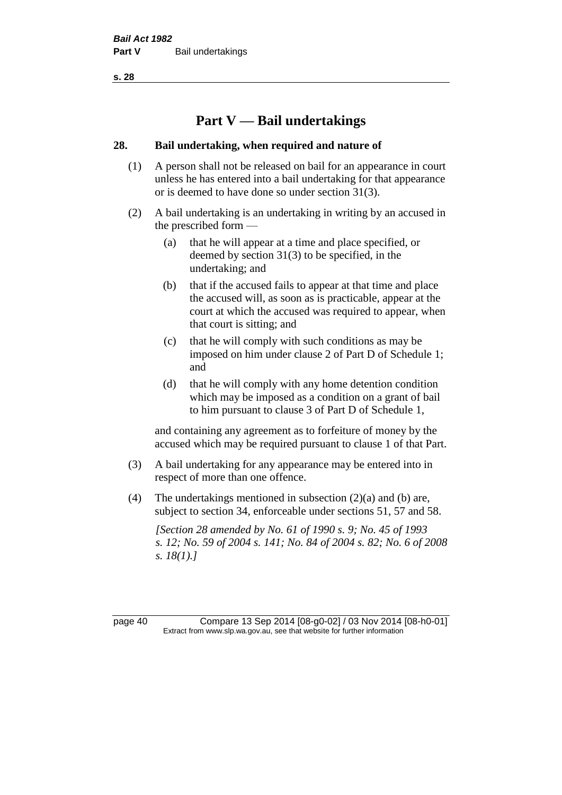# **Part V — Bail undertakings**

### **28. Bail undertaking, when required and nature of**

- (1) A person shall not be released on bail for an appearance in court unless he has entered into a bail undertaking for that appearance or is deemed to have done so under section 31(3).
- (2) A bail undertaking is an undertaking in writing by an accused in the prescribed form —
	- (a) that he will appear at a time and place specified, or deemed by section 31(3) to be specified, in the undertaking; and
	- (b) that if the accused fails to appear at that time and place the accused will, as soon as is practicable, appear at the court at which the accused was required to appear, when that court is sitting; and
	- (c) that he will comply with such conditions as may be imposed on him under clause 2 of Part D of Schedule 1; and
	- (d) that he will comply with any home detention condition which may be imposed as a condition on a grant of bail to him pursuant to clause 3 of Part D of Schedule 1,

and containing any agreement as to forfeiture of money by the accused which may be required pursuant to clause 1 of that Part.

- (3) A bail undertaking for any appearance may be entered into in respect of more than one offence.
- (4) The undertakings mentioned in subsection (2)(a) and (b) are, subject to section 34, enforceable under sections 51, 57 and 58.

*[Section 28 amended by No. 61 of 1990 s. 9; No. 45 of 1993 s. 12; No. 59 of 2004 s. 141; No. 84 of 2004 s. 82; No. 6 of 2008 s. 18(1).]* 

page 40 Compare 13 Sep 2014 [08-g0-02] / 03 Nov 2014 [08-h0-01] Extract from www.slp.wa.gov.au, see that website for further information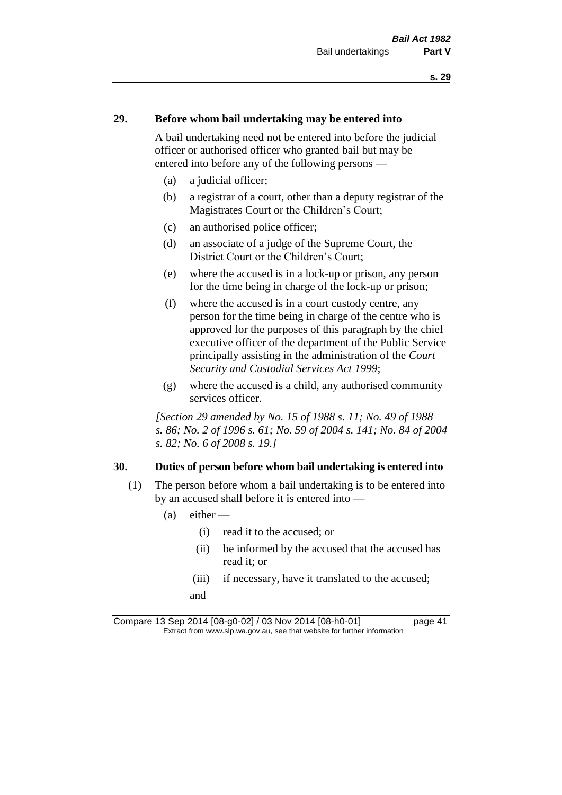### **29. Before whom bail undertaking may be entered into**

A bail undertaking need not be entered into before the judicial officer or authorised officer who granted bail but may be entered into before any of the following persons —

- (a) a judicial officer;
- (b) a registrar of a court, other than a deputy registrar of the Magistrates Court or the Children's Court;
- (c) an authorised police officer;
- (d) an associate of a judge of the Supreme Court, the District Court or the Children's Court;
- (e) where the accused is in a lock-up or prison, any person for the time being in charge of the lock-up or prison;
- (f) where the accused is in a court custody centre, any person for the time being in charge of the centre who is approved for the purposes of this paragraph by the chief executive officer of the department of the Public Service principally assisting in the administration of the *Court Security and Custodial Services Act 1999*;
- (g) where the accused is a child, any authorised community services officer.

*[Section 29 amended by No. 15 of 1988 s. 11; No. 49 of 1988 s. 86; No. 2 of 1996 s. 61; No. 59 of 2004 s. 141; No. 84 of 2004 s. 82; No. 6 of 2008 s. 19.]* 

#### **30. Duties of person before whom bail undertaking is entered into**

- (1) The person before whom a bail undertaking is to be entered into by an accused shall before it is entered into —
	- $(a)$  either
		- (i) read it to the accused; or
		- (ii) be informed by the accused that the accused has read it; or
		- (iii) if necessary, have it translated to the accused; and

Compare 13 Sep 2014 [08-g0-02] / 03 Nov 2014 [08-h0-01] page 41 Extract from www.slp.wa.gov.au, see that website for further information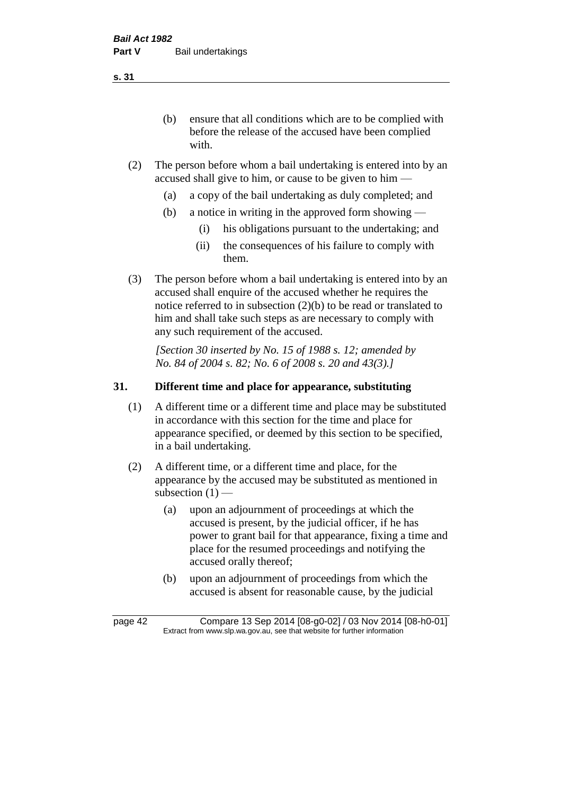(b) ensure that all conditions which are to be complied with before the release of the accused have been complied with.

- (2) The person before whom a bail undertaking is entered into by an accused shall give to him, or cause to be given to him —
	- (a) a copy of the bail undertaking as duly completed; and
	- (b) a notice in writing in the approved form showing
		- (i) his obligations pursuant to the undertaking; and
		- (ii) the consequences of his failure to comply with them.
- (3) The person before whom a bail undertaking is entered into by an accused shall enquire of the accused whether he requires the notice referred to in subsection (2)(b) to be read or translated to him and shall take such steps as are necessary to comply with any such requirement of the accused.

*[Section 30 inserted by No. 15 of 1988 s. 12; amended by No. 84 of 2004 s. 82; No. 6 of 2008 s. 20 and 43(3).]* 

### **31. Different time and place for appearance, substituting**

- (1) A different time or a different time and place may be substituted in accordance with this section for the time and place for appearance specified, or deemed by this section to be specified, in a bail undertaking.
- (2) A different time, or a different time and place, for the appearance by the accused may be substituted as mentioned in subsection  $(1)$  —
	- (a) upon an adjournment of proceedings at which the accused is present, by the judicial officer, if he has power to grant bail for that appearance, fixing a time and place for the resumed proceedings and notifying the accused orally thereof;
	- (b) upon an adjournment of proceedings from which the accused is absent for reasonable cause, by the judicial

page 42 Compare 13 Sep 2014 [08-g0-02] / 03 Nov 2014 [08-h0-01] Extract from www.slp.wa.gov.au, see that website for further information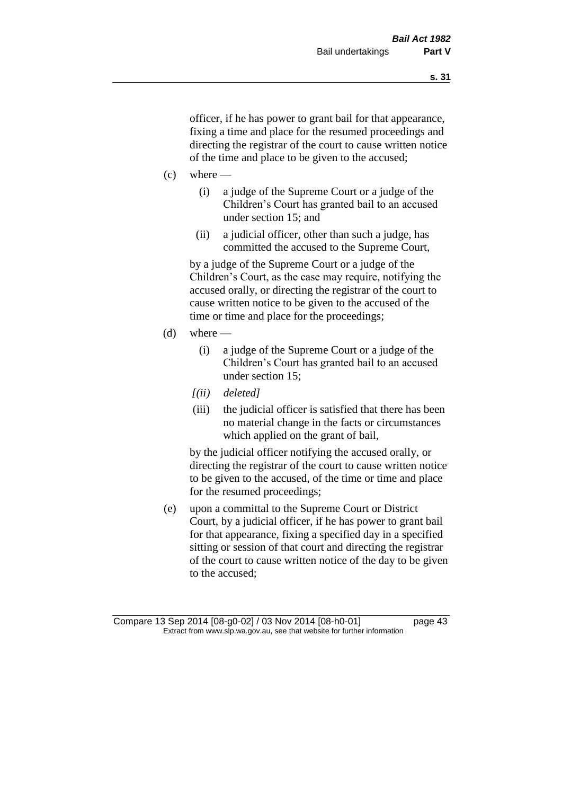officer, if he has power to grant bail for that appearance, fixing a time and place for the resumed proceedings and directing the registrar of the court to cause written notice of the time and place to be given to the accused;

- $(c)$  where
	- (i) a judge of the Supreme Court or a judge of the Children's Court has granted bail to an accused under section 15; and
	- (ii) a judicial officer, other than such a judge, has committed the accused to the Supreme Court,

by a judge of the Supreme Court or a judge of the Children's Court, as the case may require, notifying the accused orally, or directing the registrar of the court to cause written notice to be given to the accused of the time or time and place for the proceedings;

- $(d)$  where
	- (i) a judge of the Supreme Court or a judge of the Children's Court has granted bail to an accused under section 15;
	- *[(ii) deleted]*
	- (iii) the judicial officer is satisfied that there has been no material change in the facts or circumstances which applied on the grant of bail,

by the judicial officer notifying the accused orally, or directing the registrar of the court to cause written notice to be given to the accused, of the time or time and place for the resumed proceedings;

(e) upon a committal to the Supreme Court or District Court, by a judicial officer, if he has power to grant bail for that appearance, fixing a specified day in a specified sitting or session of that court and directing the registrar of the court to cause written notice of the day to be given to the accused;

Compare 13 Sep 2014 [08-g0-02] / 03 Nov 2014 [08-h0-01] page 43 Extract from www.slp.wa.gov.au, see that website for further information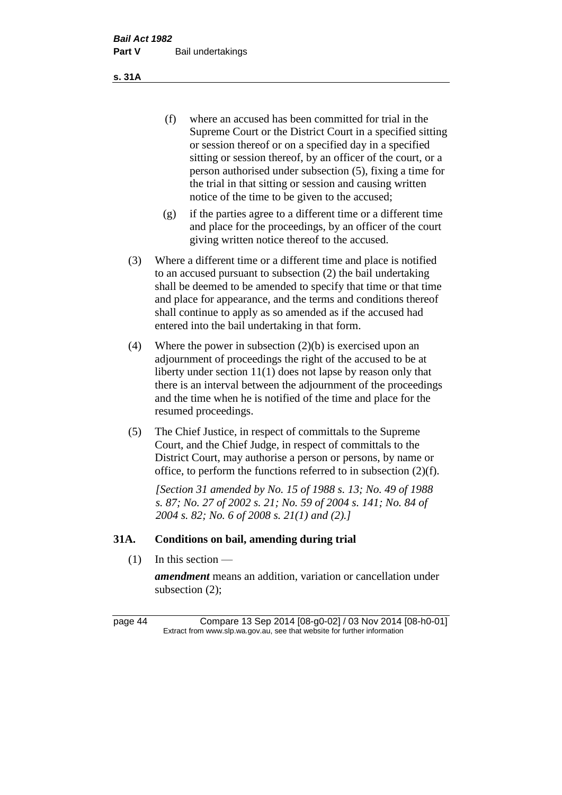(f) where an accused has been committed for trial in the Supreme Court or the District Court in a specified sitting or session thereof or on a specified day in a specified sitting or session thereof, by an officer of the court, or a person authorised under subsection (5), fixing a time for the trial in that sitting or session and causing written notice of the time to be given to the accused;

- (g) if the parties agree to a different time or a different time and place for the proceedings, by an officer of the court giving written notice thereof to the accused.
- (3) Where a different time or a different time and place is notified to an accused pursuant to subsection (2) the bail undertaking shall be deemed to be amended to specify that time or that time and place for appearance, and the terms and conditions thereof shall continue to apply as so amended as if the accused had entered into the bail undertaking in that form.
- (4) Where the power in subsection (2)(b) is exercised upon an adjournment of proceedings the right of the accused to be at liberty under section 11(1) does not lapse by reason only that there is an interval between the adjournment of the proceedings and the time when he is notified of the time and place for the resumed proceedings.
- (5) The Chief Justice, in respect of committals to the Supreme Court, and the Chief Judge, in respect of committals to the District Court, may authorise a person or persons, by name or office, to perform the functions referred to in subsection (2)(f).

*[Section 31 amended by No. 15 of 1988 s. 13; No. 49 of 1988 s. 87; No. 27 of 2002 s. 21; No. 59 of 2004 s. 141; No. 84 of 2004 s. 82; No. 6 of 2008 s. 21(1) and (2).]* 

### **31A. Conditions on bail, amending during trial**

 $(1)$  In this section —

*amendment* means an addition, variation or cancellation under subsection (2);

page 44 Compare 13 Sep 2014 [08-g0-02] / 03 Nov 2014 [08-h0-01] Extract from www.slp.wa.gov.au, see that website for further information

**s. 31A**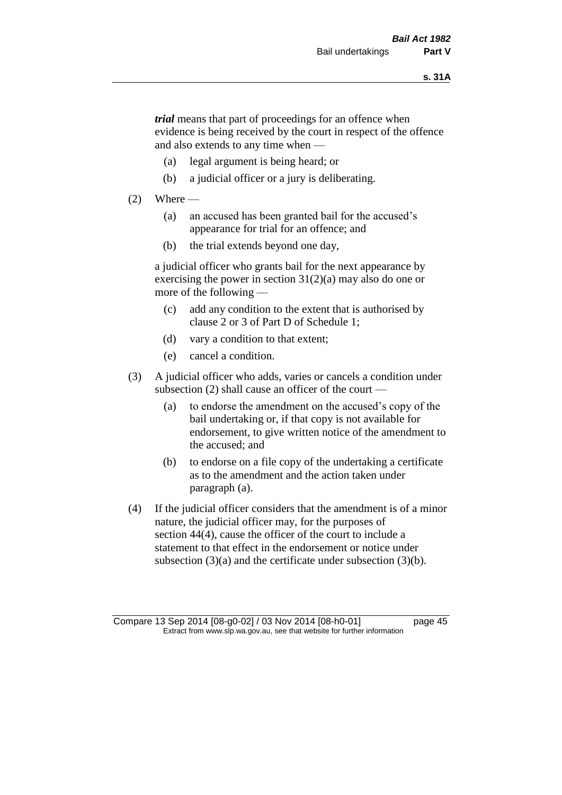*trial* means that part of proceedings for an offence when evidence is being received by the court in respect of the offence and also extends to any time when —

- (a) legal argument is being heard; or
- (b) a judicial officer or a jury is deliberating.

#### $(2)$  Where —

- (a) an accused has been granted bail for the accused's appearance for trial for an offence; and
- (b) the trial extends beyond one day,

a judicial officer who grants bail for the next appearance by exercising the power in section  $31(2)(a)$  may also do one or more of the following —

- (c) add any condition to the extent that is authorised by clause 2 or 3 of Part D of Schedule 1;
- (d) vary a condition to that extent;
- (e) cancel a condition.
- (3) A judicial officer who adds, varies or cancels a condition under subsection (2) shall cause an officer of the court —
	- (a) to endorse the amendment on the accused's copy of the bail undertaking or, if that copy is not available for endorsement, to give written notice of the amendment to the accused; and
	- (b) to endorse on a file copy of the undertaking a certificate as to the amendment and the action taken under paragraph (a).
- (4) If the judicial officer considers that the amendment is of a minor nature, the judicial officer may, for the purposes of section 44(4), cause the officer of the court to include a statement to that effect in the endorsement or notice under subsection (3)(a) and the certificate under subsection (3)(b).

Compare 13 Sep 2014 [08-g0-02] / 03 Nov 2014 [08-h0-01] page 45 Extract from www.slp.wa.gov.au, see that website for further information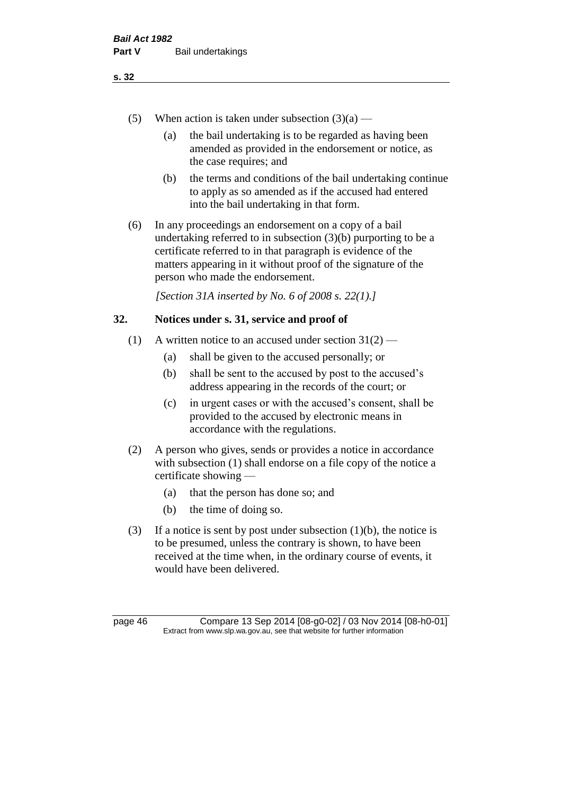- (5) When action is taken under subsection  $(3)(a)$ 
	- (a) the bail undertaking is to be regarded as having been amended as provided in the endorsement or notice, as the case requires; and
	- (b) the terms and conditions of the bail undertaking continue to apply as so amended as if the accused had entered into the bail undertaking in that form.
- (6) In any proceedings an endorsement on a copy of a bail undertaking referred to in subsection (3)(b) purporting to be a certificate referred to in that paragraph is evidence of the matters appearing in it without proof of the signature of the person who made the endorsement.

*[Section 31A inserted by No. 6 of 2008 s. 22(1).]*

## **32. Notices under s. 31, service and proof of**

- (1) A written notice to an accused under section  $31(2)$ 
	- (a) shall be given to the accused personally; or
	- (b) shall be sent to the accused by post to the accused's address appearing in the records of the court; or
	- (c) in urgent cases or with the accused's consent, shall be provided to the accused by electronic means in accordance with the regulations.
- (2) A person who gives, sends or provides a notice in accordance with subsection (1) shall endorse on a file copy of the notice a certificate showing —
	- (a) that the person has done so; and
	- (b) the time of doing so.
- (3) If a notice is sent by post under subsection  $(1)(b)$ , the notice is to be presumed, unless the contrary is shown, to have been received at the time when, in the ordinary course of events, it would have been delivered.

page 46 Compare 13 Sep 2014 [08-g0-02] / 03 Nov 2014 [08-h0-01] Extract from www.slp.wa.gov.au, see that website for further information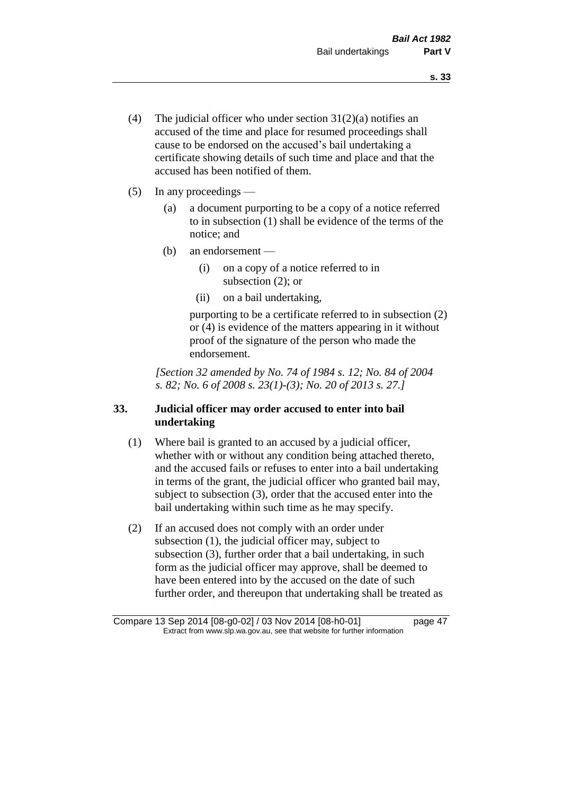- (4) The judicial officer who under section  $31(2)(a)$  notifies an accused of the time and place for resumed proceedings shall cause to be endorsed on the accused's bail undertaking a certificate showing details of such time and place and that the accused has been notified of them.
- (5) In any proceedings
	- (a) a document purporting to be a copy of a notice referred to in subsection (1) shall be evidence of the terms of the notice; and
	- (b) an endorsement
		- (i) on a copy of a notice referred to in subsection (2); or
		- (ii) on a bail undertaking,

purporting to be a certificate referred to in subsection (2) or (4) is evidence of the matters appearing in it without proof of the signature of the person who made the endorsement.

*[Section 32 amended by No. 74 of 1984 s. 12; No. 84 of 2004 s. 82; No. 6 of 2008 s. 23(1)-(3); No. 20 of 2013 s. 27.]* 

# **33. Judicial officer may order accused to enter into bail undertaking**

- (1) Where bail is granted to an accused by a judicial officer, whether with or without any condition being attached thereto, and the accused fails or refuses to enter into a bail undertaking in terms of the grant, the judicial officer who granted bail may, subject to subsection (3), order that the accused enter into the bail undertaking within such time as he may specify.
- (2) If an accused does not comply with an order under subsection (1), the judicial officer may, subject to subsection (3), further order that a bail undertaking, in such form as the judicial officer may approve, shall be deemed to have been entered into by the accused on the date of such further order, and thereupon that undertaking shall be treated as

Compare 13 Sep 2014 [08-g0-02] / 03 Nov 2014 [08-h0-01] page 47 Extract from www.slp.wa.gov.au, see that website for further information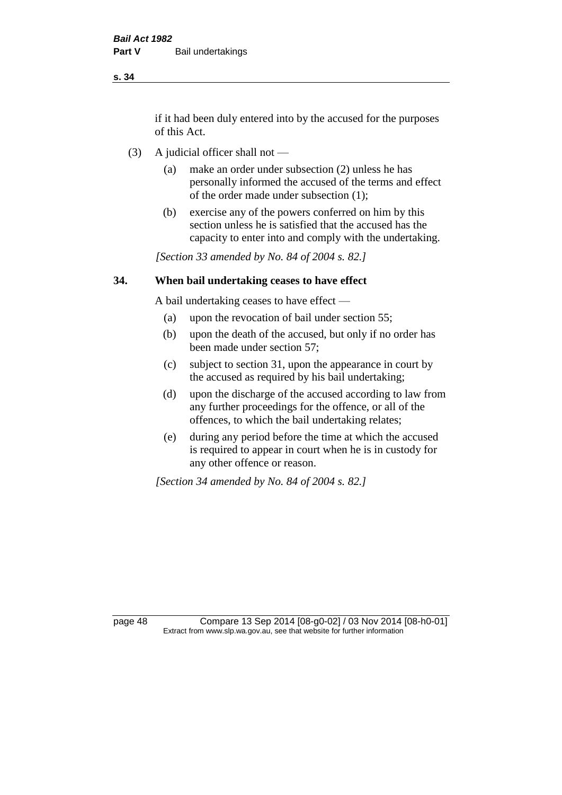if it had been duly entered into by the accused for the purposes of this Act.

- (3) A judicial officer shall not
	- (a) make an order under subsection (2) unless he has personally informed the accused of the terms and effect of the order made under subsection (1);
	- (b) exercise any of the powers conferred on him by this section unless he is satisfied that the accused has the capacity to enter into and comply with the undertaking.

*[Section 33 amended by No. 84 of 2004 s. 82.]* 

### **34. When bail undertaking ceases to have effect**

A bail undertaking ceases to have effect —

- (a) upon the revocation of bail under section 55;
- (b) upon the death of the accused, but only if no order has been made under section 57;
- (c) subject to section 31, upon the appearance in court by the accused as required by his bail undertaking;
- (d) upon the discharge of the accused according to law from any further proceedings for the offence, or all of the offences, to which the bail undertaking relates;
- (e) during any period before the time at which the accused is required to appear in court when he is in custody for any other offence or reason.

*[Section 34 amended by No. 84 of 2004 s. 82.]* 

page 48 Compare 13 Sep 2014 [08-g0-02] / 03 Nov 2014 [08-h0-01] Extract from www.slp.wa.gov.au, see that website for further information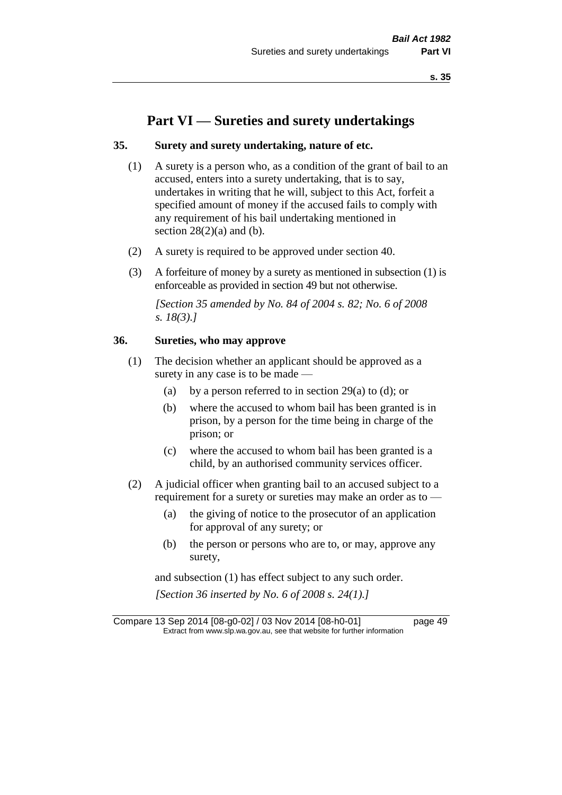# **Part VI — Sureties and surety undertakings**

### **35. Surety and surety undertaking, nature of etc.**

- (1) A surety is a person who, as a condition of the grant of bail to an accused, enters into a surety undertaking, that is to say, undertakes in writing that he will, subject to this Act, forfeit a specified amount of money if the accused fails to comply with any requirement of his bail undertaking mentioned in section  $28(2)(a)$  and (b).
- (2) A surety is required to be approved under section 40.
- (3) A forfeiture of money by a surety as mentioned in subsection (1) is enforceable as provided in section 49 but not otherwise.

*[Section 35 amended by No. 84 of 2004 s. 82; No. 6 of 2008 s. 18(3).]* 

### **36. Sureties, who may approve**

- (1) The decision whether an applicant should be approved as a surety in any case is to be made —
	- (a) by a person referred to in section 29(a) to (d); or
	- (b) where the accused to whom bail has been granted is in prison, by a person for the time being in charge of the prison; or
	- (c) where the accused to whom bail has been granted is a child, by an authorised community services officer.
- (2) A judicial officer when granting bail to an accused subject to a requirement for a surety or sureties may make an order as to -
	- (a) the giving of notice to the prosecutor of an application for approval of any surety; or
	- (b) the person or persons who are to, or may, approve any surety,

and subsection (1) has effect subject to any such order. *[Section 36 inserted by No. 6 of 2008 s. 24(1).]*

Compare 13 Sep 2014 [08-g0-02] / 03 Nov 2014 [08-h0-01] page 49 Extract from www.slp.wa.gov.au, see that website for further information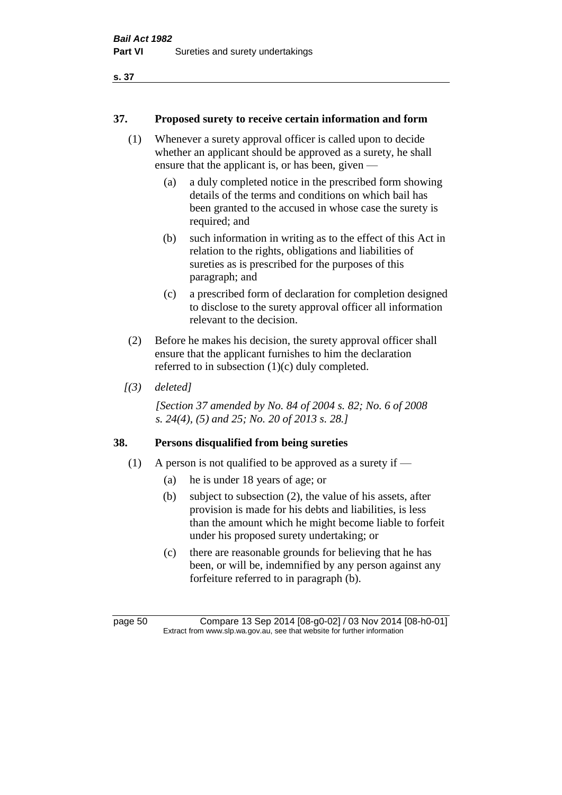### **37. Proposed surety to receive certain information and form**

- (1) Whenever a surety approval officer is called upon to decide whether an applicant should be approved as a surety, he shall ensure that the applicant is, or has been, given —
	- (a) a duly completed notice in the prescribed form showing details of the terms and conditions on which bail has been granted to the accused in whose case the surety is required; and
	- (b) such information in writing as to the effect of this Act in relation to the rights, obligations and liabilities of sureties as is prescribed for the purposes of this paragraph; and
	- (c) a prescribed form of declaration for completion designed to disclose to the surety approval officer all information relevant to the decision.
- (2) Before he makes his decision, the surety approval officer shall ensure that the applicant furnishes to him the declaration referred to in subsection (1)(c) duly completed.
- *[(3) deleted]*

*[Section 37 amended by No. 84 of 2004 s. 82; No. 6 of 2008 s. 24(4), (5) and 25; No. 20 of 2013 s. 28.]* 

## **38. Persons disqualified from being sureties**

- (1) A person is not qualified to be approved as a surety if  $-$ 
	- (a) he is under 18 years of age; or
	- (b) subject to subsection (2), the value of his assets, after provision is made for his debts and liabilities, is less than the amount which he might become liable to forfeit under his proposed surety undertaking; or
	- (c) there are reasonable grounds for believing that he has been, or will be, indemnified by any person against any forfeiture referred to in paragraph (b).

page 50 Compare 13 Sep 2014 [08-g0-02] / 03 Nov 2014 [08-h0-01] Extract from www.slp.wa.gov.au, see that website for further information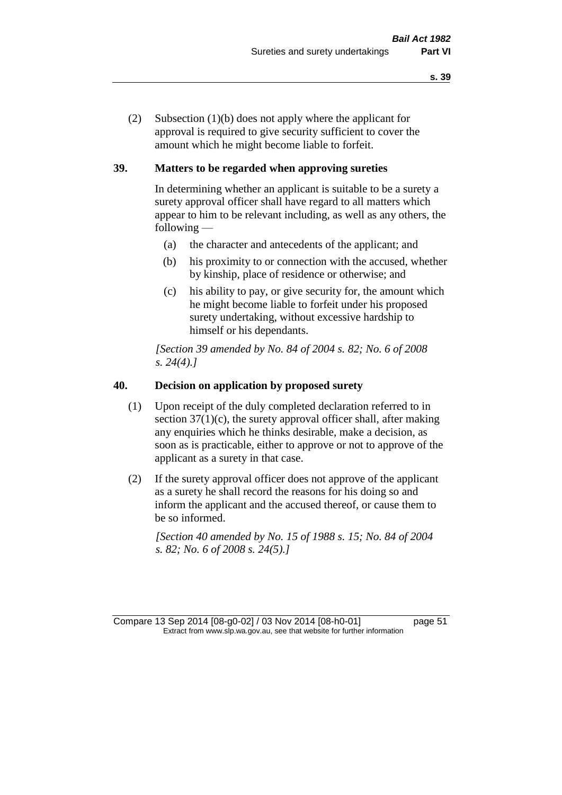(2) Subsection (1)(b) does not apply where the applicant for approval is required to give security sufficient to cover the amount which he might become liable to forfeit.

### **39. Matters to be regarded when approving sureties**

In determining whether an applicant is suitable to be a surety a surety approval officer shall have regard to all matters which appear to him to be relevant including, as well as any others, the following —

- (a) the character and antecedents of the applicant; and
- (b) his proximity to or connection with the accused, whether by kinship, place of residence or otherwise; and
- (c) his ability to pay, or give security for, the amount which he might become liable to forfeit under his proposed surety undertaking, without excessive hardship to himself or his dependants.

*[Section 39 amended by No. 84 of 2004 s. 82; No. 6 of 2008 s. 24(4).]* 

### **40. Decision on application by proposed surety**

- (1) Upon receipt of the duly completed declaration referred to in section  $37(1)(c)$ , the surety approval officer shall, after making any enquiries which he thinks desirable, make a decision, as soon as is practicable, either to approve or not to approve of the applicant as a surety in that case.
- (2) If the surety approval officer does not approve of the applicant as a surety he shall record the reasons for his doing so and inform the applicant and the accused thereof, or cause them to be so informed.

*[Section 40 amended by No. 15 of 1988 s. 15; No. 84 of 2004 s. 82; No. 6 of 2008 s. 24(5).]* 

Compare 13 Sep 2014 [08-g0-02] / 03 Nov 2014 [08-h0-01] page 51 Extract from www.slp.wa.gov.au, see that website for further information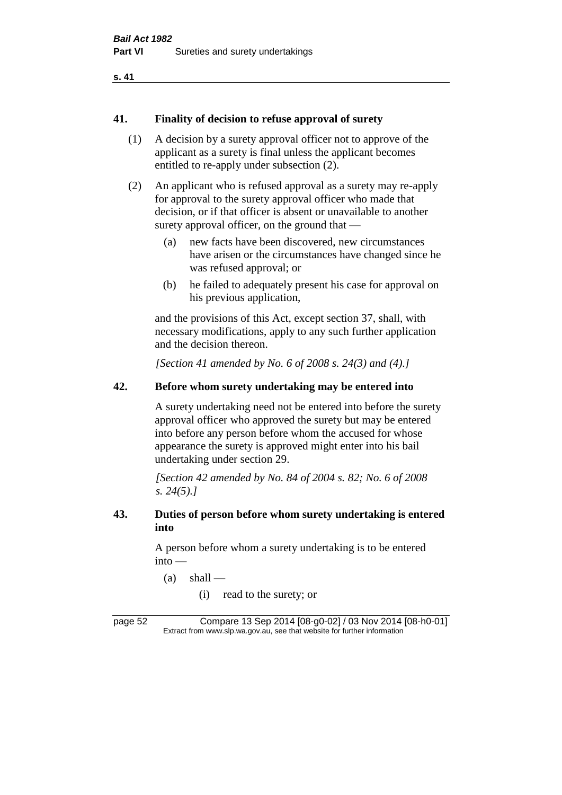### **41. Finality of decision to refuse approval of surety**

- (1) A decision by a surety approval officer not to approve of the applicant as a surety is final unless the applicant becomes entitled to re-apply under subsection (2).
- (2) An applicant who is refused approval as a surety may re-apply for approval to the surety approval officer who made that decision, or if that officer is absent or unavailable to another surety approval officer, on the ground that —
	- (a) new facts have been discovered, new circumstances have arisen or the circumstances have changed since he was refused approval; or
	- (b) he failed to adequately present his case for approval on his previous application,

and the provisions of this Act, except section 37, shall, with necessary modifications, apply to any such further application and the decision thereon.

*[Section 41 amended by No. 6 of 2008 s. 24(3) and (4).]*

## **42. Before whom surety undertaking may be entered into**

A surety undertaking need not be entered into before the surety approval officer who approved the surety but may be entered into before any person before whom the accused for whose appearance the surety is approved might enter into his bail undertaking under section 29.

*[Section 42 amended by No. 84 of 2004 s. 82; No. 6 of 2008 s. 24(5).]* 

### **43. Duties of person before whom surety undertaking is entered into**

A person before whom a surety undertaking is to be entered into —

- $(a)$  shall
	- (i) read to the surety; or

page 52 Compare 13 Sep 2014 [08-g0-02] / 03 Nov 2014 [08-h0-01] Extract from www.slp.wa.gov.au, see that website for further information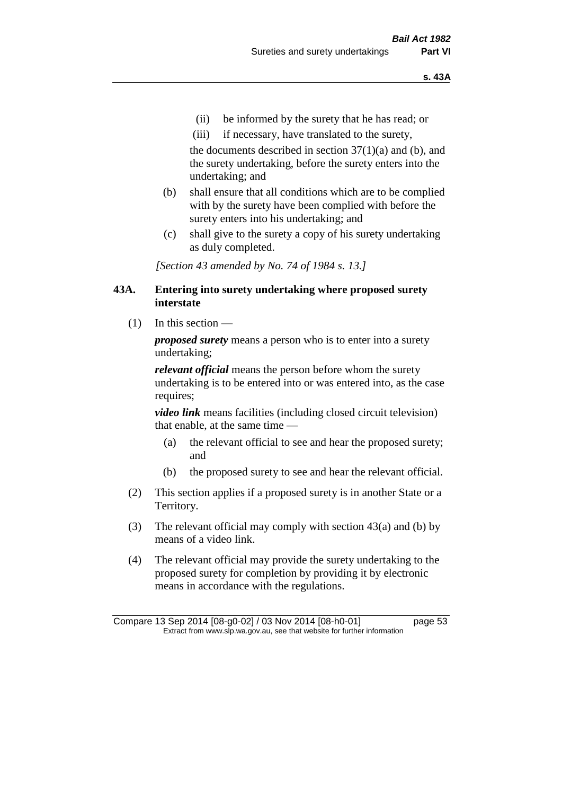- (ii) be informed by the surety that he has read; or
- (iii) if necessary, have translated to the surety,

the documents described in section  $37(1)(a)$  and (b), and the surety undertaking, before the surety enters into the undertaking; and

- (b) shall ensure that all conditions which are to be complied with by the surety have been complied with before the surety enters into his undertaking; and
- (c) shall give to the surety a copy of his surety undertaking as duly completed.

*[Section 43 amended by No. 74 of 1984 s. 13.]* 

### **43A. Entering into surety undertaking where proposed surety interstate**

 $(1)$  In this section —

*proposed surety* means a person who is to enter into a surety undertaking;

*relevant official* means the person before whom the surety undertaking is to be entered into or was entered into, as the case requires;

*video link* means facilities (including closed circuit television) that enable, at the same time —

- (a) the relevant official to see and hear the proposed surety; and
- (b) the proposed surety to see and hear the relevant official.
- (2) This section applies if a proposed surety is in another State or a Territory.
- (3) The relevant official may comply with section 43(a) and (b) by means of a video link.
- (4) The relevant official may provide the surety undertaking to the proposed surety for completion by providing it by electronic means in accordance with the regulations.

Compare 13 Sep 2014 [08-g0-02] / 03 Nov 2014 [08-h0-01] page 53 Extract from www.slp.wa.gov.au, see that website for further information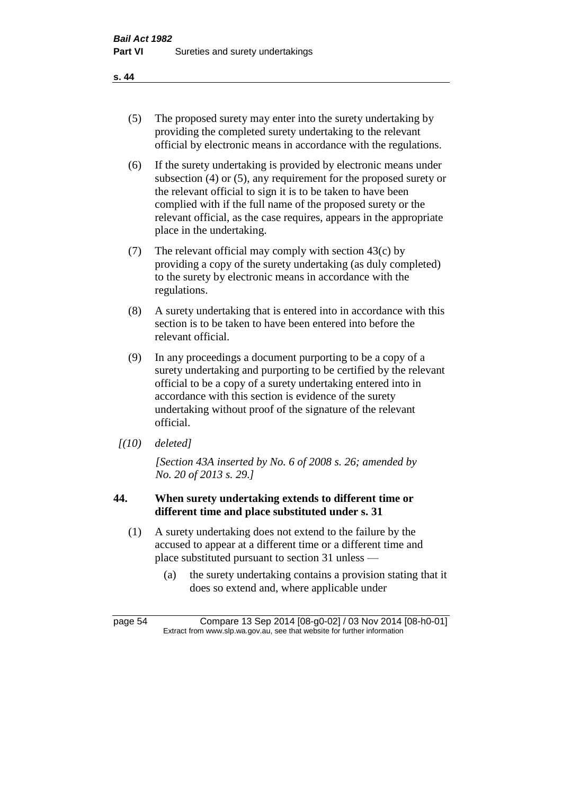- (5) The proposed surety may enter into the surety undertaking by providing the completed surety undertaking to the relevant official by electronic means in accordance with the regulations.
- (6) If the surety undertaking is provided by electronic means under subsection (4) or (5), any requirement for the proposed surety or the relevant official to sign it is to be taken to have been complied with if the full name of the proposed surety or the relevant official, as the case requires, appears in the appropriate place in the undertaking.
- (7) The relevant official may comply with section 43(c) by providing a copy of the surety undertaking (as duly completed) to the surety by electronic means in accordance with the regulations.
- (8) A surety undertaking that is entered into in accordance with this section is to be taken to have been entered into before the relevant official.
- (9) In any proceedings a document purporting to be a copy of a surety undertaking and purporting to be certified by the relevant official to be a copy of a surety undertaking entered into in accordance with this section is evidence of the surety undertaking without proof of the signature of the relevant official.
- *[(10) deleted]*

*[Section 43A inserted by No. 6 of 2008 s. 26; amended by No. 20 of 2013 s. 29.]*

# **44. When surety undertaking extends to different time or different time and place substituted under s. 31**

- (1) A surety undertaking does not extend to the failure by the accused to appear at a different time or a different time and place substituted pursuant to section 31 unless —
	- (a) the surety undertaking contains a provision stating that it does so extend and, where applicable under

page 54 Compare 13 Sep 2014 [08-g0-02] / 03 Nov 2014 [08-h0-01] Extract from www.slp.wa.gov.au, see that website for further information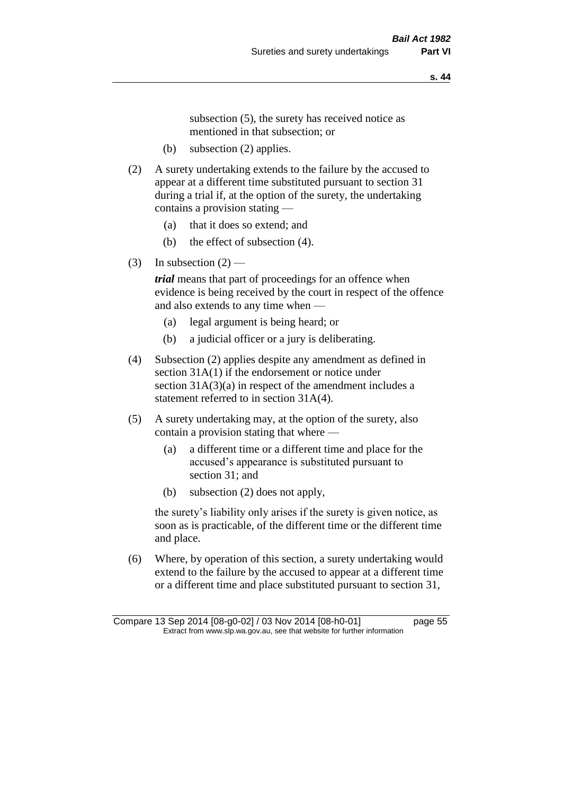subsection (5), the surety has received notice as mentioned in that subsection; or

- (b) subsection (2) applies.
- (2) A surety undertaking extends to the failure by the accused to appear at a different time substituted pursuant to section 31 during a trial if, at the option of the surety, the undertaking contains a provision stating —
	- (a) that it does so extend; and
	- (b) the effect of subsection (4).
- (3) In subsection  $(2)$  —

*trial* means that part of proceedings for an offence when evidence is being received by the court in respect of the offence and also extends to any time when —

- (a) legal argument is being heard; or
- (b) a judicial officer or a jury is deliberating.
- (4) Subsection (2) applies despite any amendment as defined in section 31A(1) if the endorsement or notice under section 31A(3)(a) in respect of the amendment includes a statement referred to in section 31A(4).
- (5) A surety undertaking may, at the option of the surety, also contain a provision stating that where —
	- (a) a different time or a different time and place for the accused's appearance is substituted pursuant to section 31; and
	- (b) subsection (2) does not apply,

the surety's liability only arises if the surety is given notice, as soon as is practicable, of the different time or the different time and place.

(6) Where, by operation of this section, a surety undertaking would extend to the failure by the accused to appear at a different time or a different time and place substituted pursuant to section 31,

Compare 13 Sep 2014 [08-g0-02] / 03 Nov 2014 [08-h0-01] page 55 Extract from www.slp.wa.gov.au, see that website for further information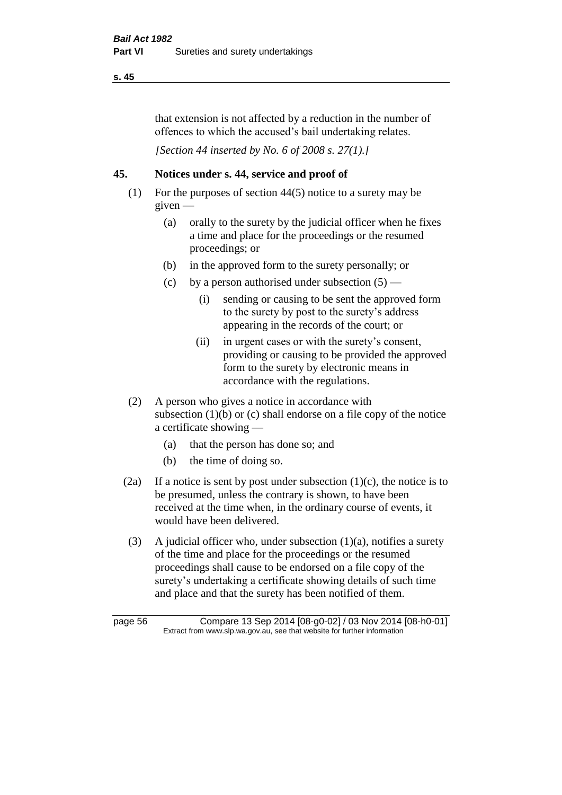that extension is not affected by a reduction in the number of offences to which the accused's bail undertaking relates.

*[Section 44 inserted by No. 6 of 2008 s. 27(1).]*

# **45. Notices under s. 44, service and proof of**

- (1) For the purposes of section 44(5) notice to a surety may be  $given -$ 
	- (a) orally to the surety by the judicial officer when he fixes a time and place for the proceedings or the resumed proceedings; or
	- (b) in the approved form to the surety personally; or
	- (c) by a person authorised under subsection  $(5)$ 
		- (i) sending or causing to be sent the approved form to the surety by post to the surety's address appearing in the records of the court; or
		- (ii) in urgent cases or with the surety's consent, providing or causing to be provided the approved form to the surety by electronic means in accordance with the regulations.
- (2) A person who gives a notice in accordance with subsection  $(1)(b)$  or  $(c)$  shall endorse on a file copy of the notice a certificate showing —
	- (a) that the person has done so; and
	- (b) the time of doing so.
- (2a) If a notice is sent by post under subsection  $(1)(c)$ , the notice is to be presumed, unless the contrary is shown, to have been received at the time when, in the ordinary course of events, it would have been delivered.
- (3) A judicial officer who, under subsection  $(1)(a)$ , notifies a surety of the time and place for the proceedings or the resumed proceedings shall cause to be endorsed on a file copy of the surety's undertaking a certificate showing details of such time and place and that the surety has been notified of them.

page 56 Compare 13 Sep 2014 [08-g0-02] / 03 Nov 2014 [08-h0-01] Extract from www.slp.wa.gov.au, see that website for further information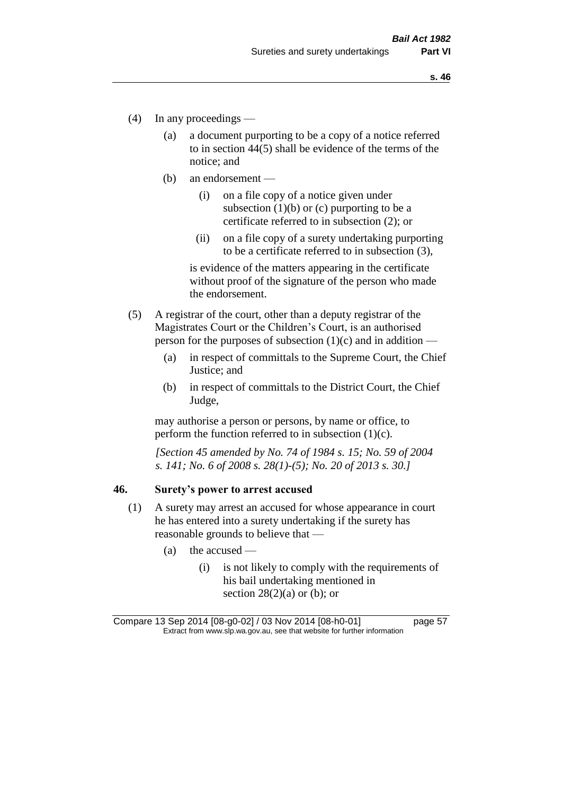- (4) In any proceedings
	- (a) a document purporting to be a copy of a notice referred to in section 44(5) shall be evidence of the terms of the notice; and
	- (b) an endorsement
		- (i) on a file copy of a notice given under subsection  $(1)(b)$  or  $(c)$  purporting to be a certificate referred to in subsection (2); or
		- (ii) on a file copy of a surety undertaking purporting to be a certificate referred to in subsection (3),

is evidence of the matters appearing in the certificate without proof of the signature of the person who made the endorsement.

- (5) A registrar of the court, other than a deputy registrar of the Magistrates Court or the Children's Court, is an authorised person for the purposes of subsection  $(1)(c)$  and in addition —
	- (a) in respect of committals to the Supreme Court, the Chief Justice; and
	- (b) in respect of committals to the District Court, the Chief Judge,

may authorise a person or persons, by name or office, to perform the function referred to in subsection  $(1)(c)$ .

*[Section 45 amended by No. 74 of 1984 s. 15; No. 59 of 2004 s. 141; No. 6 of 2008 s. 28(1)-(5); No. 20 of 2013 s. 30.]* 

#### **46. Surety's power to arrest accused**

- (1) A surety may arrest an accused for whose appearance in court he has entered into a surety undertaking if the surety has reasonable grounds to believe that —
	- (a) the accused
		- (i) is not likely to comply with the requirements of his bail undertaking mentioned in section  $28(2)(a)$  or (b); or

Compare 13 Sep 2014 [08-g0-02] / 03 Nov 2014 [08-h0-01] page 57 Extract from www.slp.wa.gov.au, see that website for further information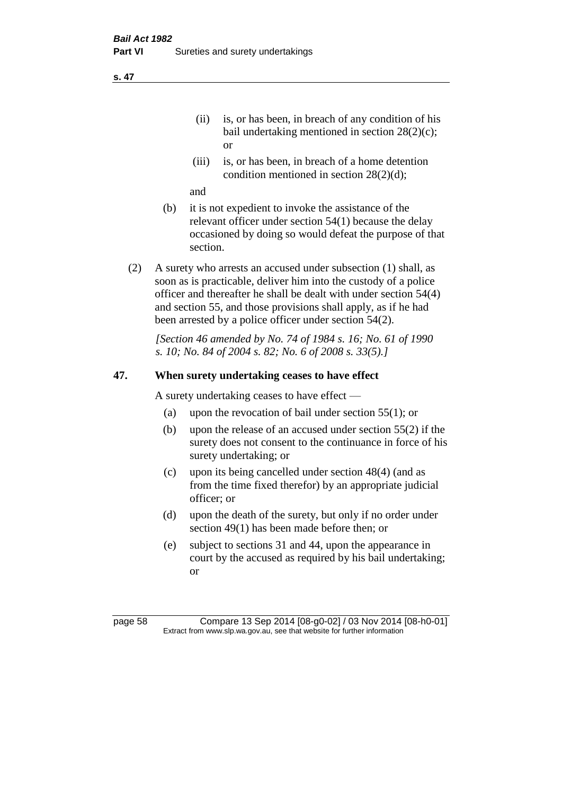- (ii) is, or has been, in breach of any condition of his bail undertaking mentioned in section 28(2)(c); or
- (iii) is, or has been, in breach of a home detention condition mentioned in section 28(2)(d);

and

- (b) it is not expedient to invoke the assistance of the relevant officer under section 54(1) because the delay occasioned by doing so would defeat the purpose of that section.
- (2) A surety who arrests an accused under subsection (1) shall, as soon as is practicable, deliver him into the custody of a police officer and thereafter he shall be dealt with under section 54(4) and section 55, and those provisions shall apply, as if he had been arrested by a police officer under section 54(2).

*[Section 46 amended by No. 74 of 1984 s. 16; No. 61 of 1990 s. 10; No. 84 of 2004 s. 82; No. 6 of 2008 s. 33(5).]* 

# **47. When surety undertaking ceases to have effect**

A surety undertaking ceases to have effect —

- (a) upon the revocation of bail under section 55(1); or
- (b) upon the release of an accused under section 55(2) if the surety does not consent to the continuance in force of his surety undertaking; or
- (c) upon its being cancelled under section 48(4) (and as from the time fixed therefor) by an appropriate judicial officer; or
- (d) upon the death of the surety, but only if no order under section 49(1) has been made before then; or
- (e) subject to sections 31 and 44, upon the appearance in court by the accused as required by his bail undertaking; or

page 58 Compare 13 Sep 2014 [08-g0-02] / 03 Nov 2014 [08-h0-01] Extract from www.slp.wa.gov.au, see that website for further information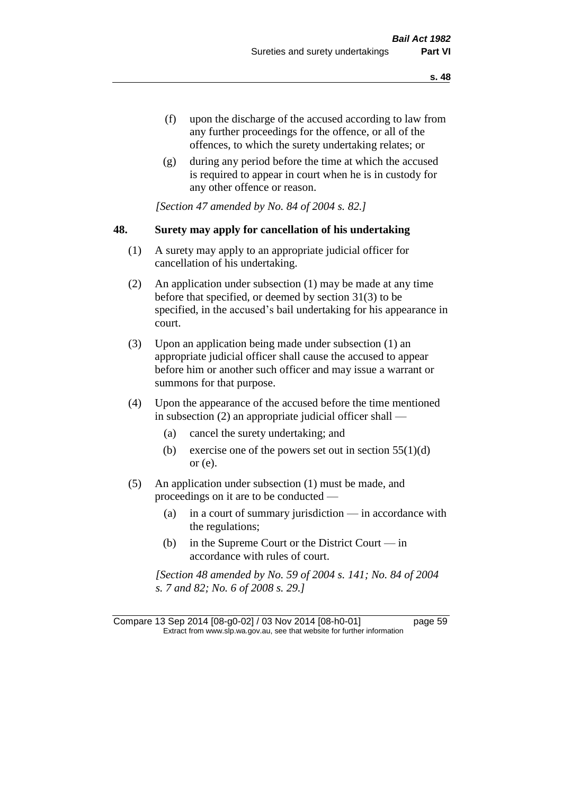- (f) upon the discharge of the accused according to law from any further proceedings for the offence, or all of the offences, to which the surety undertaking relates; or
- (g) during any period before the time at which the accused is required to appear in court when he is in custody for any other offence or reason.

*[Section 47 amended by No. 84 of 2004 s. 82.]* 

### **48. Surety may apply for cancellation of his undertaking**

- (1) A surety may apply to an appropriate judicial officer for cancellation of his undertaking.
- (2) An application under subsection (1) may be made at any time before that specified, or deemed by section 31(3) to be specified, in the accused's bail undertaking for his appearance in court.
- (3) Upon an application being made under subsection (1) an appropriate judicial officer shall cause the accused to appear before him or another such officer and may issue a warrant or summons for that purpose.
- (4) Upon the appearance of the accused before the time mentioned in subsection (2) an appropriate judicial officer shall —
	- (a) cancel the surety undertaking; and
	- (b) exercise one of the powers set out in section  $55(1)(d)$ or (e).
- (5) An application under subsection (1) must be made, and proceedings on it are to be conducted —
	- (a) in a court of summary jurisdiction in accordance with the regulations;
	- (b) in the Supreme Court or the District Court  $-\text{in}$ accordance with rules of court.

*[Section 48 amended by No. 59 of 2004 s. 141; No. 84 of 2004 s. 7 and 82; No. 6 of 2008 s. 29.]* 

Compare 13 Sep 2014 [08-g0-02] / 03 Nov 2014 [08-h0-01] page 59 Extract from www.slp.wa.gov.au, see that website for further information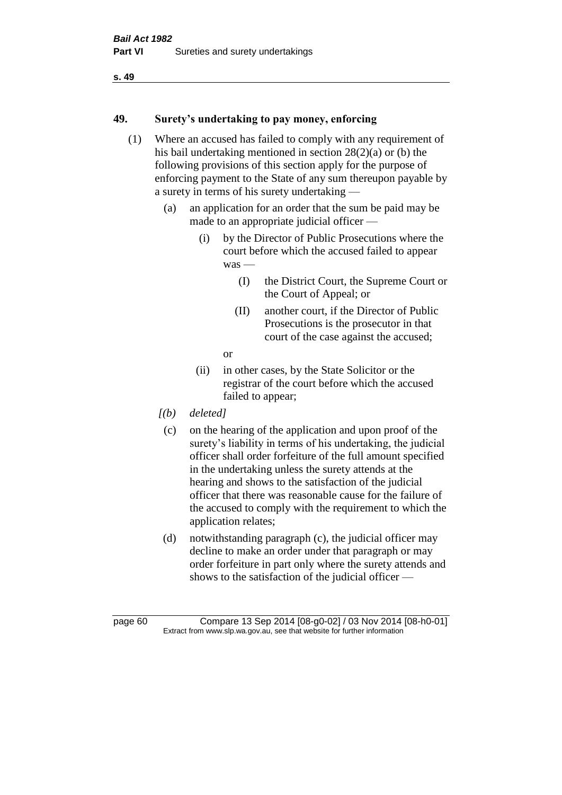### **49. Surety's undertaking to pay money, enforcing**

- (1) Where an accused has failed to comply with any requirement of his bail undertaking mentioned in section 28(2)(a) or (b) the following provisions of this section apply for the purpose of enforcing payment to the State of any sum thereupon payable by a surety in terms of his surety undertaking —
	- (a) an application for an order that the sum be paid may be made to an appropriate judicial officer —
		- (i) by the Director of Public Prosecutions where the court before which the accused failed to appear was —
			- (I) the District Court, the Supreme Court or the Court of Appeal; or
			- (II) another court, if the Director of Public Prosecutions is the prosecutor in that court of the case against the accused;
			- or
		- (ii) in other cases, by the State Solicitor or the registrar of the court before which the accused failed to appear;
	- *[(b) deleted]*
		- (c) on the hearing of the application and upon proof of the surety's liability in terms of his undertaking, the judicial officer shall order forfeiture of the full amount specified in the undertaking unless the surety attends at the hearing and shows to the satisfaction of the judicial officer that there was reasonable cause for the failure of the accused to comply with the requirement to which the application relates;
		- (d) notwithstanding paragraph (c), the judicial officer may decline to make an order under that paragraph or may order forfeiture in part only where the surety attends and shows to the satisfaction of the judicial officer —

page 60 Compare 13 Sep 2014 [08-g0-02] / 03 Nov 2014 [08-h0-01] Extract from www.slp.wa.gov.au, see that website for further information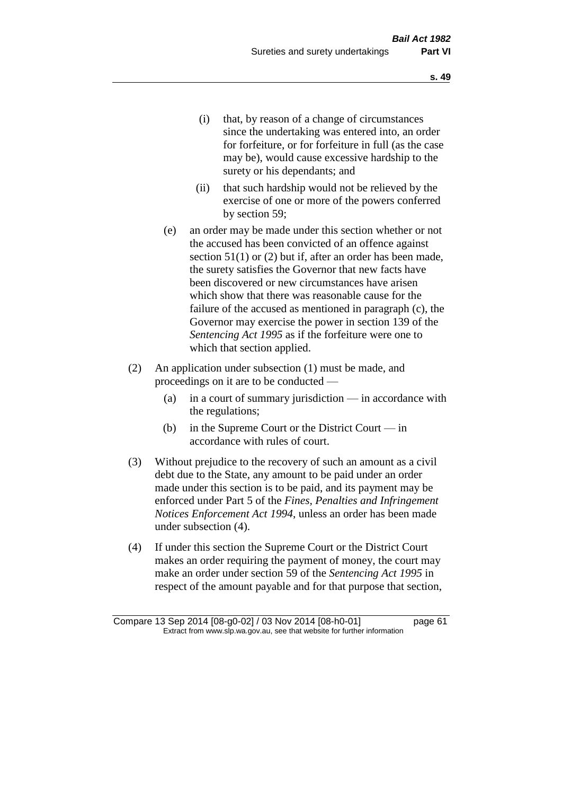- (i) that, by reason of a change of circumstances since the undertaking was entered into, an order for forfeiture, or for forfeiture in full (as the case may be), would cause excessive hardship to the surety or his dependants; and
- (ii) that such hardship would not be relieved by the exercise of one or more of the powers conferred by section 59;
- (e) an order may be made under this section whether or not the accused has been convicted of an offence against section 51(1) or (2) but if, after an order has been made, the surety satisfies the Governor that new facts have been discovered or new circumstances have arisen which show that there was reasonable cause for the failure of the accused as mentioned in paragraph (c), the Governor may exercise the power in section 139 of the *Sentencing Act 1995* as if the forfeiture were one to which that section applied.
- (2) An application under subsection (1) must be made, and proceedings on it are to be conducted —
	- (a) in a court of summary jurisdiction in accordance with the regulations;
	- (b) in the Supreme Court or the District Court in accordance with rules of court.
- (3) Without prejudice to the recovery of such an amount as a civil debt due to the State, any amount to be paid under an order made under this section is to be paid, and its payment may be enforced under Part 5 of the *Fines, Penalties and Infringement Notices Enforcement Act 1994*, unless an order has been made under subsection (4).
- (4) If under this section the Supreme Court or the District Court makes an order requiring the payment of money, the court may make an order under section 59 of the *Sentencing Act 1995* in respect of the amount payable and for that purpose that section,

Compare 13 Sep 2014 [08-g0-02] / 03 Nov 2014 [08-h0-01] page 61 Extract from www.slp.wa.gov.au, see that website for further information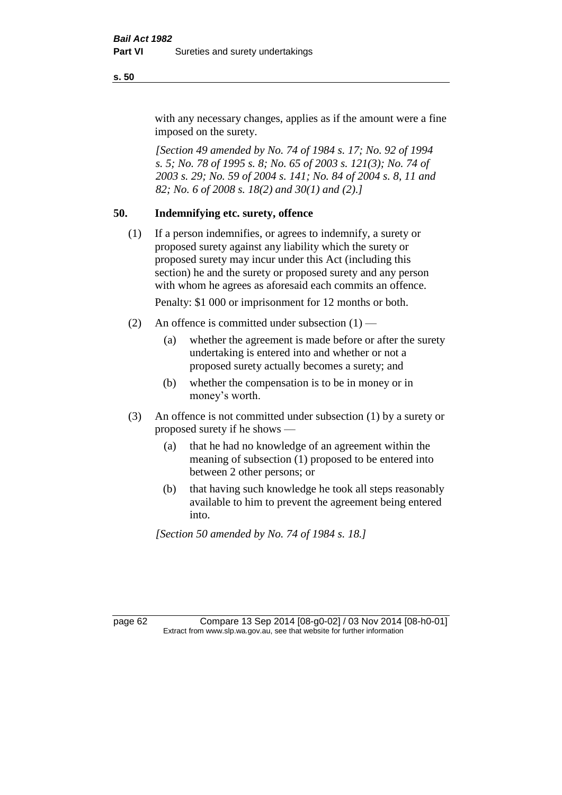with any necessary changes, applies as if the amount were a fine imposed on the surety.

*[Section 49 amended by No. 74 of 1984 s. 17; No. 92 of 1994 s. 5; No. 78 of 1995 s. 8; No. 65 of 2003 s. 121(3); No. 74 of 2003 s. 29; No. 59 of 2004 s. 141; No. 84 of 2004 s. 8, 11 and 82; No. 6 of 2008 s. 18(2) and 30(1) and (2).]* 

# **50. Indemnifying etc. surety, offence**

(1) If a person indemnifies, or agrees to indemnify, a surety or proposed surety against any liability which the surety or proposed surety may incur under this Act (including this section) he and the surety or proposed surety and any person with whom he agrees as aforesaid each commits an offence.

Penalty: \$1 000 or imprisonment for 12 months or both.

- (2) An offence is committed under subsection  $(1)$ 
	- (a) whether the agreement is made before or after the surety undertaking is entered into and whether or not a proposed surety actually becomes a surety; and
	- (b) whether the compensation is to be in money or in money's worth.
- (3) An offence is not committed under subsection (1) by a surety or proposed surety if he shows —
	- (a) that he had no knowledge of an agreement within the meaning of subsection (1) proposed to be entered into between 2 other persons; or
	- (b) that having such knowledge he took all steps reasonably available to him to prevent the agreement being entered into.

*[Section 50 amended by No. 74 of 1984 s. 18.]* 

page 62 Compare 13 Sep 2014 [08-g0-02] / 03 Nov 2014 [08-h0-01] Extract from www.slp.wa.gov.au, see that website for further information

**s. 50**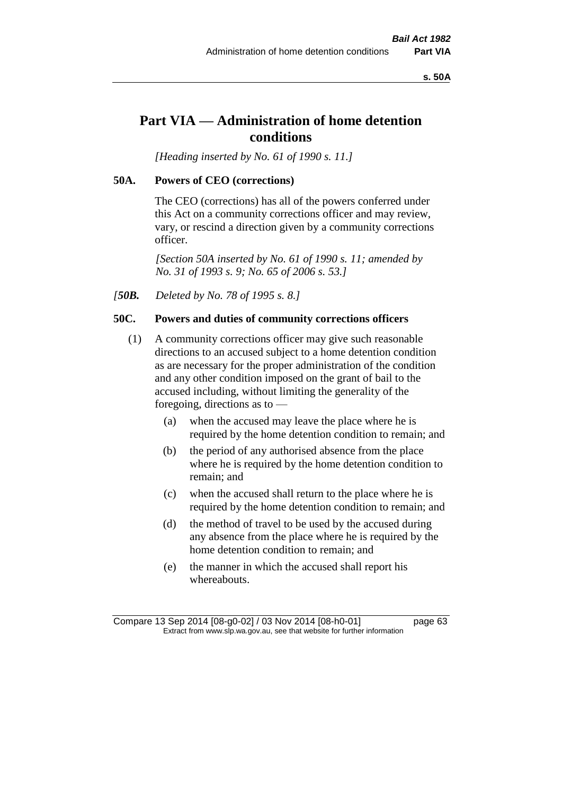**s. 50A**

# **Part VIA — Administration of home detention conditions**

*[Heading inserted by No. 61 of 1990 s. 11.]* 

### **50A. Powers of CEO (corrections)**

The CEO (corrections) has all of the powers conferred under this Act on a community corrections officer and may review, vary, or rescind a direction given by a community corrections officer.

*[Section 50A inserted by No. 61 of 1990 s. 11; amended by No. 31 of 1993 s. 9; No. 65 of 2006 s. 53.]* 

*[50B. Deleted by No. 78 of 1995 s. 8.]* 

### **50C. Powers and duties of community corrections officers**

- (1) A community corrections officer may give such reasonable directions to an accused subject to a home detention condition as are necessary for the proper administration of the condition and any other condition imposed on the grant of bail to the accused including, without limiting the generality of the foregoing, directions as to —
	- (a) when the accused may leave the place where he is required by the home detention condition to remain; and
	- (b) the period of any authorised absence from the place where he is required by the home detention condition to remain; and
	- (c) when the accused shall return to the place where he is required by the home detention condition to remain; and
	- (d) the method of travel to be used by the accused during any absence from the place where he is required by the home detention condition to remain; and
	- (e) the manner in which the accused shall report his whereabouts.

Compare 13 Sep 2014 [08-g0-02] / 03 Nov 2014 [08-h0-01] page 63 Extract from www.slp.wa.gov.au, see that website for further information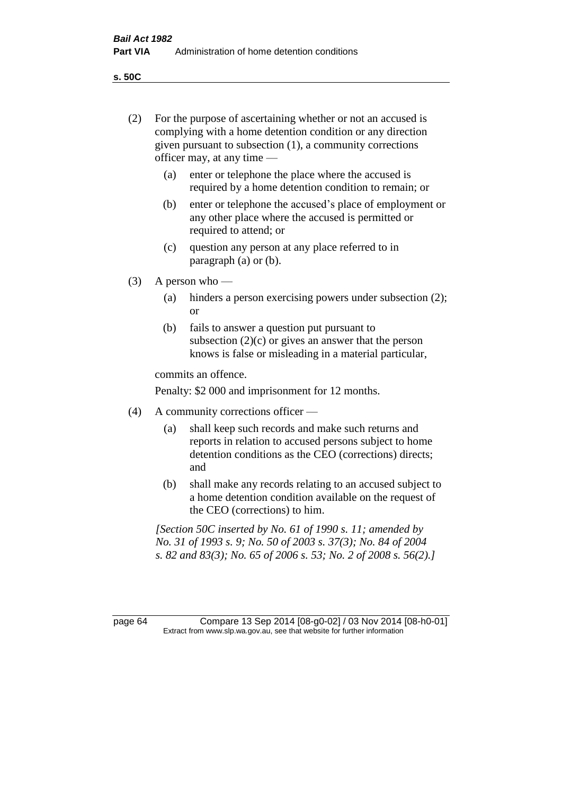**s. 50C**

| (2)     | For the purpose of ascertaining whether or not an accused is<br>complying with a home detention condition or any direction<br>given pursuant to subsection (1), a community corrections<br>officer may, at any time - |                                                                                                                                                                                              |  |
|---------|-----------------------------------------------------------------------------------------------------------------------------------------------------------------------------------------------------------------------|----------------------------------------------------------------------------------------------------------------------------------------------------------------------------------------------|--|
|         | (a)                                                                                                                                                                                                                   | enter or telephone the place where the accused is<br>required by a home detention condition to remain; or                                                                                    |  |
|         | (b)                                                                                                                                                                                                                   | enter or telephone the accused's place of employment or<br>any other place where the accused is permitted or<br>required to attend; or                                                       |  |
|         | (c)                                                                                                                                                                                                                   | question any person at any place referred to in<br>paragraph $(a)$ or $(b)$ .                                                                                                                |  |
| (3)     | A person who $-$                                                                                                                                                                                                      |                                                                                                                                                                                              |  |
|         | (a)                                                                                                                                                                                                                   | hinders a person exercising powers under subsection (2);<br><sub>or</sub>                                                                                                                    |  |
|         | (b)                                                                                                                                                                                                                   | fails to answer a question put pursuant to<br>subsection $(2)(c)$ or gives an answer that the person<br>knows is false or misleading in a material particular,                               |  |
|         | commits an offence.                                                                                                                                                                                                   |                                                                                                                                                                                              |  |
|         |                                                                                                                                                                                                                       | Penalty: \$2 000 and imprisonment for 12 months.                                                                                                                                             |  |
| (4)     | A community corrections officer -                                                                                                                                                                                     |                                                                                                                                                                                              |  |
|         | (a)                                                                                                                                                                                                                   | shall keep such records and make such returns and<br>reports in relation to accused persons subject to home<br>detention conditions as the CEO (corrections) directs;<br>and                 |  |
|         | (b)                                                                                                                                                                                                                   | shall make any records relating to an accused subject to<br>a home detention condition available on the request of<br>the CEO (corrections) to him.                                          |  |
|         |                                                                                                                                                                                                                       | [Section 50C inserted by No. 61 of 1990 s. 11; amended by<br>No. 31 of 1993 s. 9; No. 50 of 2003 s. 37(3); No. 84 of 2004<br>s. 82 and 83(3); No. 65 of 2006 s. 53; No. 2 of 2008 s. 56(2).] |  |
|         |                                                                                                                                                                                                                       |                                                                                                                                                                                              |  |
| page 64 |                                                                                                                                                                                                                       | Compare 13 Sep 2014 [08-g0-02] / 03 Nov 2014 [08-h0-01]<br>Extract from www.slp.wa.gov.au, see that website for further information                                                          |  |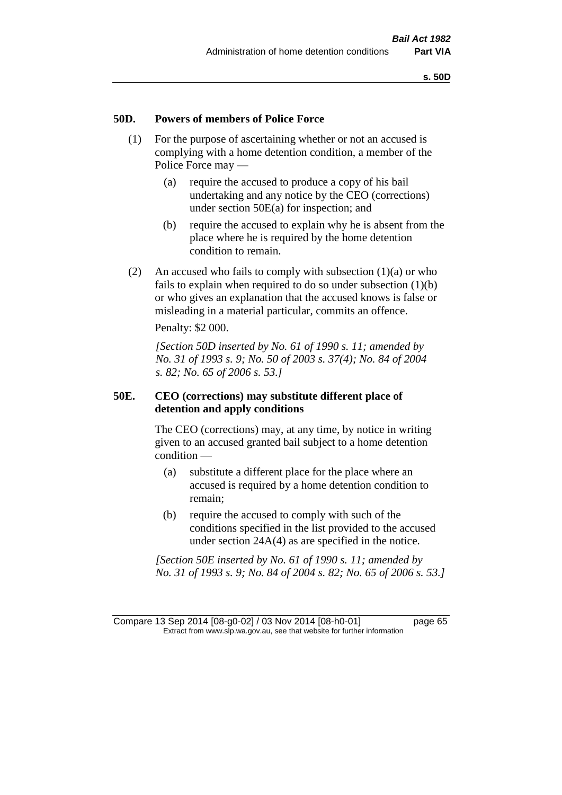### **50D. Powers of members of Police Force**

- (1) For the purpose of ascertaining whether or not an accused is complying with a home detention condition, a member of the Police Force may —
	- (a) require the accused to produce a copy of his bail undertaking and any notice by the CEO (corrections) under section 50E(a) for inspection; and
	- (b) require the accused to explain why he is absent from the place where he is required by the home detention condition to remain.
- (2) An accused who fails to comply with subsection  $(1)(a)$  or who fails to explain when required to do so under subsection (1)(b) or who gives an explanation that the accused knows is false or misleading in a material particular, commits an offence.

Penalty: \$2 000.

*[Section 50D inserted by No. 61 of 1990 s. 11; amended by No. 31 of 1993 s. 9; No. 50 of 2003 s. 37(4); No. 84 of 2004 s. 82; No. 65 of 2006 s. 53.]* 

### **50E. CEO (corrections) may substitute different place of detention and apply conditions**

The CEO (corrections) may, at any time, by notice in writing given to an accused granted bail subject to a home detention condition —

- (a) substitute a different place for the place where an accused is required by a home detention condition to remain;
- (b) require the accused to comply with such of the conditions specified in the list provided to the accused under section 24A(4) as are specified in the notice.

*[Section 50E inserted by No. 61 of 1990 s. 11; amended by No. 31 of 1993 s. 9; No. 84 of 2004 s. 82; No. 65 of 2006 s. 53.]* 

Compare 13 Sep 2014 [08-g0-02] / 03 Nov 2014 [08-h0-01] page 65 Extract from www.slp.wa.gov.au, see that website for further information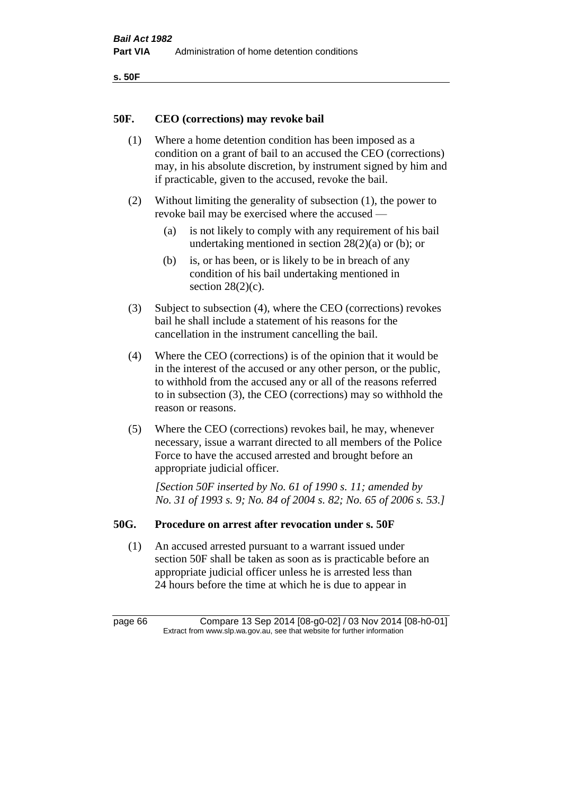```
s. 50F
```
### **50F. CEO (corrections) may revoke bail**

- (1) Where a home detention condition has been imposed as a condition on a grant of bail to an accused the CEO (corrections) may, in his absolute discretion, by instrument signed by him and if practicable, given to the accused, revoke the bail.
- (2) Without limiting the generality of subsection (1), the power to revoke bail may be exercised where the accused —
	- (a) is not likely to comply with any requirement of his bail undertaking mentioned in section  $28(2)(a)$  or (b); or
	- (b) is, or has been, or is likely to be in breach of any condition of his bail undertaking mentioned in section  $28(2)(c)$ .
- (3) Subject to subsection (4), where the CEO (corrections) revokes bail he shall include a statement of his reasons for the cancellation in the instrument cancelling the bail.
- (4) Where the CEO (corrections) is of the opinion that it would be in the interest of the accused or any other person, or the public, to withhold from the accused any or all of the reasons referred to in subsection (3), the CEO (corrections) may so withhold the reason or reasons.
- (5) Where the CEO (corrections) revokes bail, he may, whenever necessary, issue a warrant directed to all members of the Police Force to have the accused arrested and brought before an appropriate judicial officer.

*[Section 50F inserted by No. 61 of 1990 s. 11; amended by No. 31 of 1993 s. 9; No. 84 of 2004 s. 82; No. 65 of 2006 s. 53.]* 

### **50G. Procedure on arrest after revocation under s. 50F**

(1) An accused arrested pursuant to a warrant issued under section 50F shall be taken as soon as is practicable before an appropriate judicial officer unless he is arrested less than 24 hours before the time at which he is due to appear in

page 66 Compare 13 Sep 2014 [08-g0-02] / 03 Nov 2014 [08-h0-01] Extract from www.slp.wa.gov.au, see that website for further information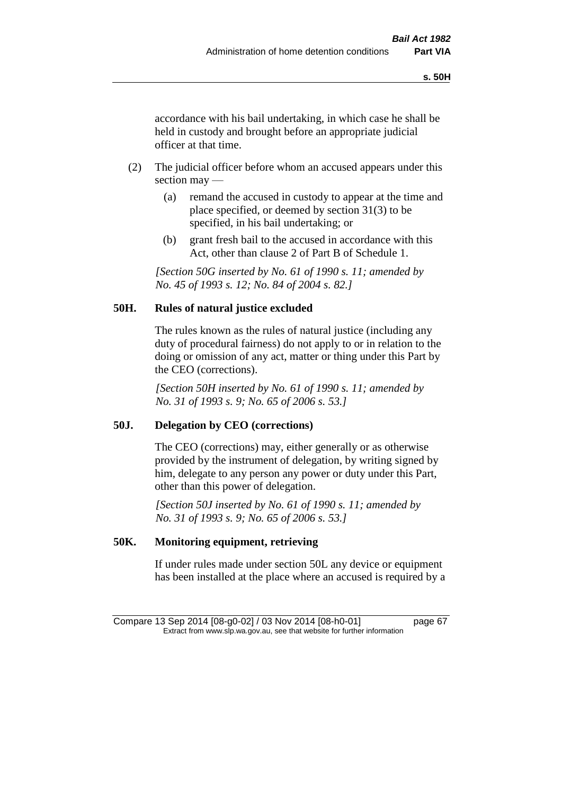accordance with his bail undertaking, in which case he shall be held in custody and brought before an appropriate judicial officer at that time.

- (2) The judicial officer before whom an accused appears under this section may —
	- (a) remand the accused in custody to appear at the time and place specified, or deemed by section 31(3) to be specified, in his bail undertaking; or
	- (b) grant fresh bail to the accused in accordance with this Act, other than clause 2 of Part B of Schedule 1.

*[Section 50G inserted by No. 61 of 1990 s. 11; amended by No. 45 of 1993 s. 12; No. 84 of 2004 s. 82.]* 

# **50H. Rules of natural justice excluded**

The rules known as the rules of natural justice (including any duty of procedural fairness) do not apply to or in relation to the doing or omission of any act, matter or thing under this Part by the CEO (corrections).

*[Section 50H inserted by No. 61 of 1990 s. 11; amended by No. 31 of 1993 s. 9; No. 65 of 2006 s. 53.]* 

### **50J. Delegation by CEO (corrections)**

The CEO (corrections) may, either generally or as otherwise provided by the instrument of delegation, by writing signed by him, delegate to any person any power or duty under this Part, other than this power of delegation.

*[Section 50J inserted by No. 61 of 1990 s. 11; amended by No. 31 of 1993 s. 9; No. 65 of 2006 s. 53.]* 

## **50K. Monitoring equipment, retrieving**

If under rules made under section 50L any device or equipment has been installed at the place where an accused is required by a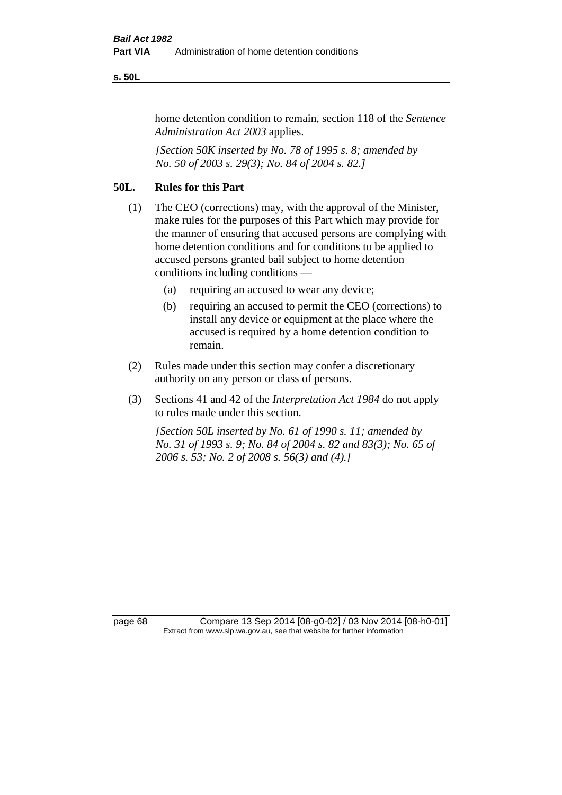#### **s. 50L**

home detention condition to remain, section 118 of the *Sentence Administration Act 2003* applies.

*[Section 50K inserted by No. 78 of 1995 s. 8; amended by No. 50 of 2003 s. 29(3); No. 84 of 2004 s. 82.]* 

# **50L. Rules for this Part**

- (1) The CEO (corrections) may, with the approval of the Minister, make rules for the purposes of this Part which may provide for the manner of ensuring that accused persons are complying with home detention conditions and for conditions to be applied to accused persons granted bail subject to home detention conditions including conditions —
	- (a) requiring an accused to wear any device;
	- (b) requiring an accused to permit the CEO (corrections) to install any device or equipment at the place where the accused is required by a home detention condition to remain.
- (2) Rules made under this section may confer a discretionary authority on any person or class of persons.
- (3) Sections 41 and 42 of the *Interpretation Act 1984* do not apply to rules made under this section.

*[Section 50L inserted by No. 61 of 1990 s. 11; amended by No. 31 of 1993 s. 9; No. 84 of 2004 s. 82 and 83(3); No. 65 of 2006 s. 53; No. 2 of 2008 s. 56(3) and (4).]* 

page 68 Compare 13 Sep 2014 [08-g0-02] / 03 Nov 2014 [08-h0-01] Extract from www.slp.wa.gov.au, see that website for further information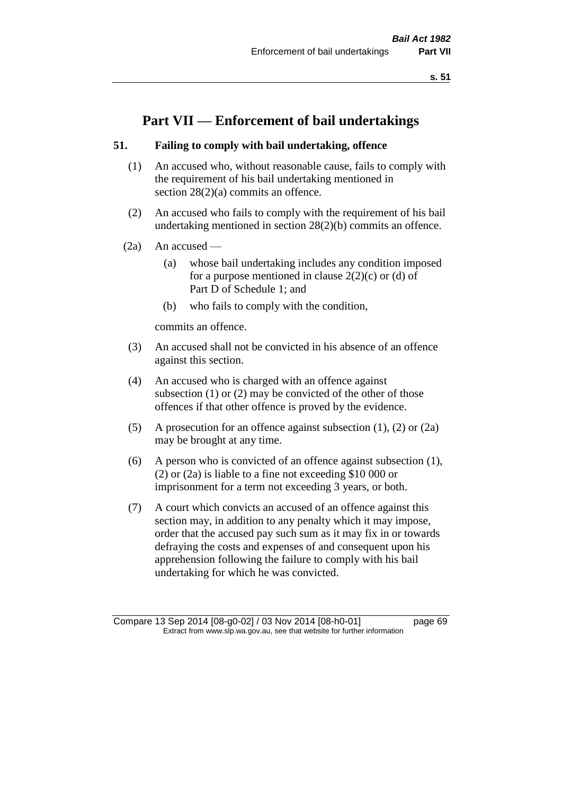# **Part VII — Enforcement of bail undertakings**

### **51. Failing to comply with bail undertaking, offence**

- (1) An accused who, without reasonable cause, fails to comply with the requirement of his bail undertaking mentioned in section 28(2)(a) commits an offence.
- (2) An accused who fails to comply with the requirement of his bail undertaking mentioned in section 28(2)(b) commits an offence.
- (2a) An accused
	- (a) whose bail undertaking includes any condition imposed for a purpose mentioned in clause  $2(2)(c)$  or (d) of Part D of Schedule 1; and
	- (b) who fails to comply with the condition,

commits an offence.

- (3) An accused shall not be convicted in his absence of an offence against this section.
- (4) An accused who is charged with an offence against subsection (1) or (2) may be convicted of the other of those offences if that other offence is proved by the evidence.
- (5) A prosecution for an offence against subsection (1), (2) or (2a) may be brought at any time.
- (6) A person who is convicted of an offence against subsection (1), (2) or (2a) is liable to a fine not exceeding \$10 000 or imprisonment for a term not exceeding 3 years, or both.
- (7) A court which convicts an accused of an offence against this section may, in addition to any penalty which it may impose, order that the accused pay such sum as it may fix in or towards defraying the costs and expenses of and consequent upon his apprehension following the failure to comply with his bail undertaking for which he was convicted.

Compare 13 Sep 2014 [08-g0-02] / 03 Nov 2014 [08-h0-01] page 69 Extract from www.slp.wa.gov.au, see that website for further information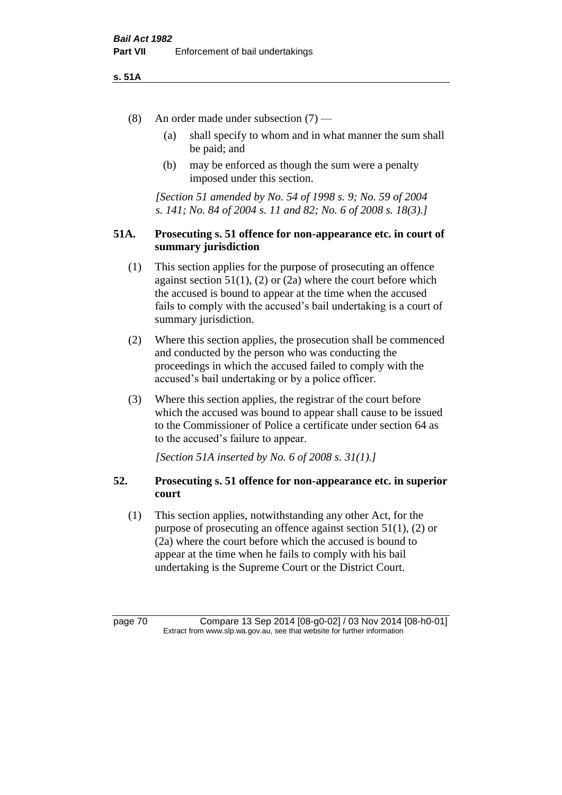#### **s. 51A**

- (8) An order made under subsection (7)
	- (a) shall specify to whom and in what manner the sum shall be paid; and
	- (b) may be enforced as though the sum were a penalty imposed under this section.

*[Section 51 amended by No. 54 of 1998 s. 9; No. 59 of 2004 s. 141; No. 84 of 2004 s. 11 and 82; No. 6 of 2008 s. 18(3).]*

### **51A. Prosecuting s. 51 offence for non-appearance etc. in court of summary jurisdiction**

- (1) This section applies for the purpose of prosecuting an offence against section  $51(1)$ , (2) or (2a) where the court before which the accused is bound to appear at the time when the accused fails to comply with the accused's bail undertaking is a court of summary jurisdiction.
- (2) Where this section applies, the prosecution shall be commenced and conducted by the person who was conducting the proceedings in which the accused failed to comply with the accused's bail undertaking or by a police officer.
- (3) Where this section applies, the registrar of the court before which the accused was bound to appear shall cause to be issued to the Commissioner of Police a certificate under section 64 as to the accused's failure to appear.

*[Section 51A inserted by No. 6 of 2008 s. 31(1).]*

### **52. Prosecuting s. 51 offence for non-appearance etc. in superior court**

(1) This section applies, notwithstanding any other Act, for the purpose of prosecuting an offence against section 51(1), (2) or (2a) where the court before which the accused is bound to appear at the time when he fails to comply with his bail undertaking is the Supreme Court or the District Court.

page 70 Compare 13 Sep 2014 [08-g0-02] / 03 Nov 2014 [08-h0-01] Extract from www.slp.wa.gov.au, see that website for further information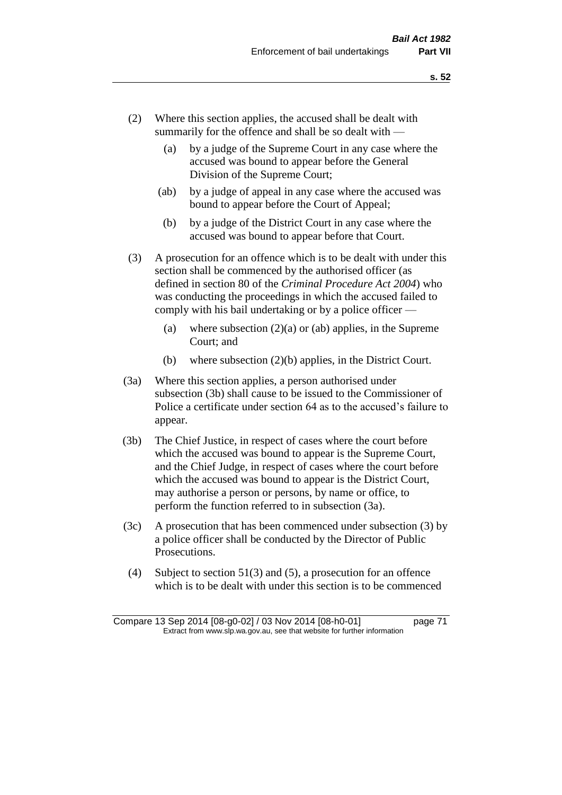- (2) Where this section applies, the accused shall be dealt with summarily for the offence and shall be so dealt with —
	- (a) by a judge of the Supreme Court in any case where the accused was bound to appear before the General Division of the Supreme Court;
	- (ab) by a judge of appeal in any case where the accused was bound to appear before the Court of Appeal;
	- (b) by a judge of the District Court in any case where the accused was bound to appear before that Court.
- (3) A prosecution for an offence which is to be dealt with under this section shall be commenced by the authorised officer (as defined in section 80 of the *Criminal Procedure Act 2004*) who was conducting the proceedings in which the accused failed to comply with his bail undertaking or by a police officer —
	- (a) where subsection  $(2)(a)$  or (ab) applies, in the Supreme Court; and
	- (b) where subsection (2)(b) applies, in the District Court.
- (3a) Where this section applies, a person authorised under subsection (3b) shall cause to be issued to the Commissioner of Police a certificate under section 64 as to the accused's failure to appear.
- (3b) The Chief Justice, in respect of cases where the court before which the accused was bound to appear is the Supreme Court, and the Chief Judge, in respect of cases where the court before which the accused was bound to appear is the District Court, may authorise a person or persons, by name or office, to perform the function referred to in subsection (3a).
- (3c) A prosecution that has been commenced under subsection (3) by a police officer shall be conducted by the Director of Public Prosecutions.
- (4) Subject to section 51(3) and (5), a prosecution for an offence which is to be dealt with under this section is to be commenced

Compare 13 Sep 2014 [08-g0-02] / 03 Nov 2014 [08-h0-01] page 71 Extract from www.slp.wa.gov.au, see that website for further information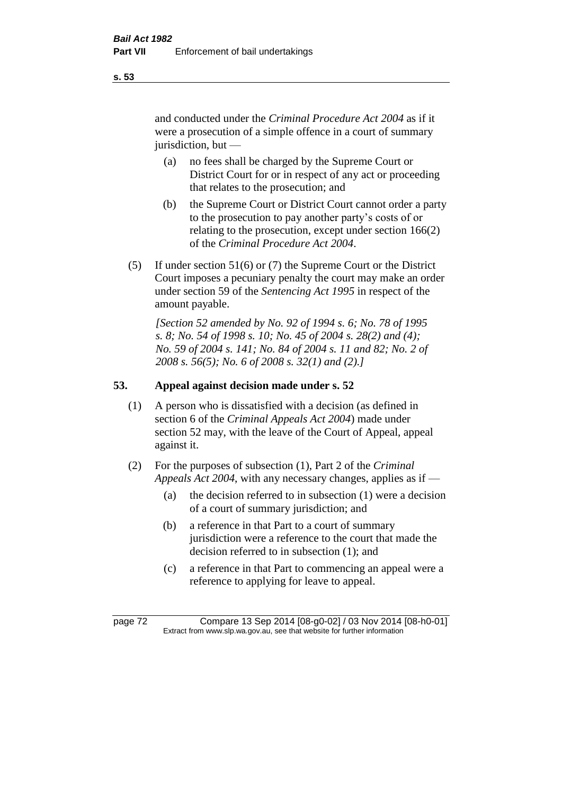and conducted under the *Criminal Procedure Act 2004* as if it were a prosecution of a simple offence in a court of summary jurisdiction, but —

- (a) no fees shall be charged by the Supreme Court or District Court for or in respect of any act or proceeding that relates to the prosecution; and
- (b) the Supreme Court or District Court cannot order a party to the prosecution to pay another party's costs of or relating to the prosecution, except under section 166(2) of the *Criminal Procedure Act 2004*.
- (5) If under section 51(6) or (7) the Supreme Court or the District Court imposes a pecuniary penalty the court may make an order under section 59 of the *Sentencing Act 1995* in respect of the amount payable.

*[Section 52 amended by No. 92 of 1994 s. 6; No. 78 of 1995 s. 8; No. 54 of 1998 s. 10; No. 45 of 2004 s. 28(2) and (4); No. 59 of 2004 s. 141; No. 84 of 2004 s. 11 and 82; No. 2 of 2008 s. 56(5); No. 6 of 2008 s. 32(1) and (2).]* 

# **53. Appeal against decision made under s. 52**

- (1) A person who is dissatisfied with a decision (as defined in section 6 of the *Criminal Appeals Act 2004*) made under section 52 may, with the leave of the Court of Appeal, appeal against it.
- (2) For the purposes of subsection (1), Part 2 of the *Criminal Appeals Act 2004*, with any necessary changes, applies as if —
	- (a) the decision referred to in subsection (1) were a decision of a court of summary jurisdiction; and
	- (b) a reference in that Part to a court of summary jurisdiction were a reference to the court that made the decision referred to in subsection (1); and
	- (c) a reference in that Part to commencing an appeal were a reference to applying for leave to appeal.

**s. 53**

page 72 Compare 13 Sep 2014 [08-g0-02] / 03 Nov 2014 [08-h0-01] Extract from www.slp.wa.gov.au, see that website for further information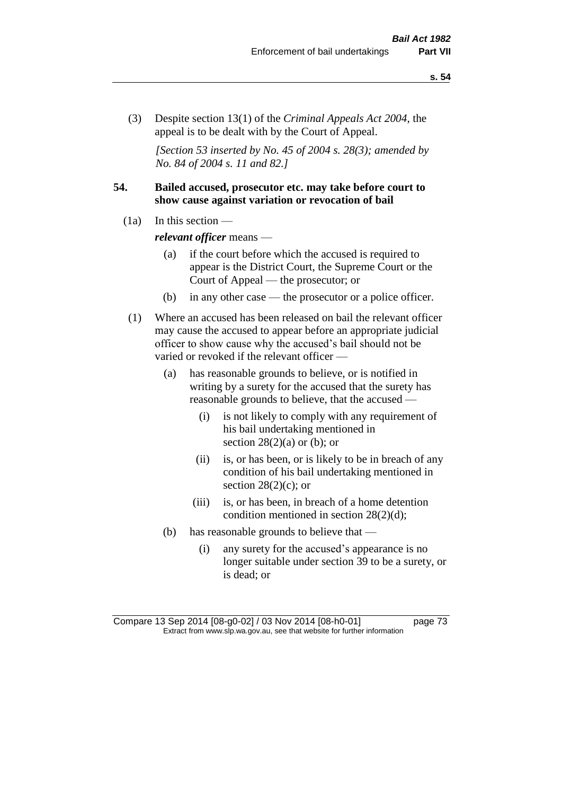(3) Despite section 13(1) of the *Criminal Appeals Act 2004*, the appeal is to be dealt with by the Court of Appeal.

*[Section 53 inserted by No. 45 of 2004 s. 28(3); amended by No. 84 of 2004 s. 11 and 82.]*

# **54. Bailed accused, prosecutor etc. may take before court to show cause against variation or revocation of bail**

 $(1a)$  In this section —

*relevant officer* means —

- (a) if the court before which the accused is required to appear is the District Court, the Supreme Court or the Court of Appeal — the prosecutor; or
- (b) in any other case the prosecutor or a police officer.
- (1) Where an accused has been released on bail the relevant officer may cause the accused to appear before an appropriate judicial officer to show cause why the accused's bail should not be varied or revoked if the relevant officer —
	- (a) has reasonable grounds to believe, or is notified in writing by a surety for the accused that the surety has reasonable grounds to believe, that the accused —
		- (i) is not likely to comply with any requirement of his bail undertaking mentioned in section  $28(2)(a)$  or (b); or
		- (ii) is, or has been, or is likely to be in breach of any condition of his bail undertaking mentioned in section  $28(2)(c)$ ; or
		- (iii) is, or has been, in breach of a home detention condition mentioned in section 28(2)(d);
	- (b) has reasonable grounds to believe that
		- (i) any surety for the accused's appearance is no longer suitable under section 39 to be a surety, or is dead; or

Compare 13 Sep 2014 [08-g0-02] / 03 Nov 2014 [08-h0-01] page 73 Extract from www.slp.wa.gov.au, see that website for further information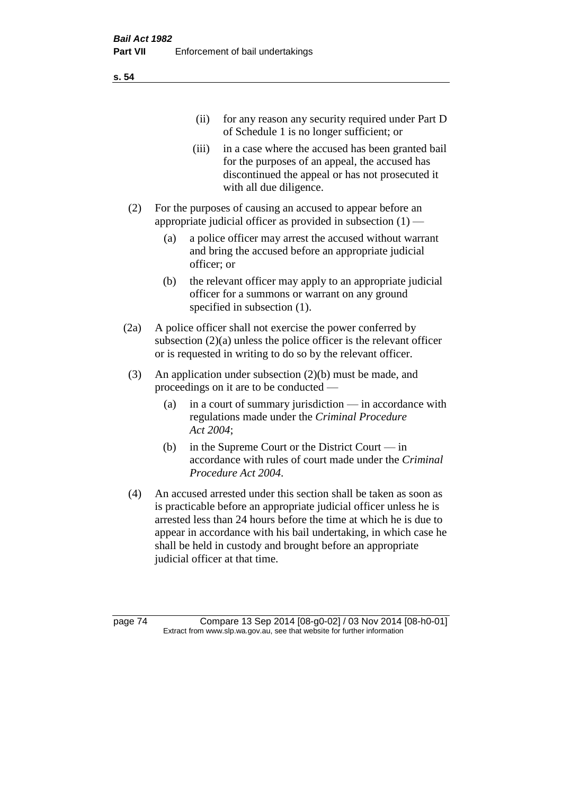(ii) for any reason any security required under Part D of Schedule 1 is no longer sufficient; or

- (iii) in a case where the accused has been granted bail for the purposes of an appeal, the accused has discontinued the appeal or has not prosecuted it with all due diligence.
- (2) For the purposes of causing an accused to appear before an appropriate judicial officer as provided in subsection (1) —
	- (a) a police officer may arrest the accused without warrant and bring the accused before an appropriate judicial officer; or
	- (b) the relevant officer may apply to an appropriate judicial officer for a summons or warrant on any ground specified in subsection (1).
- (2a) A police officer shall not exercise the power conferred by subsection (2)(a) unless the police officer is the relevant officer or is requested in writing to do so by the relevant officer.
- (3) An application under subsection (2)(b) must be made, and proceedings on it are to be conducted —
	- (a) in a court of summary jurisdiction in accordance with regulations made under the *Criminal Procedure Act 2004*;
	- (b) in the Supreme Court or the District Court  $-\text{in}$ accordance with rules of court made under the *Criminal Procedure Act 2004*.
- (4) An accused arrested under this section shall be taken as soon as is practicable before an appropriate judicial officer unless he is arrested less than 24 hours before the time at which he is due to appear in accordance with his bail undertaking, in which case he shall be held in custody and brought before an appropriate judicial officer at that time.

page 74 Compare 13 Sep 2014 [08-g0-02] / 03 Nov 2014 [08-h0-01] Extract from www.slp.wa.gov.au, see that website for further information

**s. 54**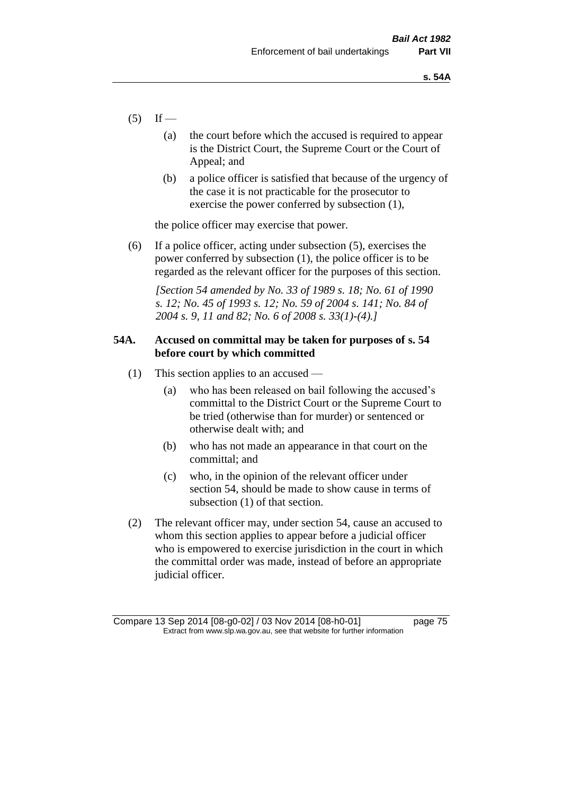- $(5)$  If
	- (a) the court before which the accused is required to appear is the District Court, the Supreme Court or the Court of Appeal; and
	- (b) a police officer is satisfied that because of the urgency of the case it is not practicable for the prosecutor to exercise the power conferred by subsection (1),

the police officer may exercise that power.

(6) If a police officer, acting under subsection (5), exercises the power conferred by subsection (1), the police officer is to be regarded as the relevant officer for the purposes of this section.

*[Section 54 amended by No. 33 of 1989 s. 18; No. 61 of 1990 s. 12; No. 45 of 1993 s. 12; No. 59 of 2004 s. 141; No. 84 of 2004 s. 9, 11 and 82; No. 6 of 2008 s. 33(1)-(4).]* 

# **54A. Accused on committal may be taken for purposes of s. 54 before court by which committed**

- (1) This section applies to an accused
	- (a) who has been released on bail following the accused's committal to the District Court or the Supreme Court to be tried (otherwise than for murder) or sentenced or otherwise dealt with; and
	- (b) who has not made an appearance in that court on the committal; and
	- (c) who, in the opinion of the relevant officer under section 54, should be made to show cause in terms of subsection (1) of that section.
- (2) The relevant officer may, under section 54, cause an accused to whom this section applies to appear before a judicial officer who is empowered to exercise jurisdiction in the court in which the committal order was made, instead of before an appropriate judicial officer.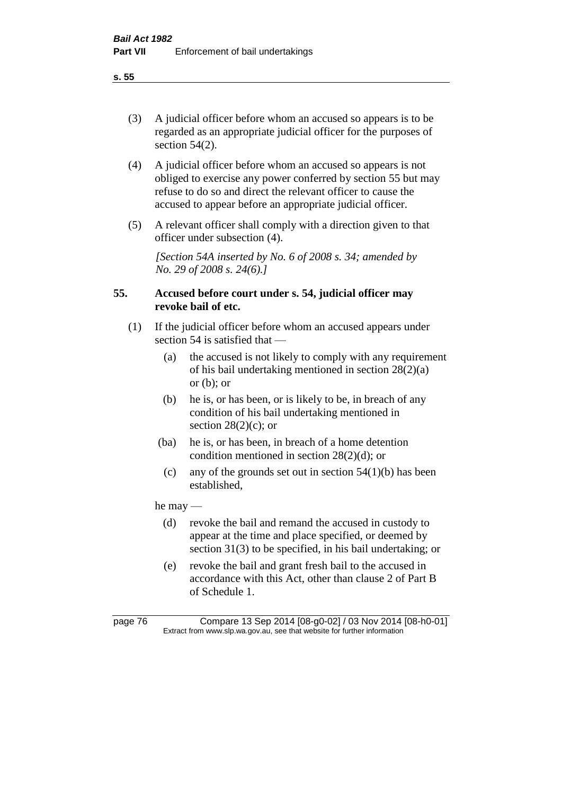(3) A judicial officer before whom an accused so appears is to be regarded as an appropriate judicial officer for the purposes of section 54(2).

- (4) A judicial officer before whom an accused so appears is not obliged to exercise any power conferred by section 55 but may refuse to do so and direct the relevant officer to cause the accused to appear before an appropriate judicial officer.
- (5) A relevant officer shall comply with a direction given to that officer under subsection (4).

*[Section 54A inserted by No. 6 of 2008 s. 34; amended by No. 29 of 2008 s. 24(6).]*

# **55. Accused before court under s. 54, judicial officer may revoke bail of etc.**

- (1) If the judicial officer before whom an accused appears under section 54 is satisfied that —
	- (a) the accused is not likely to comply with any requirement of his bail undertaking mentioned in section 28(2)(a) or  $(b)$ ; or
	- (b) he is, or has been, or is likely to be, in breach of any condition of his bail undertaking mentioned in section  $28(2)(c)$ ; or
	- (ba) he is, or has been, in breach of a home detention condition mentioned in section 28(2)(d); or
	- (c) any of the grounds set out in section  $54(1)(b)$  has been established,

he may —

- (d) revoke the bail and remand the accused in custody to appear at the time and place specified, or deemed by section 31(3) to be specified, in his bail undertaking; or
- (e) revoke the bail and grant fresh bail to the accused in accordance with this Act, other than clause 2 of Part B of Schedule 1.

page 76 Compare 13 Sep 2014 [08-g0-02] / 03 Nov 2014 [08-h0-01] Extract from www.slp.wa.gov.au, see that website for further information

**s. 55**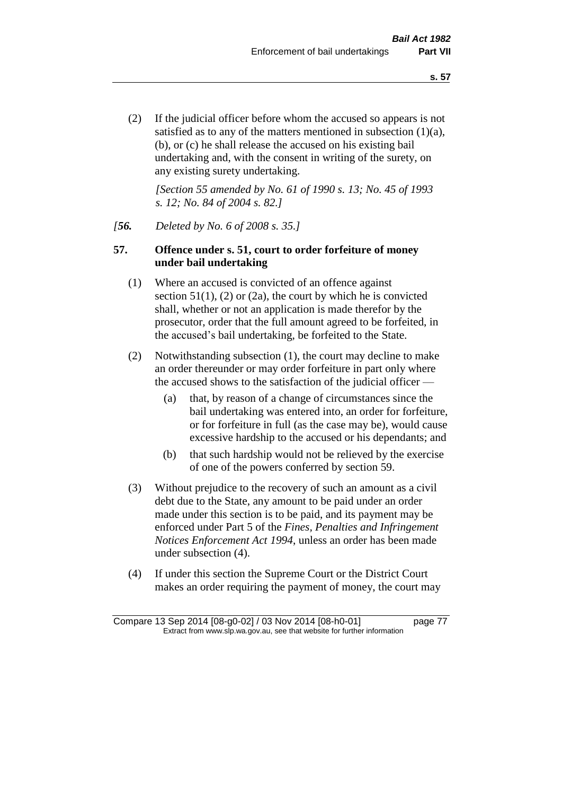(2) If the judicial officer before whom the accused so appears is not satisfied as to any of the matters mentioned in subsection (1)(a), (b), or (c) he shall release the accused on his existing bail undertaking and, with the consent in writing of the surety, on any existing surety undertaking.

*[Section 55 amended by No. 61 of 1990 s. 13; No. 45 of 1993 s. 12; No. 84 of 2004 s. 82.]* 

#### *[56. Deleted by No. 6 of 2008 s. 35.]*

### **57. Offence under s. 51, court to order forfeiture of money under bail undertaking**

- (1) Where an accused is convicted of an offence against section  $51(1)$ ,  $(2)$  or  $(2a)$ , the court by which he is convicted shall, whether or not an application is made therefor by the prosecutor, order that the full amount agreed to be forfeited, in the accused's bail undertaking, be forfeited to the State.
- (2) Notwithstanding subsection (1), the court may decline to make an order thereunder or may order forfeiture in part only where the accused shows to the satisfaction of the judicial officer —
	- (a) that, by reason of a change of circumstances since the bail undertaking was entered into, an order for forfeiture, or for forfeiture in full (as the case may be), would cause excessive hardship to the accused or his dependants; and
	- (b) that such hardship would not be relieved by the exercise of one of the powers conferred by section 59.
- (3) Without prejudice to the recovery of such an amount as a civil debt due to the State, any amount to be paid under an order made under this section is to be paid, and its payment may be enforced under Part 5 of the *Fines, Penalties and Infringement Notices Enforcement Act 1994*, unless an order has been made under subsection (4).
- (4) If under this section the Supreme Court or the District Court makes an order requiring the payment of money, the court may

Compare 13 Sep 2014 [08-g0-02] / 03 Nov 2014 [08-h0-01] page 77 Extract from www.slp.wa.gov.au, see that website for further information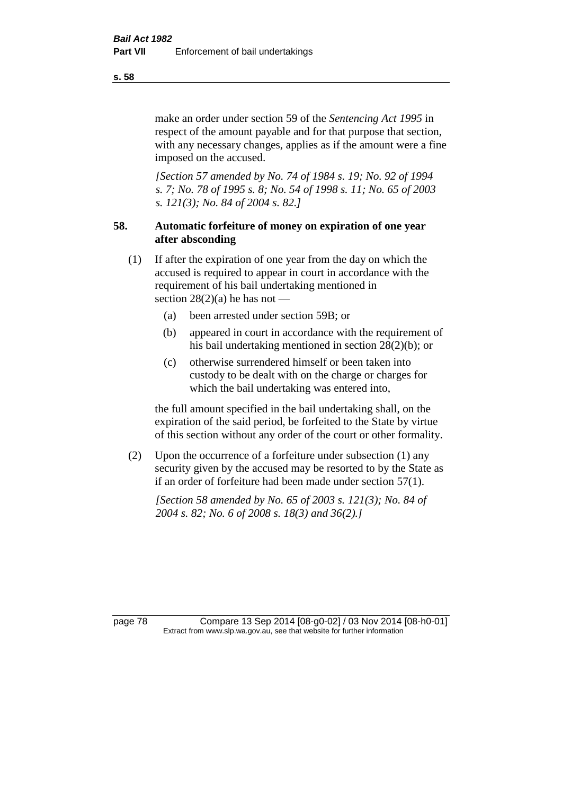make an order under section 59 of the *Sentencing Act 1995* in respect of the amount payable and for that purpose that section, with any necessary changes, applies as if the amount were a fine imposed on the accused.

*[Section 57 amended by No. 74 of 1984 s. 19; No. 92 of 1994 s. 7; No. 78 of 1995 s. 8; No. 54 of 1998 s. 11; No. 65 of 2003 s. 121(3); No. 84 of 2004 s. 82.]* 

# **58. Automatic forfeiture of money on expiration of one year after absconding**

- (1) If after the expiration of one year from the day on which the accused is required to appear in court in accordance with the requirement of his bail undertaking mentioned in section  $28(2)(a)$  he has not —
	- (a) been arrested under section 59B; or
	- (b) appeared in court in accordance with the requirement of his bail undertaking mentioned in section 28(2)(b); or
	- (c) otherwise surrendered himself or been taken into custody to be dealt with on the charge or charges for which the bail undertaking was entered into,

the full amount specified in the bail undertaking shall, on the expiration of the said period, be forfeited to the State by virtue of this section without any order of the court or other formality.

(2) Upon the occurrence of a forfeiture under subsection (1) any security given by the accused may be resorted to by the State as if an order of forfeiture had been made under section 57(1).

*[Section 58 amended by No. 65 of 2003 s. 121(3); No. 84 of 2004 s. 82; No. 6 of 2008 s. 18(3) and 36(2).]*

page 78 Compare 13 Sep 2014 [08-g0-02] / 03 Nov 2014 [08-h0-01] Extract from www.slp.wa.gov.au, see that website for further information

**s. 58**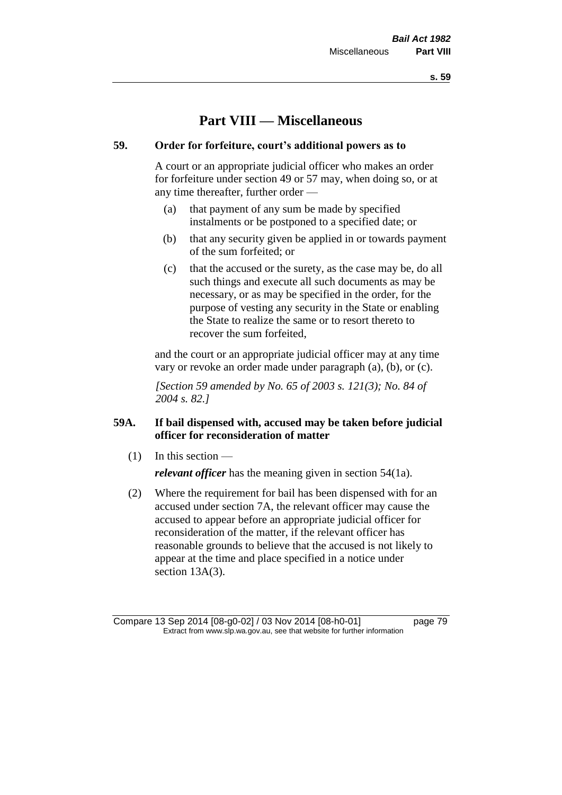**s. 59**

# **Part VIII — Miscellaneous**

# **59. Order for forfeiture, court's additional powers as to**

A court or an appropriate judicial officer who makes an order for forfeiture under section 49 or 57 may, when doing so, or at any time thereafter, further order —

- (a) that payment of any sum be made by specified instalments or be postponed to a specified date; or
- (b) that any security given be applied in or towards payment of the sum forfeited; or
- (c) that the accused or the surety, as the case may be, do all such things and execute all such documents as may be necessary, or as may be specified in the order, for the purpose of vesting any security in the State or enabling the State to realize the same or to resort thereto to recover the sum forfeited,

and the court or an appropriate judicial officer may at any time vary or revoke an order made under paragraph (a), (b), or (c).

*[Section 59 amended by No. 65 of 2003 s. 121(3); No. 84 of 2004 s. 82.]*

# **59A. If bail dispensed with, accused may be taken before judicial officer for reconsideration of matter**

(1) In this section —

*relevant officer* has the meaning given in section 54(1a).

(2) Where the requirement for bail has been dispensed with for an accused under section 7A, the relevant officer may cause the accused to appear before an appropriate judicial officer for reconsideration of the matter, if the relevant officer has reasonable grounds to believe that the accused is not likely to appear at the time and place specified in a notice under section 13A(3).

Compare 13 Sep 2014 [08-g0-02] / 03 Nov 2014 [08-h0-01] page 79 Extract from www.slp.wa.gov.au, see that website for further information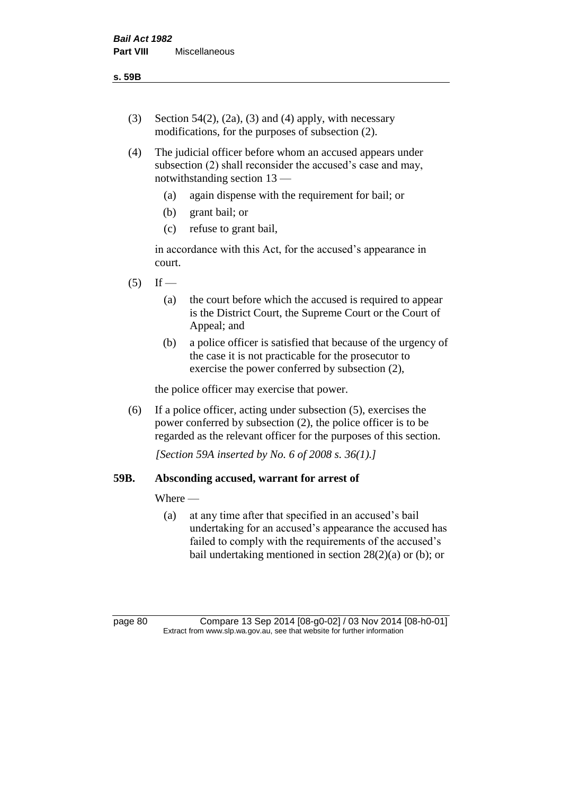- (3) Section 54(2), (2a), (3) and (4) apply, with necessary modifications, for the purposes of subsection (2).
- (4) The judicial officer before whom an accused appears under subsection (2) shall reconsider the accused's case and may, notwithstanding section 13 —
	- (a) again dispense with the requirement for bail; or
	- (b) grant bail; or
	- (c) refuse to grant bail,

in accordance with this Act, for the accused's appearance in court.

- $(5)$  If
	- (a) the court before which the accused is required to appear is the District Court, the Supreme Court or the Court of Appeal; and
	- (b) a police officer is satisfied that because of the urgency of the case it is not practicable for the prosecutor to exercise the power conferred by subsection (2),

the police officer may exercise that power.

(6) If a police officer, acting under subsection (5), exercises the power conferred by subsection (2), the police officer is to be regarded as the relevant officer for the purposes of this section.

*[Section 59A inserted by No. 6 of 2008 s. 36(1).]*

### **59B. Absconding accused, warrant for arrest of**

Where —

(a) at any time after that specified in an accused's bail undertaking for an accused's appearance the accused has failed to comply with the requirements of the accused's bail undertaking mentioned in section  $28(2)(a)$  or (b); or

page 80 Compare 13 Sep 2014 [08-g0-02] / 03 Nov 2014 [08-h0-01] Extract from www.slp.wa.gov.au, see that website for further information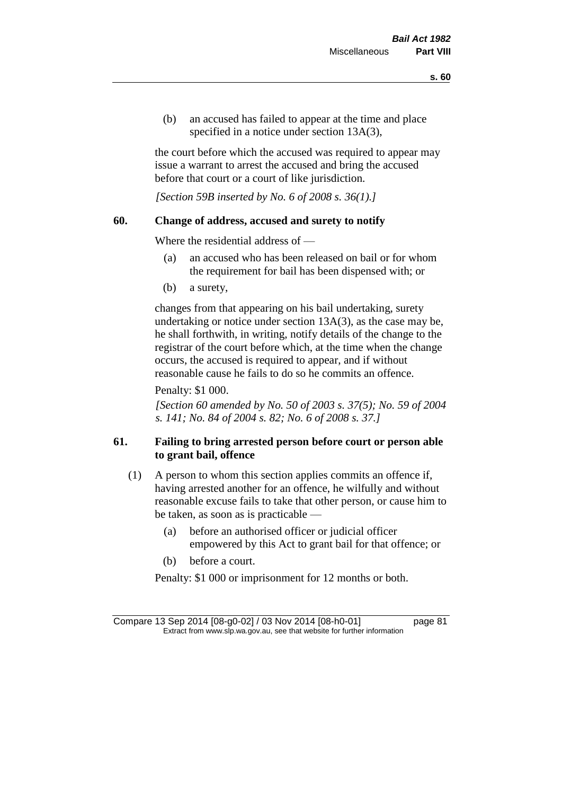(b) an accused has failed to appear at the time and place specified in a notice under section 13A(3),

the court before which the accused was required to appear may issue a warrant to arrest the accused and bring the accused before that court or a court of like jurisdiction.

*[Section 59B inserted by No. 6 of 2008 s. 36(1).]*

### **60. Change of address, accused and surety to notify**

Where the residential address of —

- (a) an accused who has been released on bail or for whom the requirement for bail has been dispensed with; or
- (b) a surety,

changes from that appearing on his bail undertaking, surety undertaking or notice under section 13A(3), as the case may be, he shall forthwith, in writing, notify details of the change to the registrar of the court before which, at the time when the change occurs, the accused is required to appear, and if without reasonable cause he fails to do so he commits an offence.

Penalty: \$1 000.

*[Section 60 amended by No. 50 of 2003 s. 37(5); No. 59 of 2004 s. 141; No. 84 of 2004 s. 82; No. 6 of 2008 s. 37.]*

# **61. Failing to bring arrested person before court or person able to grant bail, offence**

- (1) A person to whom this section applies commits an offence if, having arrested another for an offence, he wilfully and without reasonable excuse fails to take that other person, or cause him to be taken, as soon as is practicable —
	- (a) before an authorised officer or judicial officer empowered by this Act to grant bail for that offence; or
	- (b) before a court.

Penalty: \$1 000 or imprisonment for 12 months or both.

Compare 13 Sep 2014 [08-g0-02] / 03 Nov 2014 [08-h0-01] page 81 Extract from www.slp.wa.gov.au, see that website for further information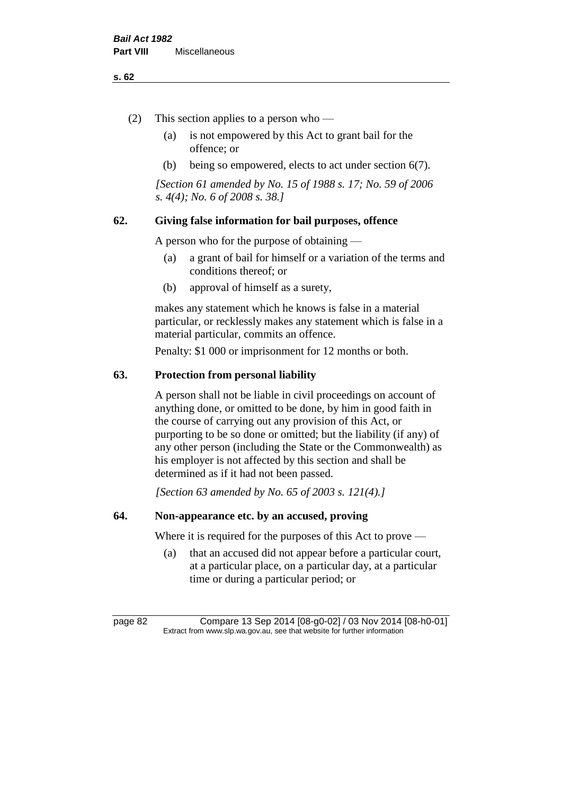#### **s. 62**

- (2) This section applies to a person who
	- (a) is not empowered by this Act to grant bail for the offence; or
	- (b) being so empowered, elects to act under section 6(7).

*[Section 61 amended by No. 15 of 1988 s. 17; No. 59 of 2006 s. 4(4); No. 6 of 2008 s. 38.]* 

# **62. Giving false information for bail purposes, offence**

A person who for the purpose of obtaining —

- (a) a grant of bail for himself or a variation of the terms and conditions thereof; or
- (b) approval of himself as a surety,

makes any statement which he knows is false in a material particular, or recklessly makes any statement which is false in a material particular, commits an offence.

Penalty: \$1 000 or imprisonment for 12 months or both.

#### **63. Protection from personal liability**

A person shall not be liable in civil proceedings on account of anything done, or omitted to be done, by him in good faith in the course of carrying out any provision of this Act, or purporting to be so done or omitted; but the liability (if any) of any other person (including the State or the Commonwealth) as his employer is not affected by this section and shall be determined as if it had not been passed.

*[Section 63 amended by No. 65 of 2003 s. 121(4).]*

# **64. Non-appearance etc. by an accused, proving**

Where it is required for the purposes of this Act to prove —

(a) that an accused did not appear before a particular court, at a particular place, on a particular day, at a particular time or during a particular period; or

page 82 Compare 13 Sep 2014 [08-g0-02] / 03 Nov 2014 [08-h0-01] Extract from www.slp.wa.gov.au, see that website for further information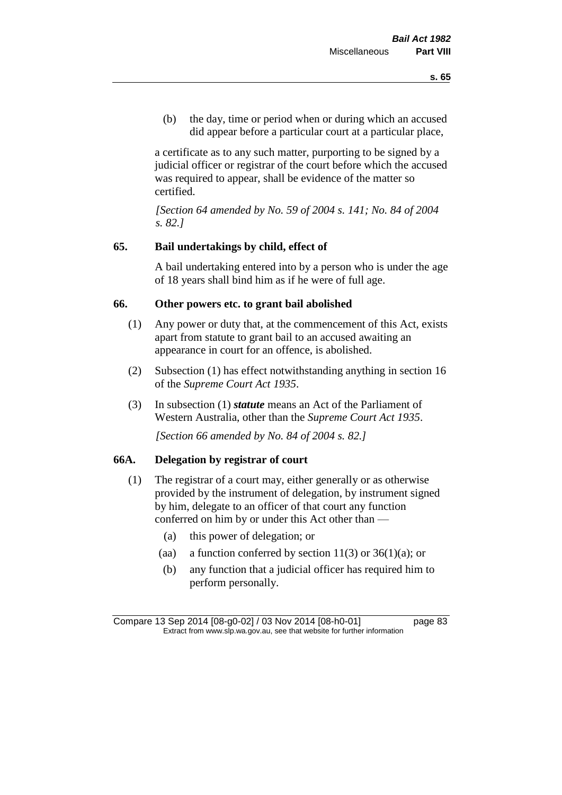(b) the day, time or period when or during which an accused did appear before a particular court at a particular place,

a certificate as to any such matter, purporting to be signed by a judicial officer or registrar of the court before which the accused was required to appear, shall be evidence of the matter so certified.

*[Section 64 amended by No. 59 of 2004 s. 141; No. 84 of 2004 s. 82.]* 

# **65. Bail undertakings by child, effect of**

A bail undertaking entered into by a person who is under the age of 18 years shall bind him as if he were of full age.

# **66. Other powers etc. to grant bail abolished**

- (1) Any power or duty that, at the commencement of this Act, exists apart from statute to grant bail to an accused awaiting an appearance in court for an offence, is abolished.
- (2) Subsection (1) has effect notwithstanding anything in section 16 of the *Supreme Court Act 1935*.
- (3) In subsection (1) *statute* means an Act of the Parliament of Western Australia, other than the *Supreme Court Act 1935*.

*[Section 66 amended by No. 84 of 2004 s. 82.]*

# **66A. Delegation by registrar of court**

- (1) The registrar of a court may, either generally or as otherwise provided by the instrument of delegation, by instrument signed by him, delegate to an officer of that court any function conferred on him by or under this Act other than —
	- (a) this power of delegation; or
	- (aa) a function conferred by section  $11(3)$  or  $36(1)(a)$ ; or
	- (b) any function that a judicial officer has required him to perform personally.

Compare 13 Sep 2014 [08-g0-02] / 03 Nov 2014 [08-h0-01] page 83 Extract from www.slp.wa.gov.au, see that website for further information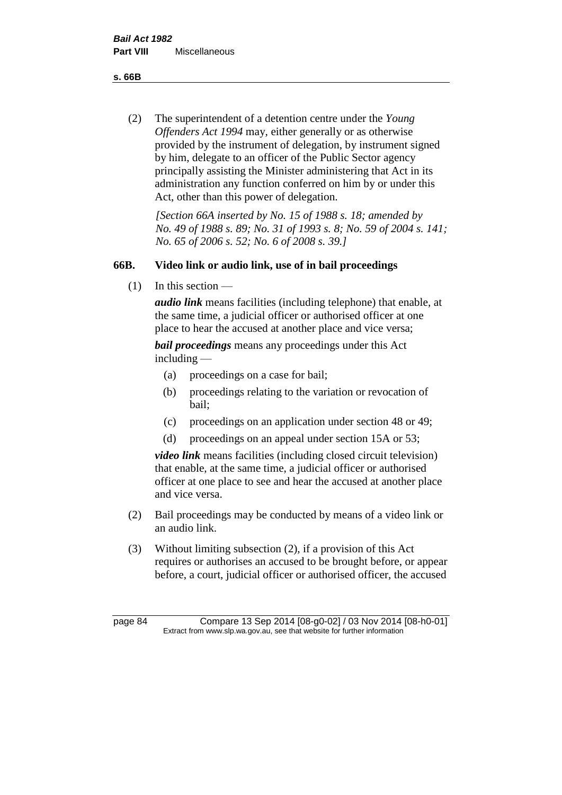**s. 66B**

(2) The superintendent of a detention centre under the *Young Offenders Act 1994* may, either generally or as otherwise provided by the instrument of delegation, by instrument signed by him, delegate to an officer of the Public Sector agency principally assisting the Minister administering that Act in its administration any function conferred on him by or under this Act, other than this power of delegation.

*[Section 66A inserted by No. 15 of 1988 s. 18; amended by No. 49 of 1988 s. 89; No. 31 of 1993 s. 8; No. 59 of 2004 s. 141; No. 65 of 2006 s. 52; No. 6 of 2008 s. 39.]* 

# **66B. Video link or audio link, use of in bail proceedings**

 $(1)$  In this section —

*audio link* means facilities (including telephone) that enable, at the same time, a judicial officer or authorised officer at one place to hear the accused at another place and vice versa;

*bail proceedings* means any proceedings under this Act including —

- (a) proceedings on a case for bail;
- (b) proceedings relating to the variation or revocation of bail;
- (c) proceedings on an application under section 48 or 49;
- (d) proceedings on an appeal under section 15A or 53;

*video link* means facilities (including closed circuit television) that enable, at the same time, a judicial officer or authorised officer at one place to see and hear the accused at another place and vice versa.

- (2) Bail proceedings may be conducted by means of a video link or an audio link.
- (3) Without limiting subsection (2), if a provision of this Act requires or authorises an accused to be brought before, or appear before, a court, judicial officer or authorised officer, the accused

page 84 Compare 13 Sep 2014 [08-g0-02] / 03 Nov 2014 [08-h0-01] Extract from www.slp.wa.gov.au, see that website for further information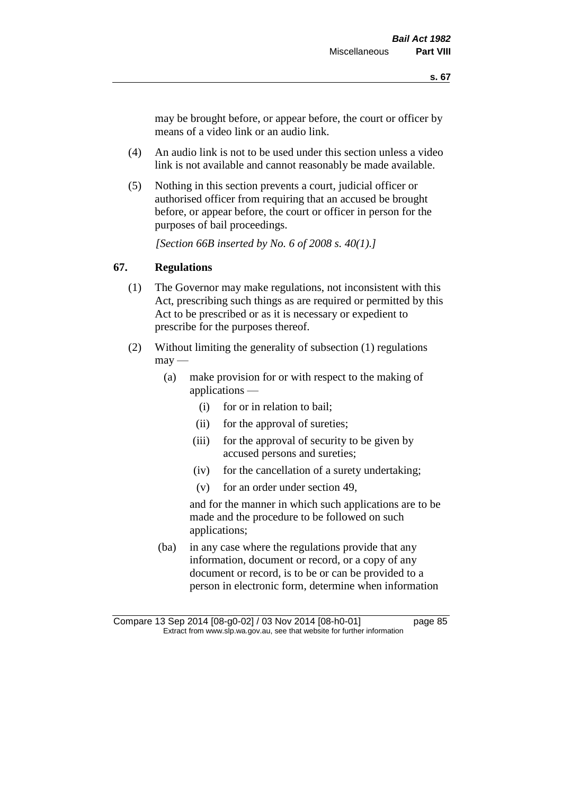may be brought before, or appear before, the court or officer by means of a video link or an audio link.

- (4) An audio link is not to be used under this section unless a video link is not available and cannot reasonably be made available.
- (5) Nothing in this section prevents a court, judicial officer or authorised officer from requiring that an accused be brought before, or appear before, the court or officer in person for the purposes of bail proceedings.

*[Section 66B inserted by No. 6 of 2008 s. 40(1).]*

# **67. Regulations**

- (1) The Governor may make regulations, not inconsistent with this Act, prescribing such things as are required or permitted by this Act to be prescribed or as it is necessary or expedient to prescribe for the purposes thereof.
- (2) Without limiting the generality of subsection (1) regulations  $\text{max}$  —
	- (a) make provision for or with respect to the making of applications —
		- (i) for or in relation to bail;
		- (ii) for the approval of sureties;
		- (iii) for the approval of security to be given by accused persons and sureties;
		- (iv) for the cancellation of a surety undertaking;
		- (v) for an order under section 49,

and for the manner in which such applications are to be made and the procedure to be followed on such applications;

(ba) in any case where the regulations provide that any information, document or record, or a copy of any document or record, is to be or can be provided to a person in electronic form, determine when information

Compare 13 Sep 2014 [08-g0-02] / 03 Nov 2014 [08-h0-01] page 85 Extract from www.slp.wa.gov.au, see that website for further information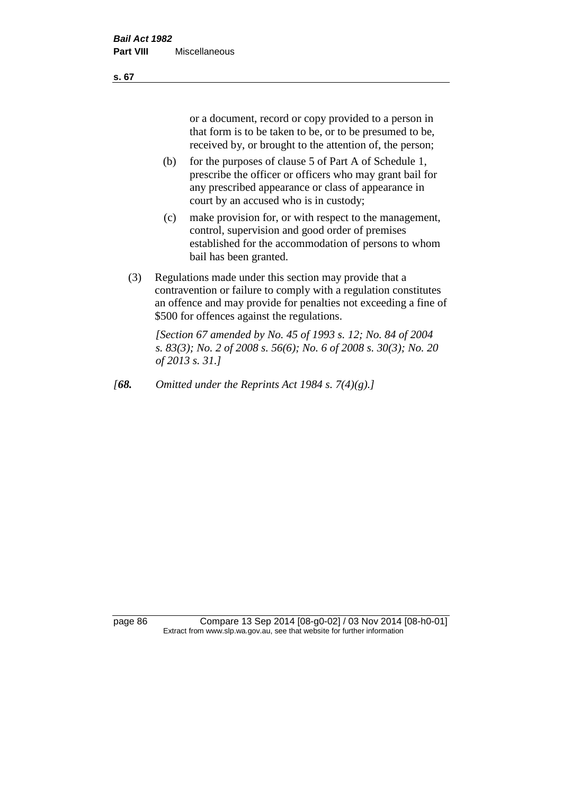or a document, record or copy provided to a person in that form is to be taken to be, or to be presumed to be, received by, or brought to the attention of, the person;

- (b) for the purposes of clause 5 of Part A of Schedule 1, prescribe the officer or officers who may grant bail for any prescribed appearance or class of appearance in court by an accused who is in custody;
- (c) make provision for, or with respect to the management, control, supervision and good order of premises established for the accommodation of persons to whom bail has been granted.
- (3) Regulations made under this section may provide that a contravention or failure to comply with a regulation constitutes an offence and may provide for penalties not exceeding a fine of \$500 for offences against the regulations.

*[Section 67 amended by No. 45 of 1993 s. 12; No. 84 of 2004 s. 83(3); No. 2 of 2008 s. 56(6); No. 6 of 2008 s. 30(3); No. 20 of 2013 s. 31.]* 

*[68. Omitted under the Reprints Act 1984 s. 7(4)(g).]*

page 86 Compare 13 Sep 2014 [08-g0-02] / 03 Nov 2014 [08-h0-01] Extract from www.slp.wa.gov.au, see that website for further information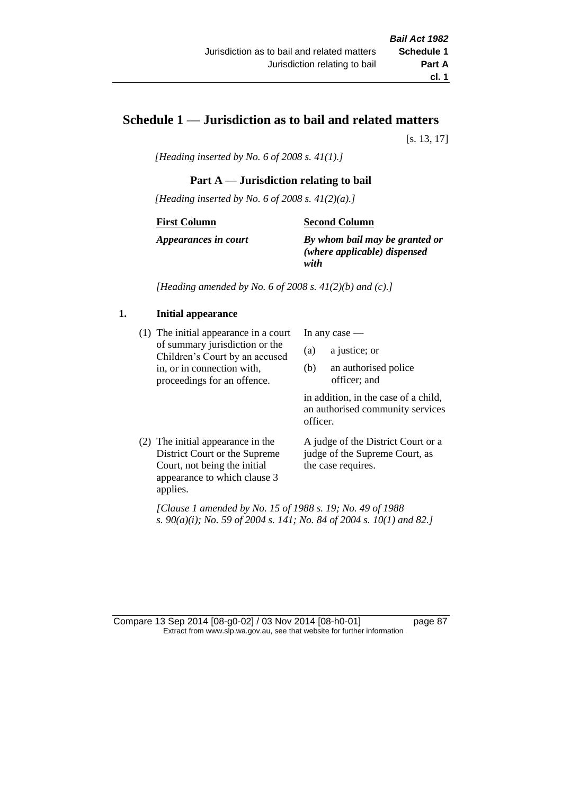# **Schedule 1 — Jurisdiction as to bail and related matters**

[s. 13, 17]

*[Heading inserted by No. 6 of 2008 s. 41(1).]*

# **Part A** — **Jurisdiction relating to bail**

*[Heading inserted by No. 6 of 2008 s. 41(2)(a).]*

#### **First Column**

#### **Second Column**

*Appearances in court*

*By whom bail may be granted or (where applicable) dispensed with*

*[Heading amended by No. 6 of 2008 s. 41(2)(b) and (c).]*

# **1. Initial appearance**

(1) The initial appearance in a court of summary jurisdiction or the Children's Court by an accused in, or in connection with, proceedings for an offence.

In any case —

- (a) a justice; or
- (b) an authorised police officer; and

in addition, in the case of a child, an authorised community services officer.

(2) The initial appearance in the District Court or the Supreme Court, not being the initial appearance to which clause 3 applies.

A judge of the District Court or a judge of the Supreme Court, as the case requires.

*[Clause 1 amended by No. 15 of 1988 s. 19; No. 49 of 1988 s. 90(a)(i); No. 59 of 2004 s. 141; No. 84 of 2004 s. 10(1) and 82.]*

Compare 13 Sep 2014 [08-g0-02] / 03 Nov 2014 [08-h0-01] page 87 Extract from www.slp.wa.gov.au, see that website for further information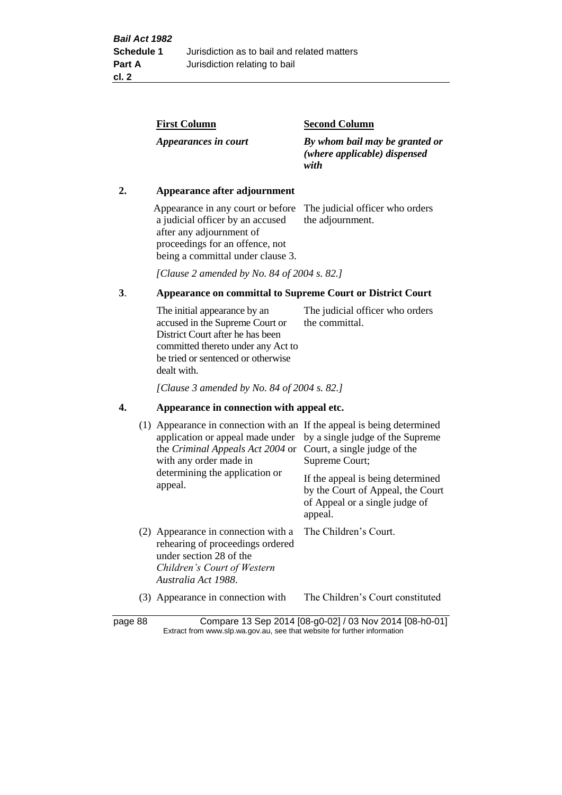| <b>Second Column</b>                                                   |
|------------------------------------------------------------------------|
| By whom bail may be granted or<br>(where applicable) dispensed<br>with |
|                                                                        |

### **2. Appearance after adjournment**

Appearance in any court or before The judicial officer who orders a judicial officer by an accused after any adjournment of proceedings for an offence, not being a committal under clause 3.

the adjournment.

*[Clause 2 amended by No. 84 of 2004 s. 82.]*

### **3**. **Appearance on committal to Supreme Court or District Court**

The initial appearance by an accused in the Supreme Court or District Court after he has been committed thereto under any Act to be tried or sentenced or otherwise dealt with. The judicial officer who orders the committal.

*[Clause 3 amended by No. 84 of 2004 s. 82.]*

#### **4. Appearance in connection with appeal etc.**

| (1) Appearance in connection with an If the appeal is being determined<br>application or appeal made under<br>the <i>Criminal Appeals Act 2004</i> or<br>with any order made in<br>determining the application or<br>appeal. | by a single judge of the Supreme<br>Court, a single judge of the<br>Supreme Court;<br>If the appeal is being determined<br>by the Court of Appeal, the Court<br>of Appeal or a single judge of<br>appeal. |
|------------------------------------------------------------------------------------------------------------------------------------------------------------------------------------------------------------------------------|-----------------------------------------------------------------------------------------------------------------------------------------------------------------------------------------------------------|
| (2) Appearance in connection with a<br>rehearing of proceedings ordered<br>under section 28 of the<br>Children's Court of Western<br>Australia Act 1988.                                                                     | The Children's Court.                                                                                                                                                                                     |
| Appearance in connection with<br>(3)                                                                                                                                                                                         | The Children's Court constituted                                                                                                                                                                          |

page 88 Compare 13 Sep 2014 [08-g0-02] / 03 Nov 2014 [08-h0-01] Extract from www.slp.wa.gov.au, see that website for further information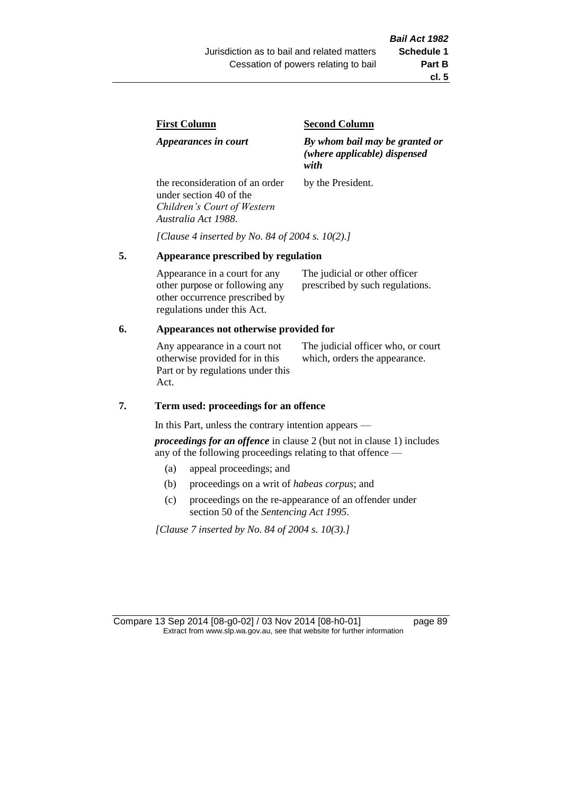| First Column                                               | <b>Second Column</b>                                                   |
|------------------------------------------------------------|------------------------------------------------------------------------|
| Appearances in court                                       | By whom bail may be granted or<br>(where applicable) dispensed<br>with |
| the reconsideration of an order<br>under section 40 of the | by the President.                                                      |

*[Clause 4 inserted by No. 84 of 2004 s. 10(2).]*

#### **5. Appearance prescribed by regulation**

*Children's Court of Western* 

*Australia Act 1988*.

Appearance in a court for any other purpose or following any other occurrence prescribed by regulations under this Act. The judicial or other officer prescribed by such regulations.

#### **6. Appearances not otherwise provided for**

Any appearance in a court not otherwise provided for in this Part or by regulations under this Act.

The judicial officer who, or court which, orders the appearance.

#### **7. Term used: proceedings for an offence**

In this Part, unless the contrary intention appears —

*proceedings for an offence* in clause 2 (but not in clause 1) includes any of the following proceedings relating to that offence —

- (a) appeal proceedings; and
- (b) proceedings on a writ of *habeas corpus*; and
- (c) proceedings on the re-appearance of an offender under section 50 of the *Sentencing Act 1995*.

*[Clause 7 inserted by No. 84 of 2004 s. 10(3).]*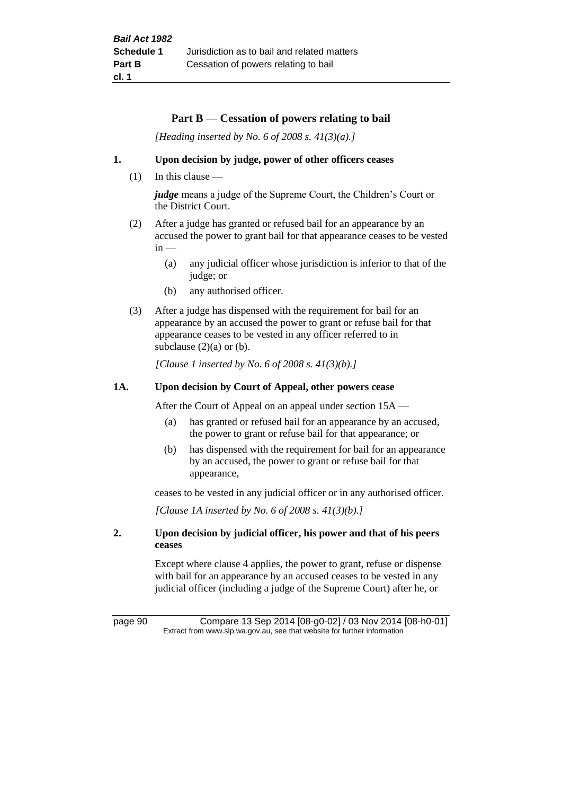### **Part B** — **Cessation of powers relating to bail**

*[Heading inserted by No. 6 of 2008 s. 41(3)(a).]*

#### **1. Upon decision by judge, power of other officers ceases**

(1) In this clause —

*judge* means a judge of the Supreme Court, the Children's Court or the District Court.

- (2) After a judge has granted or refused bail for an appearance by an accused the power to grant bail for that appearance ceases to be vested  $in -$ 
	- (a) any judicial officer whose jurisdiction is inferior to that of the judge; or
	- (b) any authorised officer.
- (3) After a judge has dispensed with the requirement for bail for an appearance by an accused the power to grant or refuse bail for that appearance ceases to be vested in any officer referred to in subclause  $(2)(a)$  or  $(b)$ .

*[Clause 1 inserted by No. 6 of 2008 s. 41(3)(b).]*

### **1A. Upon decision by Court of Appeal, other powers cease**

After the Court of Appeal on an appeal under section 15A —

- (a) has granted or refused bail for an appearance by an accused, the power to grant or refuse bail for that appearance; or
- (b) has dispensed with the requirement for bail for an appearance by an accused, the power to grant or refuse bail for that appearance,

ceases to be vested in any judicial officer or in any authorised officer.

*[Clause 1A inserted by No. 6 of 2008 s. 41(3)(b).]*

### **2. Upon decision by judicial officer, his power and that of his peers ceases**

Except where clause 4 applies, the power to grant, refuse or dispense with bail for an appearance by an accused ceases to be vested in any judicial officer (including a judge of the Supreme Court) after he, or

page 90 Compare 13 Sep 2014 [08-g0-02] / 03 Nov 2014 [08-h0-01] Extract from www.slp.wa.gov.au, see that website for further information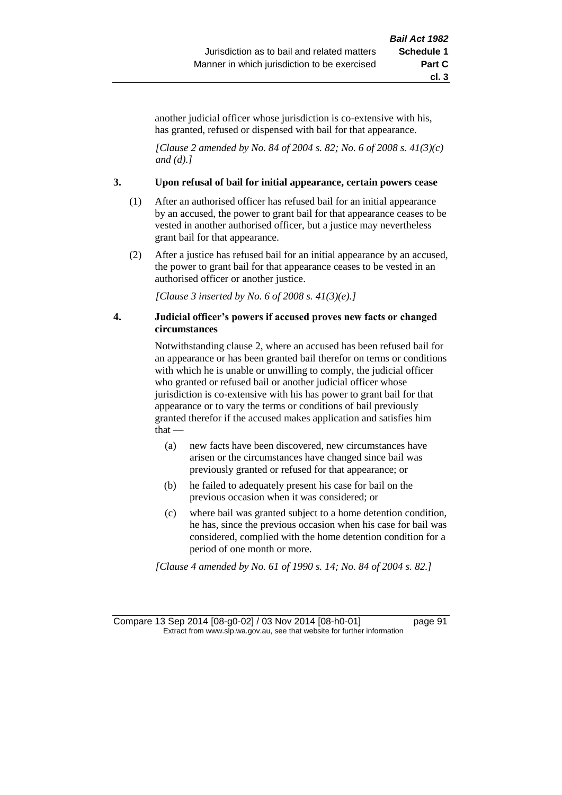another judicial officer whose jurisdiction is co-extensive with his, has granted, refused or dispensed with bail for that appearance.

*[Clause 2 amended by No. 84 of 2004 s. 82; No. 6 of 2008 s. 41(3)(c) and (d).]*

#### **3. Upon refusal of bail for initial appearance, certain powers cease**

- (1) After an authorised officer has refused bail for an initial appearance by an accused, the power to grant bail for that appearance ceases to be vested in another authorised officer, but a justice may nevertheless grant bail for that appearance.
- (2) After a justice has refused bail for an initial appearance by an accused, the power to grant bail for that appearance ceases to be vested in an authorised officer or another justice.

*[Clause 3 inserted by No. 6 of 2008 s. 41(3)(e).]*

#### **4. Judicial officer's powers if accused proves new facts or changed circumstances**

Notwithstanding clause 2, where an accused has been refused bail for an appearance or has been granted bail therefor on terms or conditions with which he is unable or unwilling to comply, the judicial officer who granted or refused bail or another judicial officer whose jurisdiction is co-extensive with his has power to grant bail for that appearance or to vary the terms or conditions of bail previously granted therefor if the accused makes application and satisfies him that —

- (a) new facts have been discovered, new circumstances have arisen or the circumstances have changed since bail was previously granted or refused for that appearance; or
- (b) he failed to adequately present his case for bail on the previous occasion when it was considered; or
- (c) where bail was granted subject to a home detention condition, he has, since the previous occasion when his case for bail was considered, complied with the home detention condition for a period of one month or more.

*[Clause 4 amended by No. 61 of 1990 s. 14; No. 84 of 2004 s. 82.]*

Compare 13 Sep 2014 [08-g0-02] / 03 Nov 2014 [08-h0-01] page 91 Extract from www.slp.wa.gov.au, see that website for further information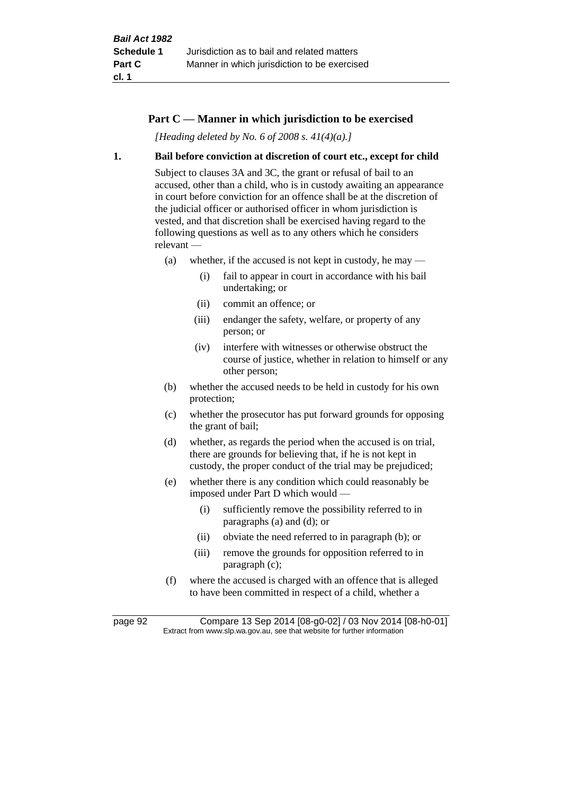# **Part C — Manner in which jurisdiction to be exercised**

*[Heading deleted by No. 6 of 2008 s. 41(4)(a).]*

#### **1. Bail before conviction at discretion of court etc., except for child**

Subject to clauses 3A and 3C, the grant or refusal of bail to an accused, other than a child, who is in custody awaiting an appearance in court before conviction for an offence shall be at the discretion of the judicial officer or authorised officer in whom jurisdiction is vested, and that discretion shall be exercised having regard to the following questions as well as to any others which he considers relevant —

- (a) whether, if the accused is not kept in custody, he may
	- (i) fail to appear in court in accordance with his bail undertaking; or
	- (ii) commit an offence; or
	- (iii) endanger the safety, welfare, or property of any person; or
	- (iv) interfere with witnesses or otherwise obstruct the course of justice, whether in relation to himself or any other person;
- (b) whether the accused needs to be held in custody for his own protection;
- (c) whether the prosecutor has put forward grounds for opposing the grant of bail;
- (d) whether, as regards the period when the accused is on trial, there are grounds for believing that, if he is not kept in custody, the proper conduct of the trial may be prejudiced;
- (e) whether there is any condition which could reasonably be imposed under Part D which would —
	- (i) sufficiently remove the possibility referred to in paragraphs (a) and (d); or
	- (ii) obviate the need referred to in paragraph (b); or
	- (iii) remove the grounds for opposition referred to in paragraph (c);
- (f) where the accused is charged with an offence that is alleged to have been committed in respect of a child, whether a

page 92 Compare 13 Sep 2014 [08-g0-02] / 03 Nov 2014 [08-h0-01] Extract from www.slp.wa.gov.au, see that website for further information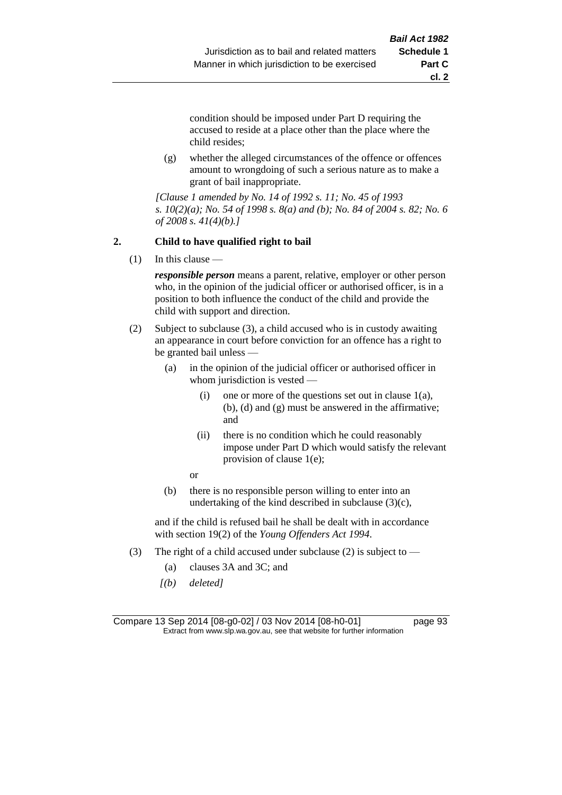**cl. 2**

condition should be imposed under Part D requiring the accused to reside at a place other than the place where the child resides;

(g) whether the alleged circumstances of the offence or offences amount to wrongdoing of such a serious nature as to make a grant of bail inappropriate.

*[Clause 1 amended by No. 14 of 1992 s. 11; No. 45 of 1993 s. 10(2)(a); No. 54 of 1998 s. 8(a) and (b); No. 84 of 2004 s. 82; No. 6 of 2008 s. 41(4)(b).]*

### **2. Child to have qualified right to bail**

(1) In this clause —

*responsible person* means a parent, relative, employer or other person who, in the opinion of the judicial officer or authorised officer, is in a position to both influence the conduct of the child and provide the child with support and direction.

- (2) Subject to subclause (3), a child accused who is in custody awaiting an appearance in court before conviction for an offence has a right to be granted bail unless —
	- (a) in the opinion of the judicial officer or authorised officer in whom jurisdiction is vested —
		- (i) one or more of the questions set out in clause  $1(a)$ , (b), (d) and (g) must be answered in the affirmative; and
		- (ii) there is no condition which he could reasonably impose under Part D which would satisfy the relevant provision of clause 1(e);

or

(b) there is no responsible person willing to enter into an undertaking of the kind described in subclause  $(3)(c)$ ,

and if the child is refused bail he shall be dealt with in accordance with section 19(2) of the *Young Offenders Act 1994*.

- (3) The right of a child accused under subclause (2) is subject to  $-$ 
	- (a) clauses 3A and 3C; and
	- *[(b) deleted]*

Compare 13 Sep 2014 [08-g0-02] / 03 Nov 2014 [08-h0-01] page 93 Extract from www.slp.wa.gov.au, see that website for further information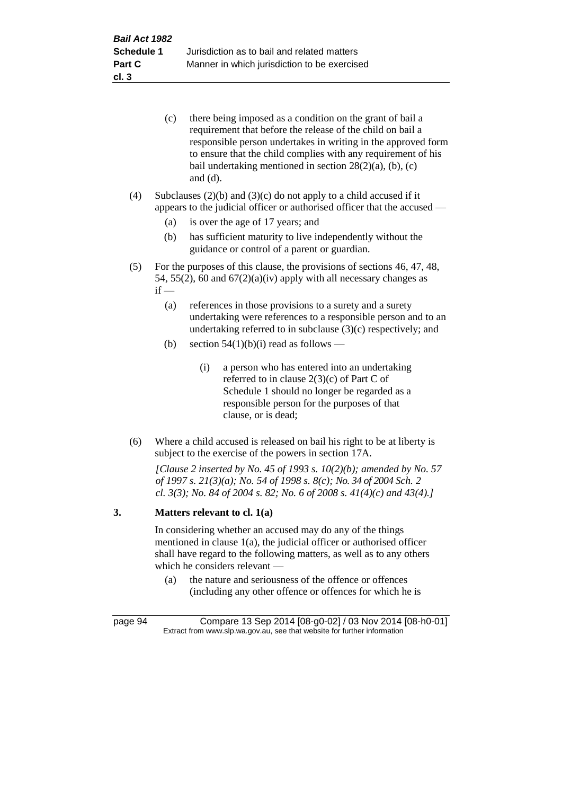| (c) | there being imposed as a condition on the grant of bail a     |
|-----|---------------------------------------------------------------|
|     | requirement that before the release of the child on bail a    |
|     | responsible person undertakes in writing in the approved form |
|     | to ensure that the child complies with any requirement of his |
|     | bail undertaking mentioned in section $28(2)(a)$ , (b), (c)   |
|     | and $(d)$ .                                                   |

(4) Subclauses  $(2)(b)$  and  $(3)(c)$  do not apply to a child accused if it appears to the judicial officer or authorised officer that the accused —

- (a) is over the age of 17 years; and
- (b) has sufficient maturity to live independently without the guidance or control of a parent or guardian.
- (5) For the purposes of this clause, the provisions of sections 46, 47, 48, 54, 55(2), 60 and  $67(2)(a)(iv)$  apply with all necessary changes as  $if -$ 
	- (a) references in those provisions to a surety and a surety undertaking were references to a responsible person and to an undertaking referred to in subclause (3)(c) respectively; and
	- (b) section  $54(1)(b)(i)$  read as follows
		- (i) a person who has entered into an undertaking referred to in clause 2(3)(c) of Part C of Schedule 1 should no longer be regarded as a responsible person for the purposes of that clause, or is dead;
- (6) Where a child accused is released on bail his right to be at liberty is subject to the exercise of the powers in section 17A.

*[Clause 2 inserted by No. 45 of 1993 s. 10(2)(b); amended by No. 57 of 1997 s. 21(3)(a); No. 54 of 1998 s. 8(c); No. 34 of 2004 Sch. 2 cl. 3(3); No. 84 of 2004 s. 82; No. 6 of 2008 s. 41(4)(c) and 43(4).]*

#### **3. Matters relevant to cl. 1(a)**

In considering whether an accused may do any of the things mentioned in clause 1(a), the judicial officer or authorised officer shall have regard to the following matters, as well as to any others which he considers relevant —

(a) the nature and seriousness of the offence or offences (including any other offence or offences for which he is

page 94 Compare 13 Sep 2014 [08-g0-02] / 03 Nov 2014 [08-h0-01] Extract from www.slp.wa.gov.au, see that website for further information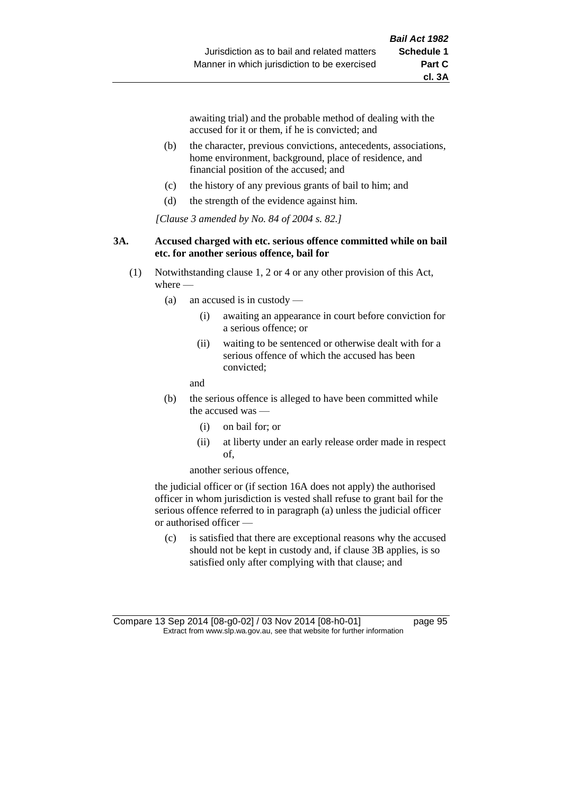awaiting trial) and the probable method of dealing with the accused for it or them, if he is convicted; and

- (b) the character, previous convictions, antecedents, associations, home environment, background, place of residence, and financial position of the accused; and
- (c) the history of any previous grants of bail to him; and
- (d) the strength of the evidence against him.

*[Clause 3 amended by No. 84 of 2004 s. 82.]*

#### **3A. Accused charged with etc. serious offence committed while on bail etc. for another serious offence, bail for**

- (1) Notwithstanding clause 1, 2 or 4 or any other provision of this Act, where —
	- (a) an accused is in custody
		- (i) awaiting an appearance in court before conviction for a serious offence; or
		- (ii) waiting to be sentenced or otherwise dealt with for a serious offence of which the accused has been convicted;

and

- (b) the serious offence is alleged to have been committed while the accused was
	- (i) on bail for; or
	- (ii) at liberty under an early release order made in respect of,

another serious offence,

the judicial officer or (if section 16A does not apply) the authorised officer in whom jurisdiction is vested shall refuse to grant bail for the serious offence referred to in paragraph (a) unless the judicial officer or authorised officer —

(c) is satisfied that there are exceptional reasons why the accused should not be kept in custody and, if clause 3B applies, is so satisfied only after complying with that clause; and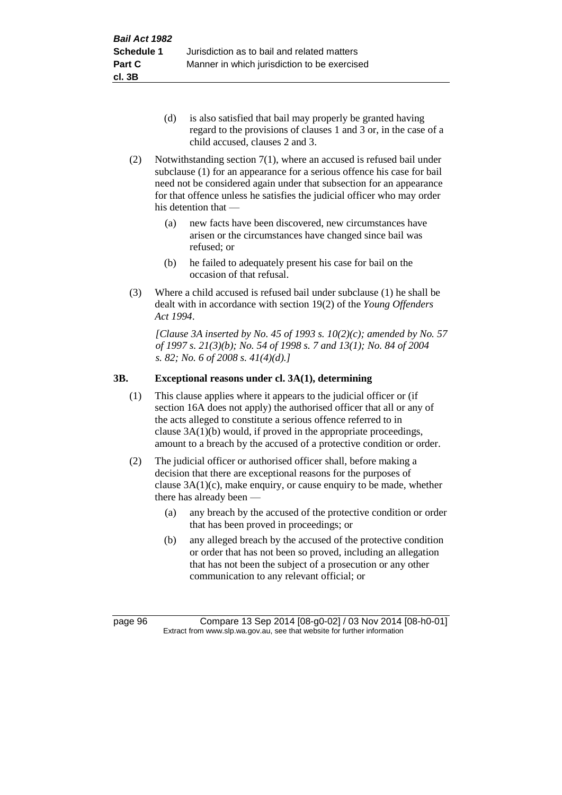- (d) is also satisfied that bail may properly be granted having regard to the provisions of clauses 1 and 3 or, in the case of a child accused, clauses 2 and 3.
- (2) Notwithstanding section 7(1), where an accused is refused bail under subclause (1) for an appearance for a serious offence his case for bail need not be considered again under that subsection for an appearance for that offence unless he satisfies the judicial officer who may order his detention that —
	- (a) new facts have been discovered, new circumstances have arisen or the circumstances have changed since bail was refused; or
	- (b) he failed to adequately present his case for bail on the occasion of that refusal.
- (3) Where a child accused is refused bail under subclause (1) he shall be dealt with in accordance with section 19(2) of the *Young Offenders Act 1994*.

*[Clause 3A inserted by No. 45 of 1993 s. 10(2)(c); amended by No. 57 of 1997 s. 21(3)(b); No. 54 of 1998 s. 7 and 13(1); No. 84 of 2004 s. 82; No. 6 of 2008 s. 41(4)(d).]*

# **3B. Exceptional reasons under cl. 3A(1), determining**

- (1) This clause applies where it appears to the judicial officer or (if section 16A does not apply) the authorised officer that all or any of the acts alleged to constitute a serious offence referred to in clause 3A(1)(b) would, if proved in the appropriate proceedings, amount to a breach by the accused of a protective condition or order.
- (2) The judicial officer or authorised officer shall, before making a decision that there are exceptional reasons for the purposes of clause  $3A(1)(c)$ , make enquiry, or cause enquiry to be made, whether there has already been —
	- (a) any breach by the accused of the protective condition or order that has been proved in proceedings; or
	- (b) any alleged breach by the accused of the protective condition or order that has not been so proved, including an allegation that has not been the subject of a prosecution or any other communication to any relevant official; or

page 96 Compare 13 Sep 2014 [08-g0-02] / 03 Nov 2014 [08-h0-01] Extract from www.slp.wa.gov.au, see that website for further information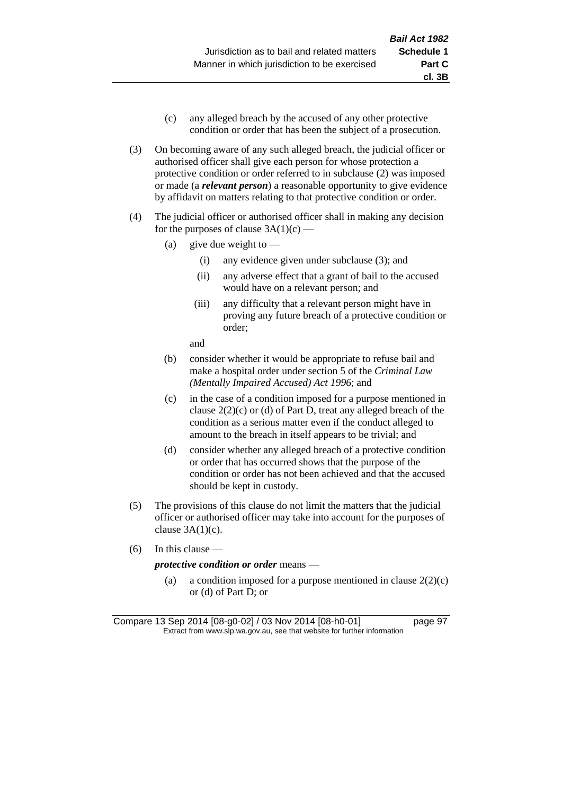- (c) any alleged breach by the accused of any other protective condition or order that has been the subject of a prosecution.
- (3) On becoming aware of any such alleged breach, the judicial officer or authorised officer shall give each person for whose protection a protective condition or order referred to in subclause (2) was imposed or made (a *relevant person*) a reasonable opportunity to give evidence by affidavit on matters relating to that protective condition or order.
- (4) The judicial officer or authorised officer shall in making any decision for the purposes of clause  $3A(1)(c)$  —
	- (a) give due weight to  $-$ 
		- (i) any evidence given under subclause (3); and
		- (ii) any adverse effect that a grant of bail to the accused would have on a relevant person; and
		- (iii) any difficulty that a relevant person might have in proving any future breach of a protective condition or order;

and

- (b) consider whether it would be appropriate to refuse bail and make a hospital order under section 5 of the *Criminal Law (Mentally Impaired Accused) Act 1996*; and
- (c) in the case of a condition imposed for a purpose mentioned in clause 2(2)(c) or (d) of Part D, treat any alleged breach of the condition as a serious matter even if the conduct alleged to amount to the breach in itself appears to be trivial; and
- (d) consider whether any alleged breach of a protective condition or order that has occurred shows that the purpose of the condition or order has not been achieved and that the accused should be kept in custody.
- (5) The provisions of this clause do not limit the matters that the judicial officer or authorised officer may take into account for the purposes of clause  $3A(1)(c)$ .
- (6) In this clause —

#### *protective condition or order* means —

(a) a condition imposed for a purpose mentioned in clause  $2(2)(c)$ or (d) of Part D; or

Compare 13 Sep 2014 [08-g0-02] / 03 Nov 2014 [08-h0-01] page 97 Extract from www.slp.wa.gov.au, see that website for further information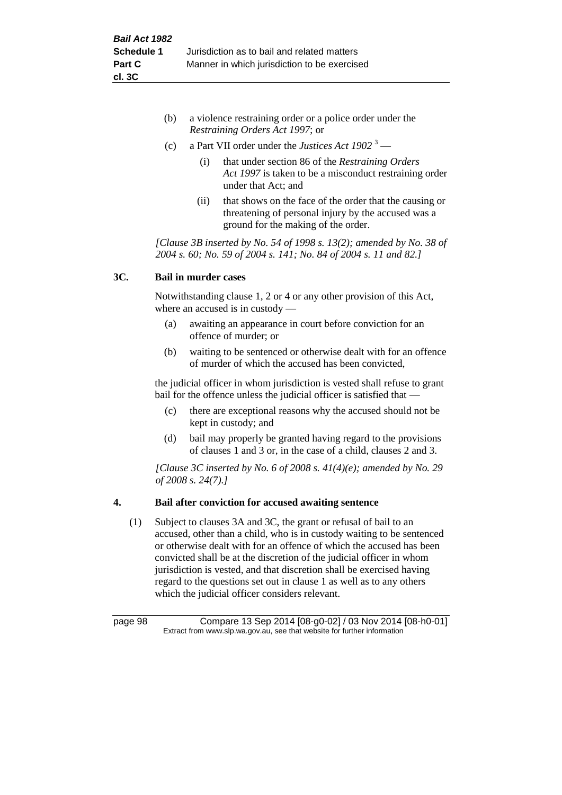- (b) a violence restraining order or a police order under the *Restraining Orders Act 1997*; or
- (c) a Part VII order under the *Justices Act 1902* <sup>3</sup>
	- (i) that under section 86 of the *Restraining Orders Act 1997* is taken to be a misconduct restraining order under that Act; and
	- (ii) that shows on the face of the order that the causing or threatening of personal injury by the accused was a ground for the making of the order.

*[Clause 3B inserted by No. 54 of 1998 s. 13(2); amended by No. 38 of 2004 s. 60; No. 59 of 2004 s. 141; No. 84 of 2004 s. 11 and 82.]*

# **3C. Bail in murder cases**

Notwithstanding clause 1, 2 or 4 or any other provision of this Act, where an accused is in custody —

- (a) awaiting an appearance in court before conviction for an offence of murder; or
- (b) waiting to be sentenced or otherwise dealt with for an offence of murder of which the accused has been convicted,

the judicial officer in whom jurisdiction is vested shall refuse to grant bail for the offence unless the judicial officer is satisfied that —

- (c) there are exceptional reasons why the accused should not be kept in custody; and
- (d) bail may properly be granted having regard to the provisions of clauses 1 and 3 or, in the case of a child, clauses 2 and 3.

*[Clause 3C inserted by No. 6 of 2008 s. 41(4)(e); amended by No. 29 of 2008 s. 24(7).]*

# **4. Bail after conviction for accused awaiting sentence**

(1) Subject to clauses 3A and 3C, the grant or refusal of bail to an accused, other than a child, who is in custody waiting to be sentenced or otherwise dealt with for an offence of which the accused has been convicted shall be at the discretion of the judicial officer in whom jurisdiction is vested, and that discretion shall be exercised having regard to the questions set out in clause 1 as well as to any others which the judicial officer considers relevant.

page 98 Compare 13 Sep 2014 [08-g0-02] / 03 Nov 2014 [08-h0-01] Extract from www.slp.wa.gov.au, see that website for further information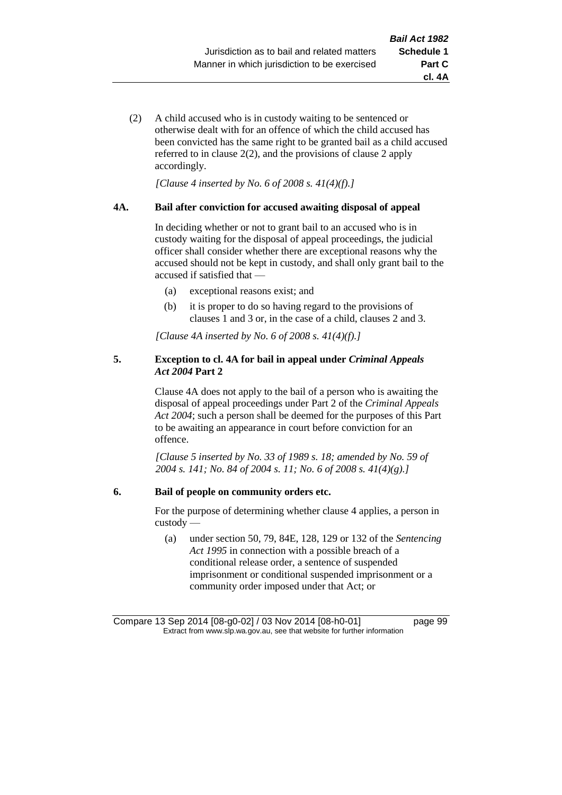**cl. 4A**

(2) A child accused who is in custody waiting to be sentenced or otherwise dealt with for an offence of which the child accused has been convicted has the same right to be granted bail as a child accused referred to in clause 2(2), and the provisions of clause 2 apply accordingly.

*[Clause 4 inserted by No. 6 of 2008 s. 41(4)(f).]*

#### **4A. Bail after conviction for accused awaiting disposal of appeal**

In deciding whether or not to grant bail to an accused who is in custody waiting for the disposal of appeal proceedings, the judicial officer shall consider whether there are exceptional reasons why the accused should not be kept in custody, and shall only grant bail to the accused if satisfied that —

- (a) exceptional reasons exist; and
- (b) it is proper to do so having regard to the provisions of clauses 1 and 3 or, in the case of a child, clauses 2 and 3.

*[Clause 4A inserted by No. 6 of 2008 s. 41(4)(f).]*

#### **5. Exception to cl. 4A for bail in appeal under** *Criminal Appeals Act 2004* **Part 2**

Clause 4A does not apply to the bail of a person who is awaiting the disposal of appeal proceedings under Part 2 of the *Criminal Appeals Act 2004*; such a person shall be deemed for the purposes of this Part to be awaiting an appearance in court before conviction for an offence.

*[Clause 5 inserted by No. 33 of 1989 s. 18; amended by No. 59 of 2004 s. 141; No. 84 of 2004 s. 11; No. 6 of 2008 s. 41(4)(g).]*

#### **6. Bail of people on community orders etc.**

For the purpose of determining whether clause 4 applies, a person in custody —

(a) under section 50, 79, 84E, 128, 129 or 132 of the *Sentencing Act 1995* in connection with a possible breach of a conditional release order, a sentence of suspended imprisonment or conditional suspended imprisonment or a community order imposed under that Act; or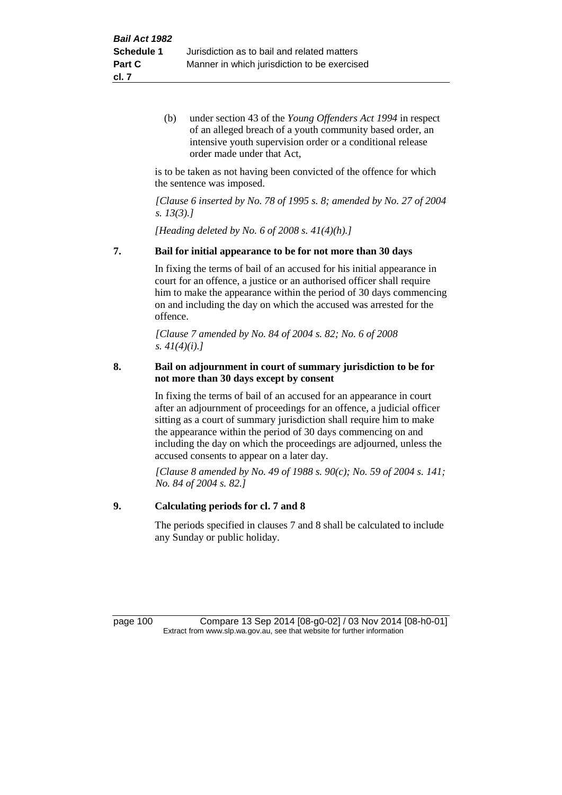(b) under section 43 of the *Young Offenders Act 1994* in respect of an alleged breach of a youth community based order, an intensive youth supervision order or a conditional release order made under that Act,

is to be taken as not having been convicted of the offence for which the sentence was imposed.

*[Clause 6 inserted by No. 78 of 1995 s. 8; amended by No. 27 of 2004 s. 13(3).]*

*[Heading deleted by No. 6 of 2008 s. 41(4)(h).]*

#### **7. Bail for initial appearance to be for not more than 30 days**

In fixing the terms of bail of an accused for his initial appearance in court for an offence, a justice or an authorised officer shall require him to make the appearance within the period of 30 days commencing on and including the day on which the accused was arrested for the offence.

*[Clause 7 amended by No. 84 of 2004 s. 82; No. 6 of 2008 s. 41(4)(i).]*

#### **8. Bail on adjournment in court of summary jurisdiction to be for not more than 30 days except by consent**

In fixing the terms of bail of an accused for an appearance in court after an adjournment of proceedings for an offence, a judicial officer sitting as a court of summary jurisdiction shall require him to make the appearance within the period of 30 days commencing on and including the day on which the proceedings are adjourned, unless the accused consents to appear on a later day.

*[Clause 8 amended by No. 49 of 1988 s. 90(c); No. 59 of 2004 s. 141; No. 84 of 2004 s. 82.]*

### **9. Calculating periods for cl. 7 and 8**

The periods specified in clauses 7 and 8 shall be calculated to include any Sunday or public holiday.

page 100 Compare 13 Sep 2014 [08-g0-02] / 03 Nov 2014 [08-h0-01] Extract from www.slp.wa.gov.au, see that website for further information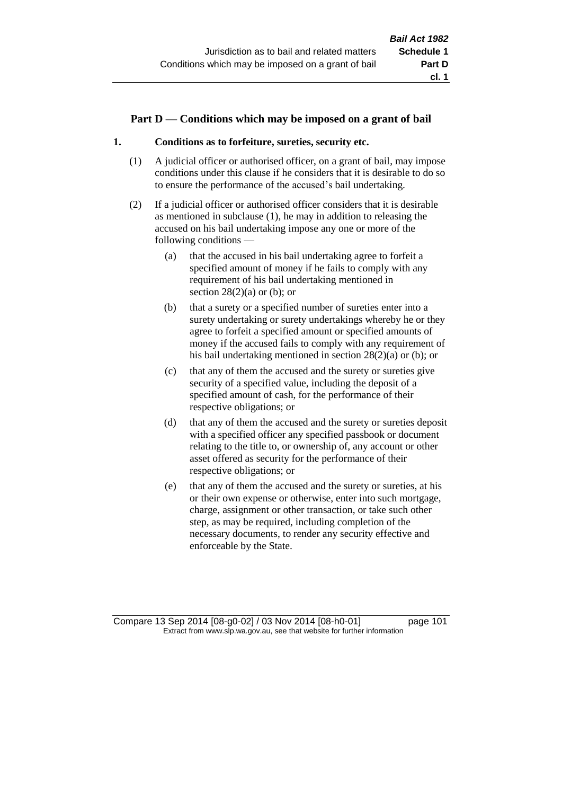# **Part D — Conditions which may be imposed on a grant of bail**

### **1. Conditions as to forfeiture, sureties, security etc.**

- (1) A judicial officer or authorised officer, on a grant of bail, may impose conditions under this clause if he considers that it is desirable to do so to ensure the performance of the accused's bail undertaking.
- (2) If a judicial officer or authorised officer considers that it is desirable as mentioned in subclause (1), he may in addition to releasing the accused on his bail undertaking impose any one or more of the following conditions —
	- (a) that the accused in his bail undertaking agree to forfeit a specified amount of money if he fails to comply with any requirement of his bail undertaking mentioned in section  $28(2)(a)$  or (b); or
	- (b) that a surety or a specified number of sureties enter into a surety undertaking or surety undertakings whereby he or they agree to forfeit a specified amount or specified amounts of money if the accused fails to comply with any requirement of his bail undertaking mentioned in section 28(2)(a) or (b); or
	- (c) that any of them the accused and the surety or sureties give security of a specified value, including the deposit of a specified amount of cash, for the performance of their respective obligations; or
	- (d) that any of them the accused and the surety or sureties deposit with a specified officer any specified passbook or document relating to the title to, or ownership of, any account or other asset offered as security for the performance of their respective obligations; or
	- (e) that any of them the accused and the surety or sureties, at his or their own expense or otherwise, enter into such mortgage, charge, assignment or other transaction, or take such other step, as may be required, including completion of the necessary documents, to render any security effective and enforceable by the State.

Compare 13 Sep 2014 [08-g0-02] / 03 Nov 2014 [08-h0-01] page 101 Extract from www.slp.wa.gov.au, see that website for further information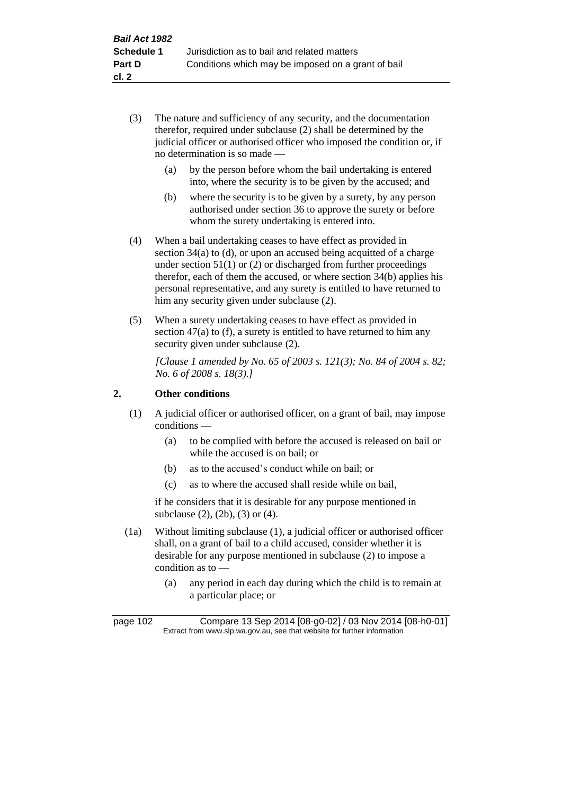- (3) The nature and sufficiency of any security, and the documentation therefor, required under subclause (2) shall be determined by the judicial officer or authorised officer who imposed the condition or, if no determination is so made —
	- (a) by the person before whom the bail undertaking is entered into, where the security is to be given by the accused; and
	- (b) where the security is to be given by a surety, by any person authorised under section 36 to approve the surety or before whom the surety undertaking is entered into.
- (4) When a bail undertaking ceases to have effect as provided in section 34(a) to (d), or upon an accused being acquitted of a charge under section  $51(1)$  or (2) or discharged from further proceedings therefor, each of them the accused, or where section 34(b) applies his personal representative, and any surety is entitled to have returned to him any security given under subclause (2).
- (5) When a surety undertaking ceases to have effect as provided in section 47(a) to (f), a surety is entitled to have returned to him any security given under subclause  $(2)$ .

*[Clause 1 amended by No. 65 of 2003 s. 121(3); No. 84 of 2004 s. 82; No. 6 of 2008 s. 18(3).]*

# **2. Other conditions**

- (1) A judicial officer or authorised officer, on a grant of bail, may impose conditions —
	- (a) to be complied with before the accused is released on bail or while the accused is on bail; or
	- (b) as to the accused's conduct while on bail; or
	- (c) as to where the accused shall reside while on bail,

if he considers that it is desirable for any purpose mentioned in subclause (2), (2b), (3) or (4).

- (1a) Without limiting subclause (1), a judicial officer or authorised officer shall, on a grant of bail to a child accused, consider whether it is desirable for any purpose mentioned in subclause (2) to impose a condition as to —
	- (a) any period in each day during which the child is to remain at a particular place; or

page 102 Compare 13 Sep 2014 [08-g0-02] / 03 Nov 2014 [08-h0-01] Extract from www.slp.wa.gov.au, see that website for further information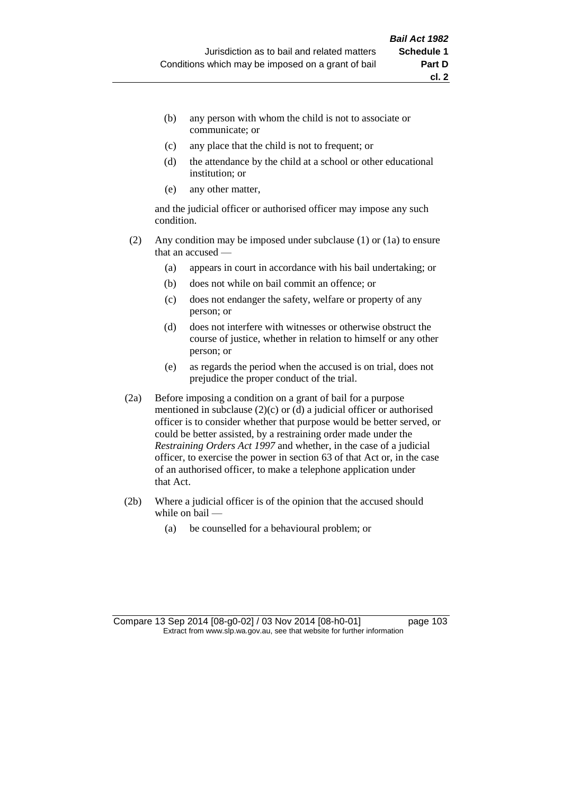- (b) any person with whom the child is not to associate or communicate; or
- (c) any place that the child is not to frequent; or
- (d) the attendance by the child at a school or other educational institution; or
- (e) any other matter,

and the judicial officer or authorised officer may impose any such condition.

- (2) Any condition may be imposed under subclause (1) or (1a) to ensure that an accused —
	- (a) appears in court in accordance with his bail undertaking; or
	- (b) does not while on bail commit an offence; or
	- (c) does not endanger the safety, welfare or property of any person; or
	- (d) does not interfere with witnesses or otherwise obstruct the course of justice, whether in relation to himself or any other person; or
	- (e) as regards the period when the accused is on trial, does not prejudice the proper conduct of the trial.
- (2a) Before imposing a condition on a grant of bail for a purpose mentioned in subclause (2)(c) or (d) a judicial officer or authorised officer is to consider whether that purpose would be better served, or could be better assisted, by a restraining order made under the *Restraining Orders Act 1997* and whether, in the case of a judicial officer, to exercise the power in section 63 of that Act or, in the case of an authorised officer, to make a telephone application under that Act.
- (2b) Where a judicial officer is of the opinion that the accused should while on bail —
	- (a) be counselled for a behavioural problem; or

Compare 13 Sep 2014 [08-g0-02] / 03 Nov 2014 [08-h0-01] page 103 Extract from www.slp.wa.gov.au, see that website for further information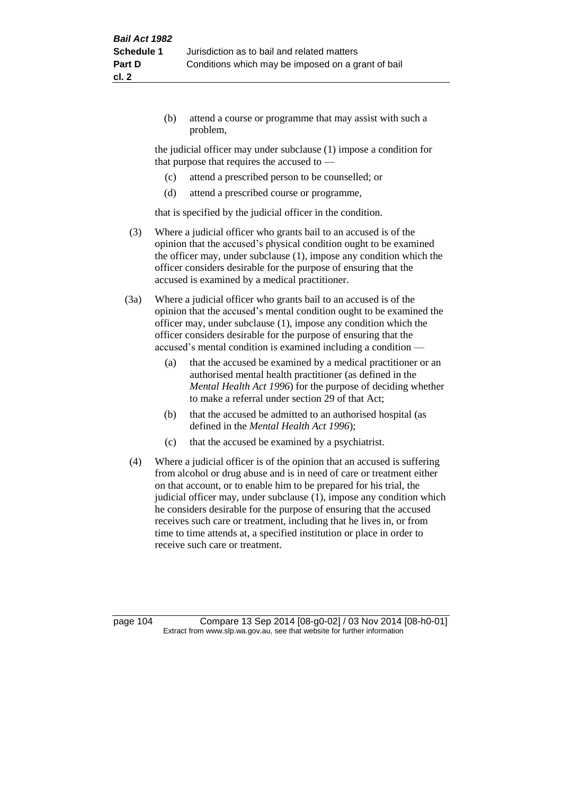(b) attend a course or programme that may assist with such a problem,

the judicial officer may under subclause (1) impose a condition for that purpose that requires the accused to —

- (c) attend a prescribed person to be counselled; or
- (d) attend a prescribed course or programme,

that is specified by the judicial officer in the condition.

- (3) Where a judicial officer who grants bail to an accused is of the opinion that the accused's physical condition ought to be examined the officer may, under subclause (1), impose any condition which the officer considers desirable for the purpose of ensuring that the accused is examined by a medical practitioner.
- (3a) Where a judicial officer who grants bail to an accused is of the opinion that the accused's mental condition ought to be examined the officer may, under subclause (1), impose any condition which the officer considers desirable for the purpose of ensuring that the accused's mental condition is examined including a condition —
	- (a) that the accused be examined by a medical practitioner or an authorised mental health practitioner (as defined in the *Mental Health Act 1996*) for the purpose of deciding whether to make a referral under section 29 of that Act;
	- (b) that the accused be admitted to an authorised hospital (as defined in the *Mental Health Act 1996*);
	- (c) that the accused be examined by a psychiatrist.
- (4) Where a judicial officer is of the opinion that an accused is suffering from alcohol or drug abuse and is in need of care or treatment either on that account, or to enable him to be prepared for his trial, the judicial officer may, under subclause (1), impose any condition which he considers desirable for the purpose of ensuring that the accused receives such care or treatment, including that he lives in, or from time to time attends at, a specified institution or place in order to receive such care or treatment.

page 104 Compare 13 Sep 2014 [08-g0-02] / 03 Nov 2014 [08-h0-01] Extract from www.slp.wa.gov.au, see that website for further information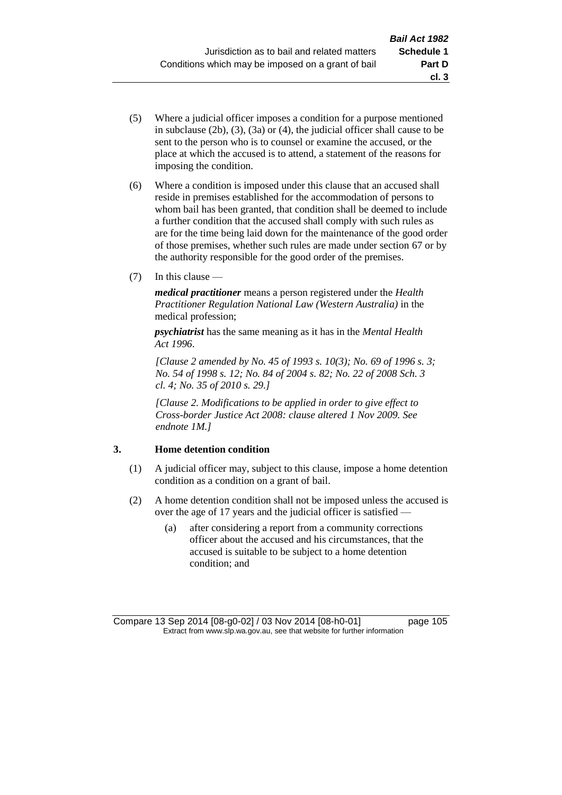- (5) Where a judicial officer imposes a condition for a purpose mentioned in subclause (2b), (3), (3a) or (4), the judicial officer shall cause to be sent to the person who is to counsel or examine the accused, or the place at which the accused is to attend, a statement of the reasons for imposing the condition.
- (6) Where a condition is imposed under this clause that an accused shall reside in premises established for the accommodation of persons to whom bail has been granted, that condition shall be deemed to include a further condition that the accused shall comply with such rules as are for the time being laid down for the maintenance of the good order of those premises, whether such rules are made under section 67 or by the authority responsible for the good order of the premises.
- (7) In this clause —

*medical practitioner* means a person registered under the *Health Practitioner Regulation National Law (Western Australia)* in the medical profession;

*psychiatrist* has the same meaning as it has in the *Mental Health Act 1996*.

*[Clause 2 amended by No. 45 of 1993 s. 10(3); No. 69 of 1996 s. 3; No. 54 of 1998 s. 12; No. 84 of 2004 s. 82; No. 22 of 2008 Sch. 3 cl. 4; No. 35 of 2010 s. 29.]*

*[Clause 2. Modifications to be applied in order to give effect to Cross-border Justice Act 2008: clause altered 1 Nov 2009. See endnote 1M.]*

# **3. Home detention condition**

- (1) A judicial officer may, subject to this clause, impose a home detention condition as a condition on a grant of bail.
- (2) A home detention condition shall not be imposed unless the accused is over the age of 17 years and the judicial officer is satisfied —
	- (a) after considering a report from a community corrections officer about the accused and his circumstances, that the accused is suitable to be subject to a home detention condition; and

**cl. 3**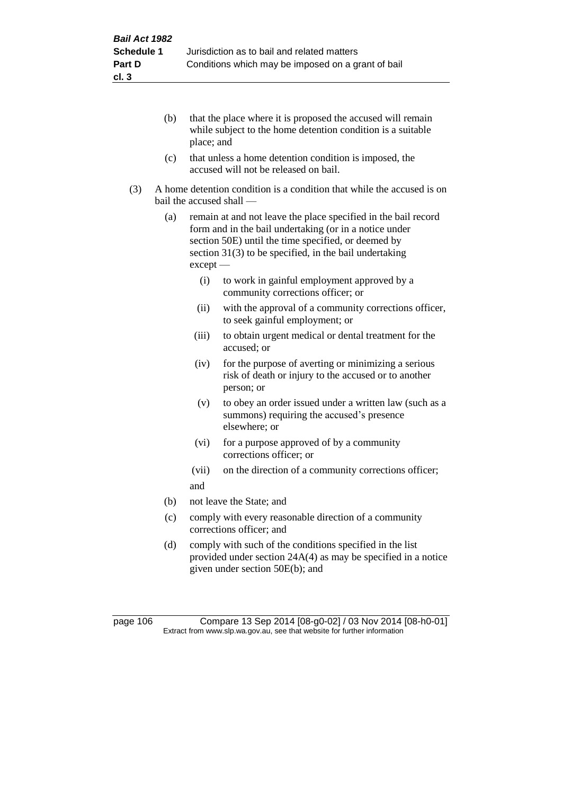- (b) that the place where it is proposed the accused will remain while subject to the home detention condition is a suitable place; and
- (c) that unless a home detention condition is imposed, the accused will not be released on bail.
- (3) A home detention condition is a condition that while the accused is on bail the accused shall —
	- (a) remain at and not leave the place specified in the bail record form and in the bail undertaking (or in a notice under section 50E) until the time specified, or deemed by section 31(3) to be specified, in the bail undertaking except —
		- (i) to work in gainful employment approved by a community corrections officer; or
		- (ii) with the approval of a community corrections officer, to seek gainful employment; or
		- (iii) to obtain urgent medical or dental treatment for the accused; or
		- (iv) for the purpose of averting or minimizing a serious risk of death or injury to the accused or to another person; or
		- (v) to obey an order issued under a written law (such as a summons) requiring the accused's presence elsewhere; or
		- (vi) for a purpose approved of by a community corrections officer; or
		- (vii) on the direction of a community corrections officer; and
	- (b) not leave the State; and
	- (c) comply with every reasonable direction of a community corrections officer; and
	- (d) comply with such of the conditions specified in the list provided under section 24A(4) as may be specified in a notice given under section 50E(b); and

page 106 Compare 13 Sep 2014 [08-g0-02] / 03 Nov 2014 [08-h0-01] Extract from www.slp.wa.gov.au, see that website for further information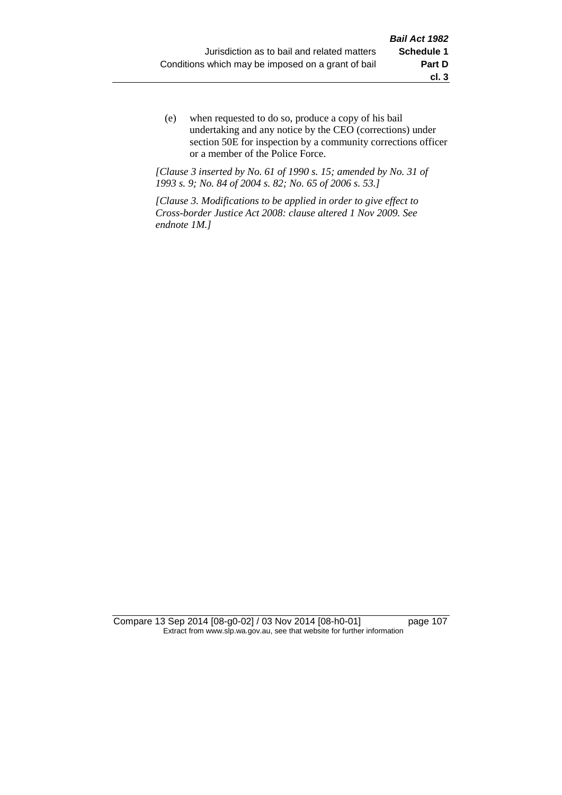(e) when requested to do so, produce a copy of his bail undertaking and any notice by the CEO (corrections) under section 50E for inspection by a community corrections officer or a member of the Police Force.

*[Clause 3 inserted by No. 61 of 1990 s. 15; amended by No. 31 of 1993 s. 9; No. 84 of 2004 s. 82; No. 65 of 2006 s. 53.]*

*[Clause 3. Modifications to be applied in order to give effect to Cross-border Justice Act 2008: clause altered 1 Nov 2009. See endnote 1M.]*

Compare 13 Sep 2014 [08-g0-02] / 03 Nov 2014 [08-h0-01] page 107 Extract from www.slp.wa.gov.au, see that website for further information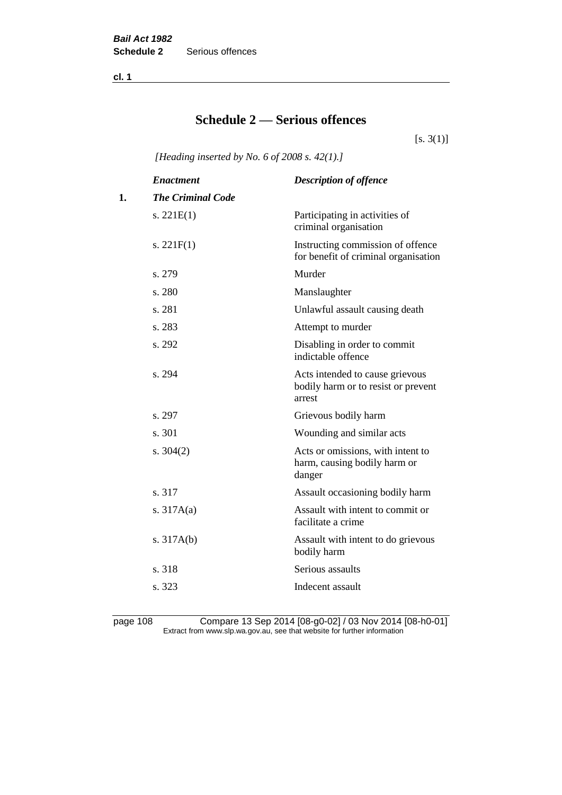**cl. 1**

# **Schedule 2 — Serious offences**

 $[s. 3(1)]$ 

*[Heading inserted by No. 6 of 2008 s. 42(1).]*

|    | <b>Enactment</b>         | <b>Description of offence</b>                                                    |
|----|--------------------------|----------------------------------------------------------------------------------|
| 1. | <b>The Criminal Code</b> |                                                                                  |
|    | s. $221E(1)$             | Participating in activities of<br>criminal organisation                          |
|    | s. $221F(1)$             | Instructing commission of offence<br>for benefit of criminal organisation        |
|    | s. 279                   | Murder                                                                           |
|    | s. 280                   | Manslaughter                                                                     |
|    | s. 281                   | Unlawful assault causing death                                                   |
|    | s. 283                   | Attempt to murder                                                                |
|    | s. 292                   | Disabling in order to commit<br>indictable offence                               |
|    | s. 294                   | Acts intended to cause grievous<br>bodily harm or to resist or prevent<br>arrest |
|    | s. 297                   | Grievous bodily harm                                                             |
|    | s. 301                   | Wounding and similar acts                                                        |
|    | s. $304(2)$              | Acts or omissions, with intent to<br>harm, causing bodily harm or<br>danger      |
|    | s. 317                   | Assault occasioning bodily harm                                                  |
|    | s. $317A(a)$             | Assault with intent to commit or<br>facilitate a crime                           |
|    | s. $317A(b)$             | Assault with intent to do grievous<br>bodily harm                                |
|    | s. 318                   | Serious assaults                                                                 |
|    | s. 323                   | Indecent assault                                                                 |
|    |                          |                                                                                  |

page 108 Compare 13 Sep 2014 [08-g0-02] / 03 Nov 2014 [08-h0-01] Extract from www.slp.wa.gov.au, see that website for further information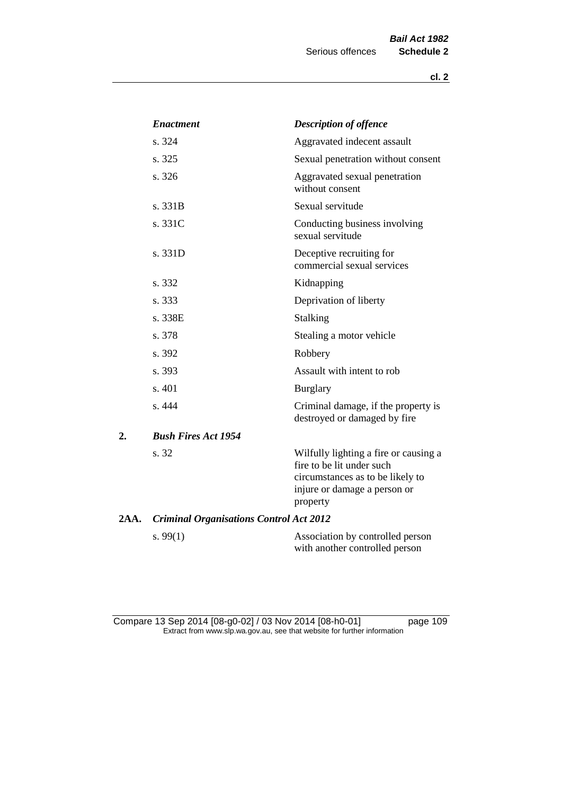|      | <b>Enactment</b>                               | <b>Description of offence</b>                                                                                                                      |
|------|------------------------------------------------|----------------------------------------------------------------------------------------------------------------------------------------------------|
|      | s. 324                                         | Aggravated indecent assault                                                                                                                        |
|      | s. 325                                         | Sexual penetration without consent                                                                                                                 |
|      | s.326                                          | Aggravated sexual penetration<br>without consent                                                                                                   |
|      | s. 331B                                        | Sexual servitude                                                                                                                                   |
|      | s. 331C                                        | Conducting business involving<br>sexual servitude                                                                                                  |
|      | s. 331D                                        | Deceptive recruiting for<br>commercial sexual services                                                                                             |
|      | s. 332                                         | Kidnapping                                                                                                                                         |
|      | s. 333                                         | Deprivation of liberty                                                                                                                             |
|      | s. 338E                                        | <b>Stalking</b>                                                                                                                                    |
|      | s. 378                                         | Stealing a motor vehicle                                                                                                                           |
|      | s. 392                                         | Robbery                                                                                                                                            |
|      | s. 393                                         | Assault with intent to rob                                                                                                                         |
|      | s. 401                                         | <b>Burglary</b>                                                                                                                                    |
|      | s. 444                                         | Criminal damage, if the property is<br>destroyed or damaged by fire                                                                                |
| 2.   | <b>Bush Fires Act 1954</b>                     |                                                                                                                                                    |
|      | s. 32                                          | Wilfully lighting a fire or causing a<br>fire to be lit under such<br>circumstances as to be likely to<br>injure or damage a person or<br>property |
| 2AA. | <b>Criminal Organisations Control Act 2012</b> |                                                                                                                                                    |
|      | s. $99(1)$                                     | Association by controlled person<br>with another controlled person                                                                                 |

Compare 13 Sep 2014 [08-g0-02] / 03 Nov 2014 [08-h0-01] page 109 Extract from www.slp.wa.gov.au, see that website for further information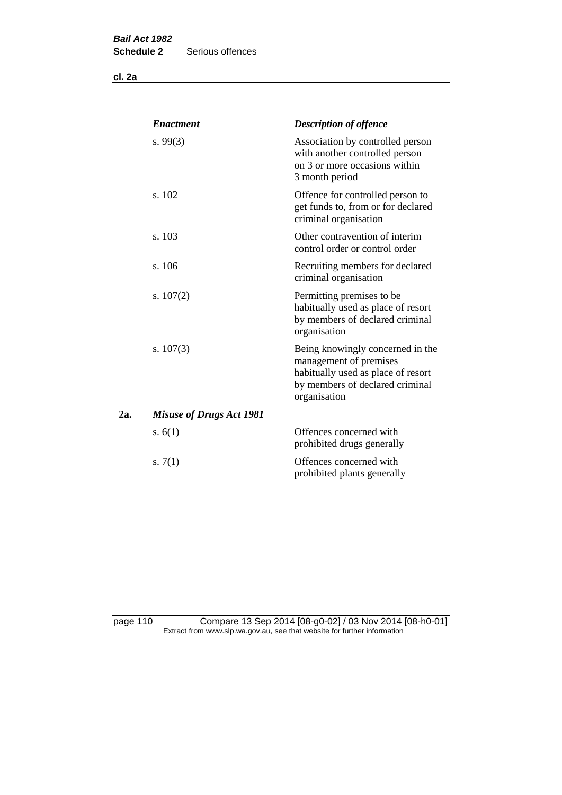**cl. 2a**

|     | <b>Enactment</b>                | <b>Description of offence</b>                                                                                                                       |
|-----|---------------------------------|-----------------------------------------------------------------------------------------------------------------------------------------------------|
|     | s.99(3)                         | Association by controlled person<br>with another controlled person<br>on 3 or more occasions within<br>3 month period                               |
|     | s. 102                          | Offence for controlled person to<br>get funds to, from or for declared<br>criminal organisation                                                     |
|     | s. 103                          | Other contravention of interim<br>control order or control order                                                                                    |
|     | s. 106                          | Recruiting members for declared<br>criminal organisation                                                                                            |
|     | s. $107(2)$                     | Permitting premises to be<br>habitually used as place of resort<br>by members of declared criminal<br>organisation                                  |
|     | s. $107(3)$                     | Being knowingly concerned in the<br>management of premises<br>habitually used as place of resort<br>by members of declared criminal<br>organisation |
| 2а. | <b>Misuse of Drugs Act 1981</b> |                                                                                                                                                     |
|     | s. $6(1)$                       | Offences concerned with<br>prohibited drugs generally                                                                                               |
|     | s. $7(1)$                       | Offences concerned with<br>prohibited plants generally                                                                                              |

page 110 Compare 13 Sep 2014 [08-g0-02] / 03 Nov 2014 [08-h0-01] Extract from www.slp.wa.gov.au, see that website for further information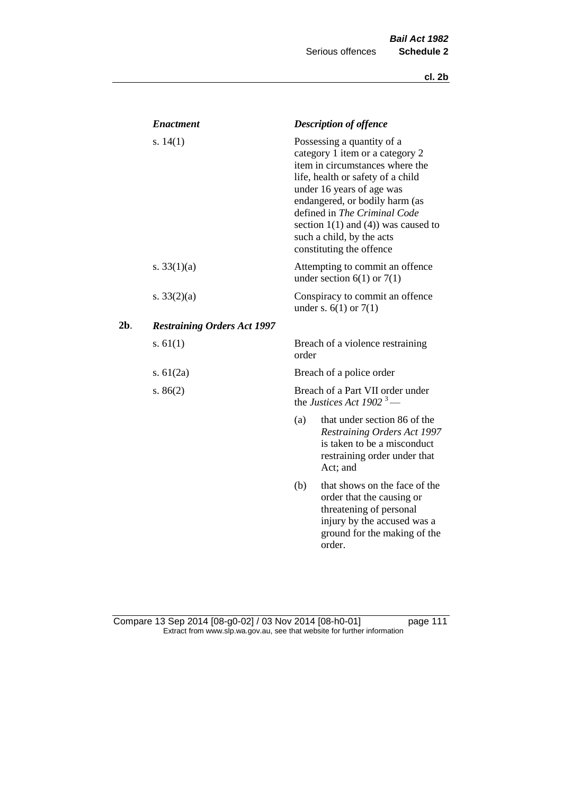|     | <b>Enactment</b>                   |                                                                          | <b>Description of offence</b>                                                                                                                                                                                                                                                                                                             |
|-----|------------------------------------|--------------------------------------------------------------------------|-------------------------------------------------------------------------------------------------------------------------------------------------------------------------------------------------------------------------------------------------------------------------------------------------------------------------------------------|
|     | s. $14(1)$                         |                                                                          | Possessing a quantity of a<br>category 1 item or a category 2<br>item in circumstances where the<br>life, health or safety of a child<br>under 16 years of age was<br>endangered, or bodily harm (as<br>defined in The Criminal Code<br>section $1(1)$ and $(4)$ ) was caused to<br>such a child, by the acts<br>constituting the offence |
|     | s. $33(1)(a)$                      |                                                                          | Attempting to commit an offence<br>under section $6(1)$ or $7(1)$                                                                                                                                                                                                                                                                         |
|     | s. $33(2)(a)$                      |                                                                          | Conspiracy to commit an offence<br>under s. $6(1)$ or $7(1)$                                                                                                                                                                                                                                                                              |
| 2b. | <b>Restraining Orders Act 1997</b> |                                                                          |                                                                                                                                                                                                                                                                                                                                           |
|     | s. $61(1)$                         | order                                                                    | Breach of a violence restraining                                                                                                                                                                                                                                                                                                          |
|     | s. $61(2a)$                        |                                                                          | Breach of a police order                                                                                                                                                                                                                                                                                                                  |
|     | s. $86(2)$                         | Breach of a Part VII order under<br>the Justices Act 1902 <sup>3</sup> — |                                                                                                                                                                                                                                                                                                                                           |
|     |                                    | (a)                                                                      | that under section 86 of the<br>Restraining Orders Act 1997<br>is taken to be a misconduct<br>restraining order under that<br>Act; and                                                                                                                                                                                                    |
|     |                                    | (b)                                                                      | that shows on the face of the<br>order that the causing or<br>threatening of personal<br>injury by the accused was a<br>ground for the making of the<br>order.                                                                                                                                                                            |

#### Compare 13 Sep 2014 [08-g0-02] / 03 Nov 2014 [08-h0-01] page 111 Extract from www.slp.wa.gov.au, see that website for further information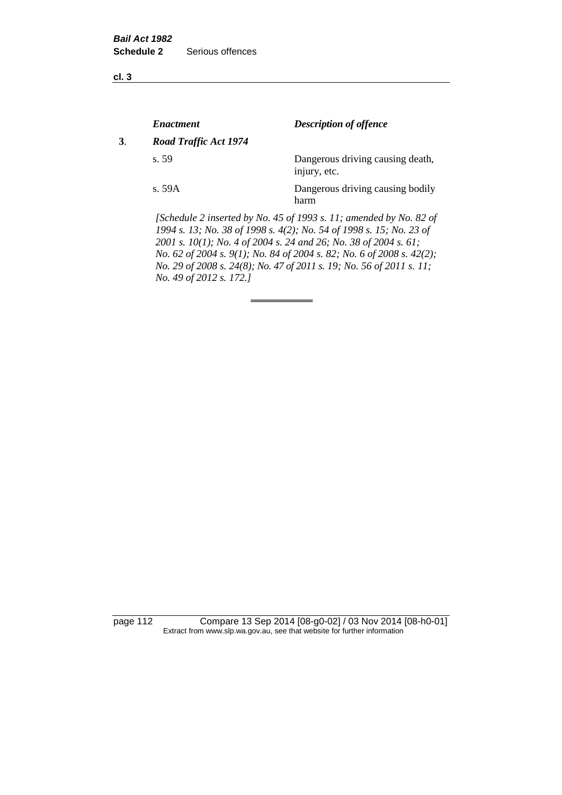**cl. 3**

|    | <b>Enactment</b>      | <b>Description of offence</b>                                                                                                             |
|----|-----------------------|-------------------------------------------------------------------------------------------------------------------------------------------|
| 3. | Road Traffic Act 1974 |                                                                                                                                           |
|    | s.59                  | Dangerous driving causing death,<br>injury, etc.                                                                                          |
|    | s. 59A                | Dangerous driving causing bodily<br>harm                                                                                                  |
|    |                       | [Schedule 2 inserted by No. 45 of 1993 s. 11; amended by No. 82 of<br>1994 s. 13; No. 38 of 1998 s. 4(2); No. 54 of 1998 s. 15; No. 23 of |

*2001 s. 10(1); No. 4 of 2004 s. 24 and 26; No. 38 of 2004 s. 61; No. 62 of 2004 s. 9(1); No. 84 of 2004 s. 82; No. 6 of 2008 s. 42(2); No. 29 of 2008 s. 24(8); No. 47 of 2011 s. 19; No. 56 of 2011 s. 11; No. 49 of 2012 s. 172.]* 

page 112 Compare 13 Sep 2014 [08-g0-02] / 03 Nov 2014 [08-h0-01] Extract from www.slp.wa.gov.au, see that website for further information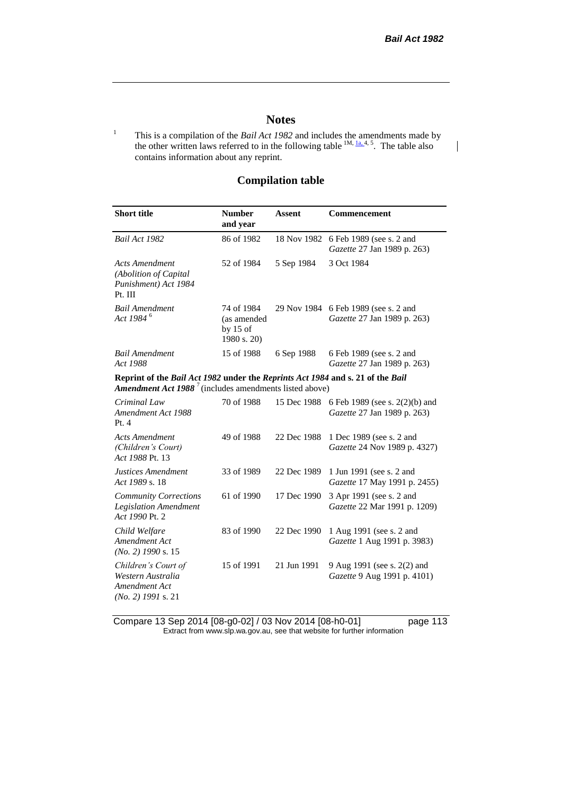$\mathsf{l}$ 

### **Notes**

<sup>1</sup> This is a compilation of the *Bail Act 1982* and includes the amendments made by the other written laws referred to in the following table  $^{1M, l_a, 4, 5}$ . The table also contains information about any reprint.

## **Compilation table**

| <b>Short title</b>                                                                                                                                          | <b>Number</b><br>and year                              | <b>Assent</b> | Commencement                                                        |  |  |  |
|-------------------------------------------------------------------------------------------------------------------------------------------------------------|--------------------------------------------------------|---------------|---------------------------------------------------------------------|--|--|--|
| Bail Act 1982                                                                                                                                               | 86 of 1982                                             | 18 Nov 1982   | 6 Feb 1989 (see s. 2 and<br>Gazette 27 Jan 1989 p. 263)             |  |  |  |
| <b>Acts Amendment</b><br>(Abolition of Capital<br>Punishment) Act 1984<br>Pt. III                                                                           | 52 of 1984                                             | 5 Sep 1984    | 3 Oct 1984                                                          |  |  |  |
| <b>Bail Amendment</b><br>Act 1984 <sup>6</sup>                                                                                                              | 74 of 1984<br>(as amended<br>by $15$ of<br>1980 s. 20) |               | 29 Nov 1984 6 Feb 1989 (see s. 2 and<br>Gazette 27 Jan 1989 p. 263) |  |  |  |
| <b>Bail Amendment</b><br>Act 1988                                                                                                                           | 15 of 1988                                             | 6 Sep 1988    | 6 Feb 1989 (see s. 2 and<br>Gazette 27 Jan 1989 p. 263)             |  |  |  |
| Reprint of the Bail Act 1982 under the Reprints Act 1984 and s. 21 of the Bail<br><b>Amendment Act 1988</b> <sup>7</sup> (includes amendments listed above) |                                                        |               |                                                                     |  |  |  |
| Criminal Law<br>Amendment Act 1988<br>Pt.4                                                                                                                  | 70 of 1988                                             | 15 Dec 1988   | 6 Feb 1989 (see s. 2(2)(b) and<br>Gazette 27 Jan 1989 p. 263)       |  |  |  |
| <b>Acts Amendment</b><br>(Children's Court)<br>Act 1988 Pt. 13                                                                                              | 49 of 1988                                             | 22 Dec 1988   | 1 Dec 1989 (see s. 2 and<br>Gazette 24 Nov 1989 p. 4327)            |  |  |  |
| Justices Amendment<br>Act 1989 s. 18                                                                                                                        | 33 of 1989                                             | 22 Dec 1989   | 1 Jun 1991 (see s. 2 and<br>Gazette 17 May 1991 p. 2455)            |  |  |  |
| <b>Community Corrections</b><br><b>Legislation Amendment</b><br>Act 1990 Pt. 2                                                                              | 61 of 1990                                             | 17 Dec 1990   | 3 Apr 1991 (see s. 2 and<br>Gazette 22 Mar 1991 p. 1209)            |  |  |  |
| Child Welfare<br>Amendment Act<br>$(No. 2)$ 1990 s. 15                                                                                                      | 83 of 1990                                             | 22 Dec 1990   | 1 Aug 1991 (see s. 2 and<br>Gazette 1 Aug 1991 p. 3983)             |  |  |  |
| Children's Court of<br>Western Australia<br>Amendment Act<br>$(No. 2)$ 1991 s. 21                                                                           | 15 of 1991                                             | 21 Jun 1991   | 9 Aug 1991 (see s. 2(2) and<br>Gazette 9 Aug 1991 p. 4101)          |  |  |  |

Compare 13 Sep 2014 [08-g0-02] / 03 Nov 2014 [08-h0-01] page 113 Extract from www.slp.wa.gov.au, see that website for further information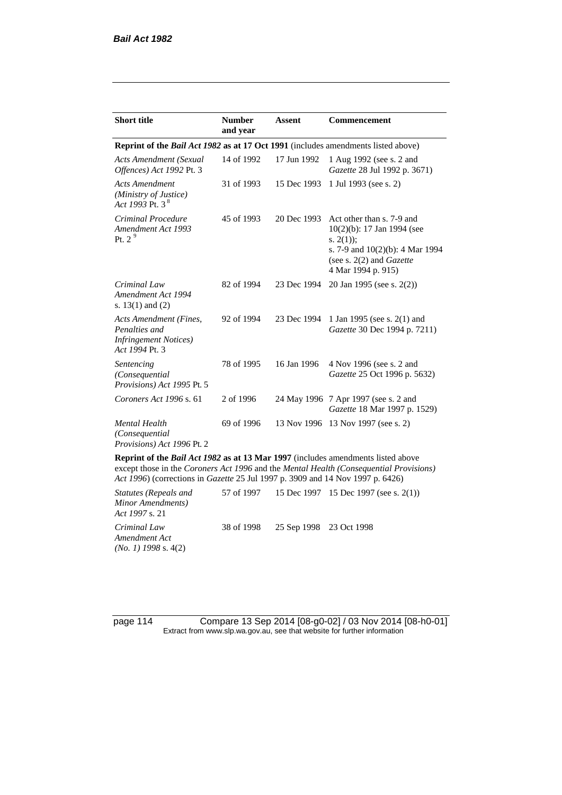| <b>Short title</b>                                                                         | <b>Number</b><br>and year | Assent      | <b>Commencement</b>                                                                                                                                                        |
|--------------------------------------------------------------------------------------------|---------------------------|-------------|----------------------------------------------------------------------------------------------------------------------------------------------------------------------------|
| Reprint of the <i>Bail Act 1982</i> as at 17 Oct 1991 (includes amendments listed above)   |                           |             |                                                                                                                                                                            |
| Acts Amendment (Sexual<br>Offences) Act 1992 Pt. 3                                         | 14 of 1992                | 17 Jun 1992 | 1 Aug 1992 (see s. 2 and<br>Gazette 28 Jul 1992 p. 3671)                                                                                                                   |
| <b>Acts Amendment</b><br>(Ministry of Justice)<br>Act 1993 Pt. 3 <sup>8</sup>              | 31 of 1993                | 15 Dec 1993 | 1 Jul 1993 (see s. 2)                                                                                                                                                      |
| Criminal Procedure<br>Amendment Act 1993<br>Pt. $29$                                       | 45 of 1993                | 20 Dec 1993 | Act other than s. 7-9 and<br>$10(2)(b)$ : 17 Jan 1994 (see<br>s. $2(1)$ ;<br>s. 7-9 and $10(2)(b)$ : 4 Mar 1994<br>(see s. $2(2)$ and <i>Gazette</i><br>4 Mar 1994 p. 915) |
| Criminal Law<br>Amendment Act 1994<br>s. $13(1)$ and $(2)$                                 | 82 of 1994                | 23 Dec 1994 | 20 Jan 1995 (see s. 2(2))                                                                                                                                                  |
| Acts Amendment (Fines,<br>Penalties and<br><b>Infringement Notices</b> )<br>Act 1994 Pt. 3 | 92 of 1994                | 23 Dec 1994 | 1 Jan 1995 (see s. 2(1) and<br>Gazette 30 Dec 1994 p. 7211)                                                                                                                |
| Sentencing<br>(Consequential<br>Provisions) Act 1995 Pt. 5                                 | 78 of 1995                | 16 Jan 1996 | 4 Nov 1996 (see s. 2 and<br>Gazette 25 Oct 1996 p. 5632)                                                                                                                   |
| Coroners Act 1996 s. 61                                                                    | 2 of 1996                 |             | 24 May 1996 7 Apr 1997 (see s. 2 and<br>Gazette 18 Mar 1997 p. 1529)                                                                                                       |
| <b>Mental Health</b><br>(Consequential)<br>Provisions) Act 1996 Pt. 2                      | 69 of 1996                | 13 Nov 1996 | 13 Nov 1997 (see s. 2)                                                                                                                                                     |

**Reprint of the** *Bail Act 1982* **as at 13 Mar 1997** (includes amendments listed above except those in the *Coroners Act 1996* and the *Mental Health (Consequential Provisions) Act 1996*) (corrections in *Gazette* 25 Jul 1997 p. 3909 and 14 Nov 1997 p. 6426)

*Statutes (Repeals and Minor Amendments) Act 1997* s. 21 57 of 1997 15 Dec 1997 15 Dec 1997 (see s. 2(1)) *Criminal Law Amendment Act (No. 1) 1998* s. 4(2) 38 of 1998 25 Sep 1998 23 Oct 1998

page 114 Compare 13 Sep 2014 [08-g0-02] / 03 Nov 2014 [08-h0-01] Extract from www.slp.wa.gov.au, see that website for further information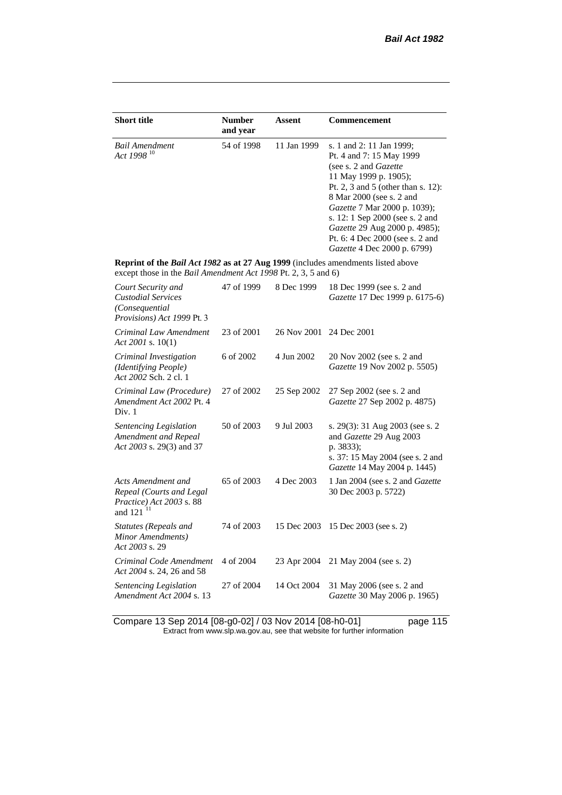| <b>Short title</b>                                                                                                                                 | <b>Number</b><br>and year | Assent      | Commencement                                                                                                                                                                                                                                                                                                                                          |
|----------------------------------------------------------------------------------------------------------------------------------------------------|---------------------------|-------------|-------------------------------------------------------------------------------------------------------------------------------------------------------------------------------------------------------------------------------------------------------------------------------------------------------------------------------------------------------|
| Bail Amendment<br>Act 1998 <sup>10</sup>                                                                                                           | 54 of 1998                | 11 Jan 1999 | s. 1 and 2: 11 Jan 1999;<br>Pt. 4 and 7: 15 May 1999<br>(see s. 2 and <i>Gazette</i><br>11 May 1999 p. 1905);<br>Pt. 2, 3 and 5 (other than s. 12):<br>8 Mar 2000 (see s. 2 and<br>Gazette 7 Mar 2000 p. 1039);<br>s. 12: 1 Sep 2000 (see s. 2 and<br>Gazette 29 Aug 2000 p. 4985);<br>Pt. 6: 4 Dec 2000 (see s. 2 and<br>Gazette 4 Dec 2000 p. 6799) |
| Reprint of the Bail Act 1982 as at 27 Aug 1999 (includes amendments listed above<br>except those in the Bail Amendment Act 1998 Pt. 2, 3, 5 and 6) |                           |             |                                                                                                                                                                                                                                                                                                                                                       |
| Court Security and<br><b>Custodial Services</b><br>(Consequential<br>Provisions) Act 1999 Pt. 3                                                    | 47 of 1999                | 8 Dec 1999  | 18 Dec 1999 (see s. 2 and<br>Gazette 17 Dec 1999 p. 6175-6)                                                                                                                                                                                                                                                                                           |
| Criminal Law Amendment<br>Act 2001 s. $10(1)$                                                                                                      | 23 of 2001                | 26 Nov 2001 | 24 Dec 2001                                                                                                                                                                                                                                                                                                                                           |
| Criminal Investigation<br>(Identifying People)<br>Act 2002 Sch. 2 cl. 1                                                                            | 6 of 2002                 | 4 Jun 2002  | 20 Nov 2002 (see s. 2 and<br>Gazette 19 Nov 2002 p. 5505)                                                                                                                                                                                                                                                                                             |
| Criminal Law (Procedure)<br>Amendment Act 2002 Pt. 4<br>Div. 1                                                                                     | 27 of 2002                | 25 Sep 2002 | 27 Sep 2002 (see s. 2 and<br>Gazette 27 Sep 2002 p. 4875)                                                                                                                                                                                                                                                                                             |
| Sentencing Legislation<br>Amendment and Repeal<br>Act 2003 s. 29(3) and 37                                                                         | 50 of 2003                | 9 Jul 2003  | s. 29(3): 31 Aug 2003 (see s. 2)<br>and Gazette 29 Aug 2003<br>p. 3833);<br>s. 37: 15 May 2004 (see s. 2 and<br>Gazette 14 May 2004 p. 1445)                                                                                                                                                                                                          |
| Acts Amendment and<br>Repeal (Courts and Legal<br>Practice) Act 2003 s. 88<br>and 121 <sup>11</sup>                                                | 65 of 2003                | 4 Dec 2003  | 1 Jan 2004 (see s. 2 and Gazette<br>30 Dec 2003 p. 5722)                                                                                                                                                                                                                                                                                              |
| <b>Statutes (Repeals and</b><br>Minor Amendments)<br>Act 2003 s. 29                                                                                | 74 of 2003                | 15 Dec 2003 | 15 Dec 2003 (see s. 2)                                                                                                                                                                                                                                                                                                                                |
| Criminal Code Amendment<br>Act 2004 s. 24, 26 and 58                                                                                               | 4 of 2004                 | 23 Apr 2004 | 21 May 2004 (see s. 2)                                                                                                                                                                                                                                                                                                                                |
| Sentencing Legislation<br>Amendment Act 2004 s. 13                                                                                                 | 27 of 2004                | 14 Oct 2004 | 31 May 2006 (see s. 2 and<br>Gazette 30 May 2006 p. 1965)                                                                                                                                                                                                                                                                                             |

Compare 13 Sep 2014 [08-g0-02] / 03 Nov 2014 [08-h0-01] page 115 Extract from www.slp.wa.gov.au, see that website for further information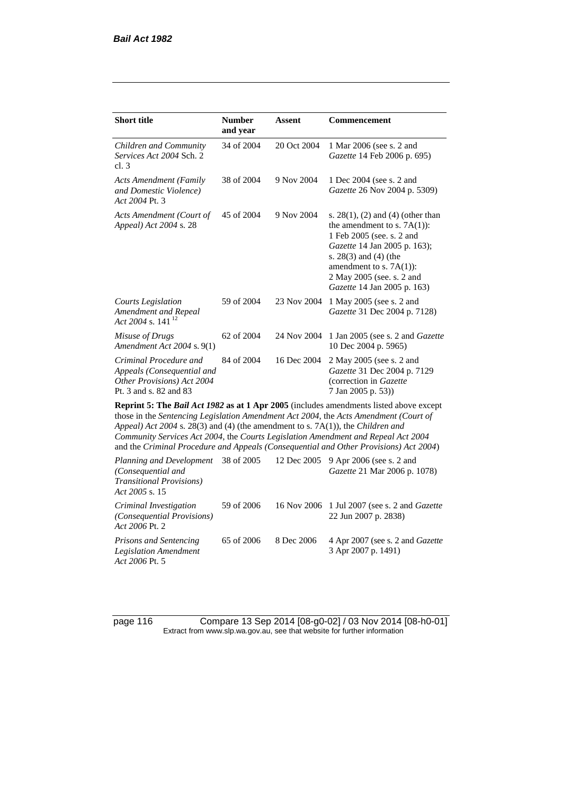| <b>Short title</b>                                                                                                                                                                                                                                                                                                                                                                                                                  | <b>Number</b> | <b>Assent</b> | <b>Commencement</b>                                                                                                                                                                                                                                      |  |  |  |
|-------------------------------------------------------------------------------------------------------------------------------------------------------------------------------------------------------------------------------------------------------------------------------------------------------------------------------------------------------------------------------------------------------------------------------------|---------------|---------------|----------------------------------------------------------------------------------------------------------------------------------------------------------------------------------------------------------------------------------------------------------|--|--|--|
|                                                                                                                                                                                                                                                                                                                                                                                                                                     | and year      |               |                                                                                                                                                                                                                                                          |  |  |  |
| Children and Community<br>Services Act 2004 Sch. 2<br>cl.3                                                                                                                                                                                                                                                                                                                                                                          | 34 of 2004    | 20 Oct 2004   | 1 Mar 2006 (see s. 2 and<br>Gazette 14 Feb 2006 p. 695)                                                                                                                                                                                                  |  |  |  |
| <b>Acts Amendment (Family</b><br>and Domestic Violence)<br>Act 2004 Pt. 3                                                                                                                                                                                                                                                                                                                                                           | 38 of 2004    | 9 Nov 2004    | 1 Dec 2004 (see s. 2 and<br>Gazette 26 Nov 2004 p. 5309)                                                                                                                                                                                                 |  |  |  |
| Acts Amendment (Court of<br><i>Appeal</i> ) <i>Act</i> 2004 s. 28                                                                                                                                                                                                                                                                                                                                                                   | 45 of 2004    | 9 Nov 2004    | s. $28(1)$ , (2) and (4) (other than<br>the amendment to s. $7A(1)$ :<br>1 Feb 2005 (see. s. 2 and<br>Gazette 14 Jan 2005 p. 163);<br>s. $28(3)$ and $(4)$ (the<br>amendment to s. $7A(1)$ :<br>2 May 2005 (see. s. 2 and<br>Gazette 14 Jan 2005 p. 163) |  |  |  |
| Courts Legislation<br>Amendment and Repeal<br>Act 2004 s. $141^{12}$                                                                                                                                                                                                                                                                                                                                                                | 59 of 2004    | 23 Nov 2004   | 1 May 2005 (see s. 2 and<br>Gazette 31 Dec 2004 p. 7128)                                                                                                                                                                                                 |  |  |  |
| Misuse of Drugs<br>Amendment Act 2004 s. 9(1)                                                                                                                                                                                                                                                                                                                                                                                       | 62 of 2004    | 24 Nov 2004   | 1 Jan 2005 (see s. 2 and <i>Gazette</i><br>10 Dec 2004 p. 5965)                                                                                                                                                                                          |  |  |  |
| Criminal Procedure and<br>Appeals (Consequential and<br>Other Provisions) Act 2004<br>Pt. 3 and s. 82 and 83                                                                                                                                                                                                                                                                                                                        | 84 of 2004    | 16 Dec 2004   | 2 May 2005 (see s. 2 and<br>Gazette 31 Dec 2004 p. 7129<br>(correction in Gazette<br>7 Jan 2005 p. 53))                                                                                                                                                  |  |  |  |
| <b>Reprint 5: The Bail Act 1982 as at 1 Apr 2005</b> (includes amendments listed above except<br>$\mathbf{a}$ $\mathbf{b}$ $\mathbf{c}$ $\mathbf{d}$ $\mathbf{d}$ $\mathbf{c}$ $\mathbf{d}$ $\mathbf{d}$ $\mathbf{d}$ $\mathbf{d}$ $\mathbf{d}$ $\mathbf{d}$ $\mathbf{d}$ $\mathbf{d}$ $\mathbf{d}$ $\mathbf{d}$ $\mathbf{d}$ $\mathbf{d}$ $\mathbf{d}$ $\mathbf{d}$ $\mathbf{d}$ $\mathbf{d}$ $\mathbf{d}$ $\mathbf{d}$ $\mathbf{$ |               |               |                                                                                                                                                                                                                                                          |  |  |  |

those in the *Sentencing Legislation Amendment Act 2004*, the *Acts Amendment (Court of Appeal) Act 2004* s. 28(3) and (4) (the amendment to s. 7A(1)), the *Children and Community Services Act 2004*, the *Courts Legislation Amendment and Repeal Act 2004* and the *Criminal Procedure and Appeals (Consequential and Other Provisions) Act 2004*)

*Planning and Development (Consequential and Transitional Provisions) Act 2005* s. 15 12 Dec 2005 9 Apr 2006 (see s. 2 and *Gazette* 21 Mar 2006 p. 1078) *Criminal Investigation (Consequential Provisions) Act 2006* Pt. 2 59 of 2006 16 Nov 2006 1 Jul 2007 (see s. 2 and *Gazette* 22 Jun 2007 p. 2838) *Prisons and Sentencing Legislation Amendment Act 2006* Pt. 5 65 of 2006 8 Dec 2006 4 Apr 2007 (see s. 2 and *Gazette* 3 Apr 2007 p. 1491)

page 116 Compare 13 Sep 2014 [08-g0-02] / 03 Nov 2014 [08-h0-01] Extract from www.slp.wa.gov.au, see that website for further information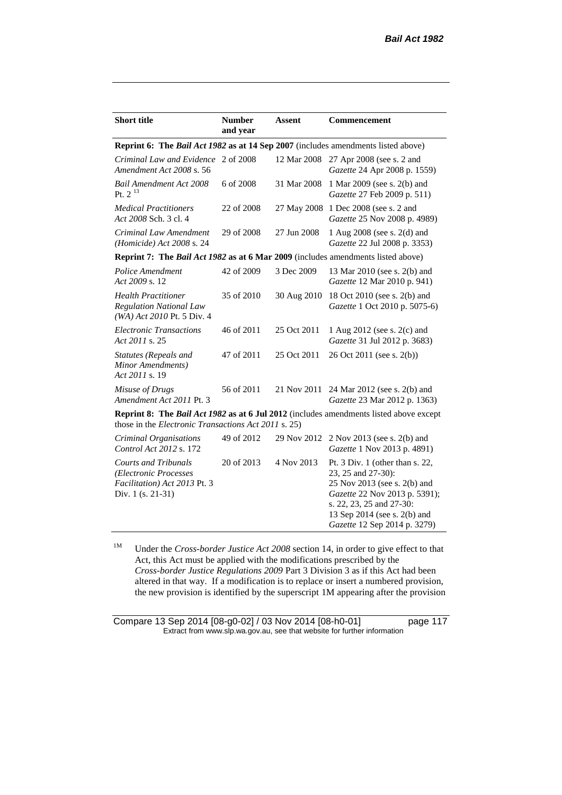| <b>Short title</b>                                                                                                                                    | <b>Number</b><br>and year | <b>Assent</b> | Commencement                                                                                                                                                                                                         |  |  |
|-------------------------------------------------------------------------------------------------------------------------------------------------------|---------------------------|---------------|----------------------------------------------------------------------------------------------------------------------------------------------------------------------------------------------------------------------|--|--|
| <b>Reprint 6: The Bail Act 1982 as at 14 Sep 2007</b> (includes amendments listed above)                                                              |                           |               |                                                                                                                                                                                                                      |  |  |
| Criminal Law and Evidence 2 of 2008<br>Amendment Act 2008 s. 56                                                                                       |                           | 12 Mar 2008   | 27 Apr 2008 (see s. 2 and<br>Gazette 24 Apr 2008 p. 1559)                                                                                                                                                            |  |  |
| <b>Bail Amendment Act 2008</b><br>Pt. $2^{13}$                                                                                                        | 6 of 2008                 | 31 Mar 2008   | 1 Mar 2009 (see s. 2(b) and<br>Gazette 27 Feb 2009 p. 511)                                                                                                                                                           |  |  |
| <b>Medical Practitioners</b><br>Act 2008 Sch. 3 cl. 4                                                                                                 | 22 of 2008                | 27 May 2008   | 1 Dec 2008 (see s. 2 and<br>Gazette 25 Nov 2008 p. 4989)                                                                                                                                                             |  |  |
| Criminal Law Amendment<br>(Homicide) Act 2008 s. 24                                                                                                   | 29 of 2008                | 27 Jun 2008   | 1 Aug 2008 (see s. 2(d) and<br>Gazette 22 Jul 2008 p. 3353)                                                                                                                                                          |  |  |
| Reprint 7: The Bail Act 1982 as at 6 Mar 2009 (includes amendments listed above)                                                                      |                           |               |                                                                                                                                                                                                                      |  |  |
| Police Amendment<br>Act 2009 s. 12                                                                                                                    | 42 of 2009                | 3 Dec 2009    | 13 Mar 2010 (see s. 2(b) and<br>Gazette 12 Mar 2010 p. 941)                                                                                                                                                          |  |  |
| <b>Health Practitioner</b><br><b>Regulation National Law</b><br>(WA) Act 2010 Pt. 5 Div. 4                                                            | 35 of 2010                | 30 Aug 2010   | 18 Oct 2010 (see s. 2(b) and<br>Gazette 1 Oct 2010 p. 5075-6)                                                                                                                                                        |  |  |
| <b>Electronic Transactions</b><br>Act 2011 s. 25                                                                                                      | 46 of 2011                | 25 Oct 2011   | 1 Aug 2012 (see s. 2(c) and<br>Gazette 31 Jul 2012 p. 3683)                                                                                                                                                          |  |  |
| Statutes (Repeals and<br>Minor Amendments)<br>Act 2011 s. 19                                                                                          | 47 of 2011                | 25 Oct 2011   | 26 Oct 2011 (see s. 2(b))                                                                                                                                                                                            |  |  |
| Misuse of Drugs<br>Amendment Act 2011 Pt. 3                                                                                                           | 56 of 2011                | 21 Nov 2011   | 24 Mar 2012 (see s. 2(b) and<br>Gazette 23 Mar 2012 p. 1363)                                                                                                                                                         |  |  |
| <b>Reprint 8: The Bail Act 1982 as at 6 Jul 2012</b> (includes amendments listed above except<br>those in the Electronic Transactions Act 2011 s. 25) |                           |               |                                                                                                                                                                                                                      |  |  |
| Criminal Organisations<br>Control Act 2012 s. 172                                                                                                     | 49 of 2012                | 29 Nov 2012   | 2 Nov 2013 (see s. 2(b) and<br>Gazette 1 Nov 2013 p. 4891)                                                                                                                                                           |  |  |
| <b>Courts and Tribunals</b><br>(Electronic Processes<br>Facilitation) Act 2013 Pt. 3<br>Div. 1 (s. 21-31)                                             | 20 of 2013                | 4 Nov 2013    | Pt. $3$ Div. 1 (other than s. 22,<br>23, 25 and 27-30):<br>25 Nov 2013 (see s. 2(b) and<br>Gazette 22 Nov 2013 p. 5391);<br>s. 22, 23, 25 and 27-30:<br>13 Sep 2014 (see s. 2(b) and<br>Gazette 12 Sep 2014 p. 3279) |  |  |

<sup>1M</sup> Under the *Cross-border Justice Act 2008* section 14, in order to give effect to that Act, this Act must be applied with the modifications prescribed by the *Cross-border Justice Regulations 2009* Part 3 Division 3 as if this Act had been altered in that way. If a modification is to replace or insert a numbered provision, the new provision is identified by the superscript 1M appearing after the provision

Compare 13 Sep 2014 [08-g0-02] / 03 Nov 2014 [08-h0-01] page 117 Extract from www.slp.wa.gov.au, see that website for further information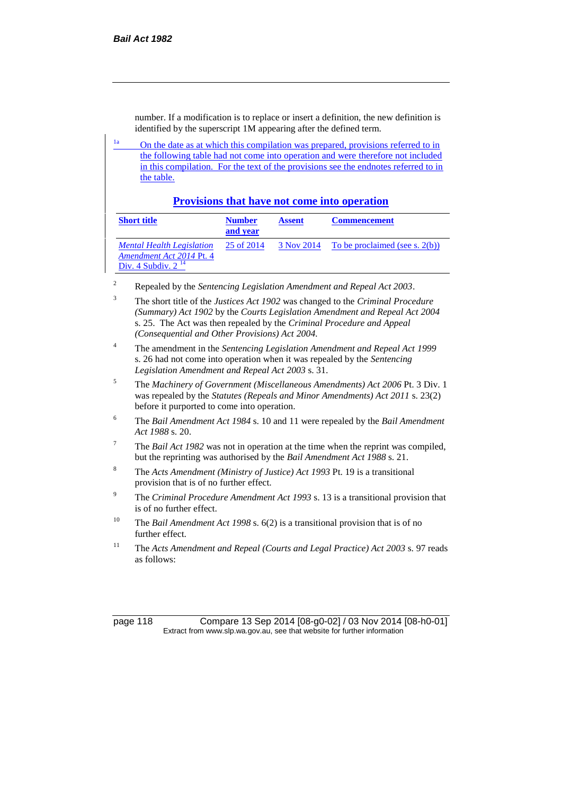number. If a modification is to replace or insert a definition, the new definition is identified by the superscript 1M appearing after the defined term.

<sup>1a</sup> On the date as at which this compilation was prepared, provisions referred to in the following table had not come into operation and were therefore not included in this compilation. For the text of the provisions see the endnotes referred to in the table.

### **Provisions that have not come into operation**

| <b>Short title</b>                                                                      | <b>Number</b><br>and year | <b>Assent</b> | <b>Commencement</b>                         |
|-----------------------------------------------------------------------------------------|---------------------------|---------------|---------------------------------------------|
| <b>Mental Health Legislation</b><br>Amendment Act 2014 Pt. 4<br>Div. 4 Subdiv. $2^{14}$ | 25 of 2014                |               | $3$ Nov 2014 To be proclaimed (see s. 2(b)) |

<sup>2</sup> Repealed by the *Sentencing Legislation Amendment and Repeal Act 2003*.

- <sup>3</sup> The short title of the *Justices Act 1902* was changed to the *Criminal Procedure (Summary) Act 1902* by the *Courts Legislation Amendment and Repeal Act 2004*  s. 25. The Act was then repealed by the *Criminal Procedure and Appeal (Consequential and Other Provisions) Act 2004.*
- <sup>4</sup> The amendment in the *Sentencing Legislation Amendment and Repeal Act 1999* s. 26 had not come into operation when it was repealed by the *Sentencing Legislation Amendment and Repeal Act 2003* s. 31.
- <sup>5</sup> The *Machinery of Government (Miscellaneous Amendments) Act 2006* Pt. 3 Div. 1 was repealed by the *Statutes (Repeals and Minor Amendments) Act 2011* s. 23(2) before it purported to come into operation.
- <sup>6</sup> The *Bail Amendment Act 1984* s. 10 and 11 were repealed by the *Bail Amendment Act 1988* s. 20.
- <sup>7</sup> The *Bail Act 1982* was not in operation at the time when the reprint was compiled, but the reprinting was authorised by the *Bail Amendment Act 1988* s. 21.
- <sup>8</sup> The *Acts Amendment (Ministry of Justice) Act 1993* Pt. 19 is a transitional provision that is of no further effect.
- <sup>9</sup> The *Criminal Procedure Amendment Act 1993* s. 13 is a transitional provision that is of no further effect.
- <sup>10</sup> The *Bail Amendment Act 1998* s. 6(2) is a transitional provision that is of no further effect.
- <sup>11</sup> The *Acts Amendment and Repeal (Courts and Legal Practice) Act 2003* s. 97 reads as follows:

page 118 Compare 13 Sep 2014 [08-g0-02] / 03 Nov 2014 [08-h0-01] Extract from www.slp.wa.gov.au, see that website for further information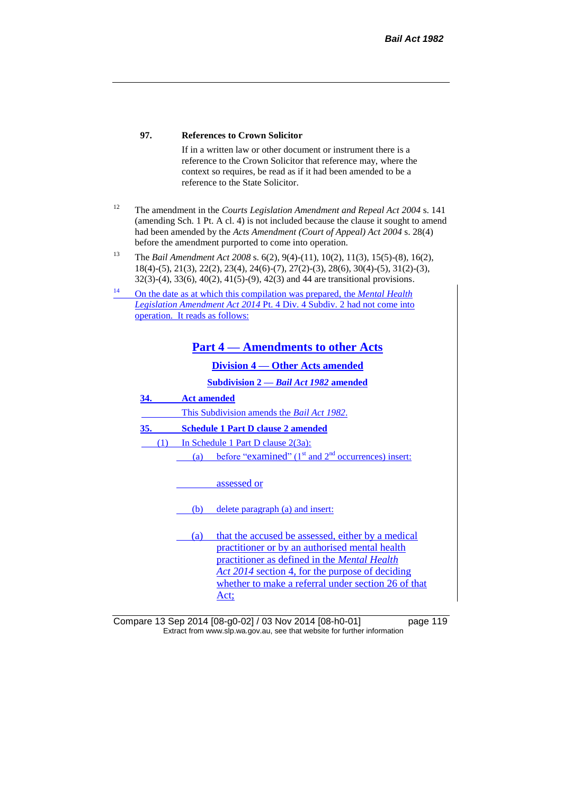#### **97. References to Crown Solicitor**

If in a written law or other document or instrument there is a reference to the Crown Solicitor that reference may, where the context so requires, be read as if it had been amended to be a reference to the State Solicitor.

- <sup>12</sup> The amendment in the *Courts Legislation Amendment and Repeal Act 2004* s. 141 (amending Sch. 1 Pt. A cl. 4) is not included because the clause it sought to amend had been amended by the *Acts Amendment (Court of Appeal) Act 2004* s. 28(4) before the amendment purported to come into operation.
- <sup>13</sup> The *Bail Amendment Act 2008* s. 6(2), 9(4)-(11), 10(2), 11(3), 15(5)-(8), 16(2), 18(4)-(5), 21(3), 22(2), 23(4), 24(6)-(7), 27(2)-(3), 28(6), 30(4)-(5), 31(2)-(3), 32(3)-(4), 33(6), 40(2), 41(5)-(9), 42(3) and 44 are transitional provisions.
- <sup>14</sup> On the date as at which this compilation was prepared, the *Mental Health Legislation Amendment Act 2014* Pt. 4 Div. 4 Subdiv. 2 had not come into operation. It reads as follows:

**Part 4 — Amendments to other Acts**

**Division 4 — Other Acts amended**

**Subdivision 2 —** *Bail Act 1982* **amended**

**34. Act amended**

This Subdivision amends the *Bail Act 1982*.

**35. Schedule 1 Part D clause 2 amended**

(1) In Schedule 1 Part D clause 2(3a):

(a) before "examined"  $(1<sup>st</sup>$  and  $2<sup>nd</sup>$  occurrences) insert:

assessed or

(b) delete paragraph (a) and insert:

(a) that the accused be assessed, either by a medical practitioner or by an authorised mental health practitioner as defined in the *Mental Health Act 2014* section 4, for the purpose of deciding whether to make a referral under section 26 of that Act;

Compare 13 Sep 2014 [08-g0-02] / 03 Nov 2014 [08-h0-01] page 119 Extract from www.slp.wa.gov.au, see that website for further information